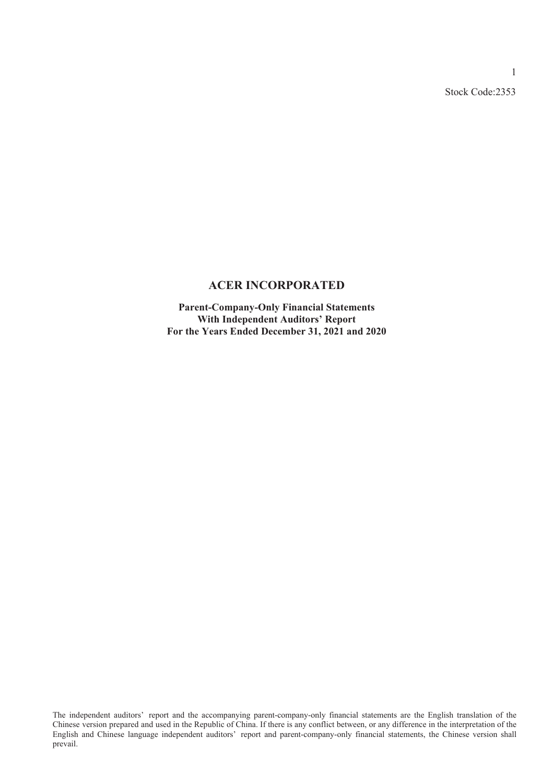Stock Code:2353

1

### **ACER INCORPORATED**

**Parent-Company-Only Financial Statements With Independent Auditors' Report For the Years Ended December 31, 2021 and 2020**

The independent auditors' report and the accompanying parent-company-only financial statements are the English translation of the Chinese version prepared and used in the Republic of China. If there is any conflict between, or any difference in the interpretation of the English and Chinese language independent auditors' report and parent-company-only financial statements, the Chinese version shall prevail.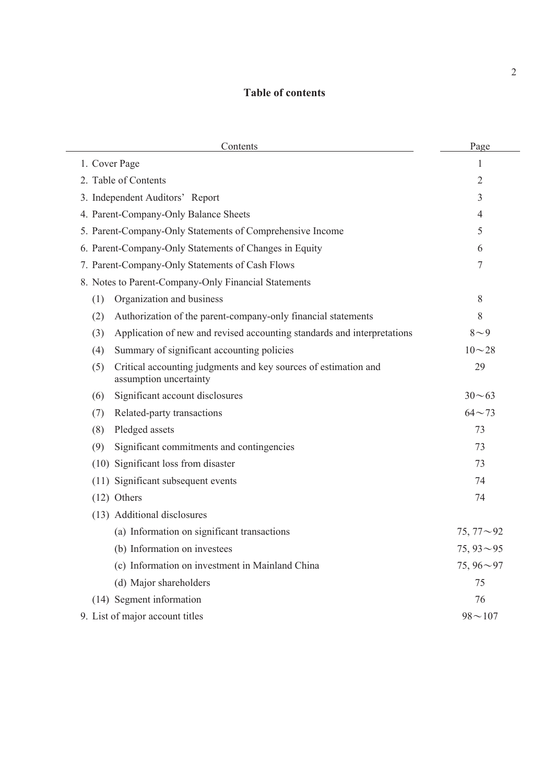# **Table of contents**

| Contents                                                                                         | Page             |
|--------------------------------------------------------------------------------------------------|------------------|
| 1. Cover Page                                                                                    | 1                |
| 2. Table of Contents                                                                             | 2                |
| 3. Independent Auditors' Report                                                                  | 3                |
| 4. Parent-Company-Only Balance Sheets                                                            | 4                |
| 5. Parent-Company-Only Statements of Comprehensive Income                                        | 5                |
| 6. Parent-Company-Only Statements of Changes in Equity                                           | 6                |
| 7. Parent-Company-Only Statements of Cash Flows                                                  | 7                |
| 8. Notes to Parent-Company-Only Financial Statements                                             |                  |
| Organization and business<br>(1)                                                                 | 8                |
| Authorization of the parent-company-only financial statements<br>(2)                             | 8                |
| Application of new and revised accounting standards and interpretations<br>(3)                   | $8\sim9$         |
| Summary of significant accounting policies<br>(4)                                                | $10 - 28$        |
| Critical accounting judgments and key sources of estimation and<br>(5)<br>assumption uncertainty | 29               |
| Significant account disclosures<br>(6)                                                           | $30 - 63$        |
| Related-party transactions<br>(7)                                                                | $64 - 73$        |
| Pledged assets<br>(8)                                                                            | 73               |
| (9)<br>Significant commitments and contingencies                                                 | 73               |
| (10) Significant loss from disaster                                                              | 73               |
| (11) Significant subsequent events                                                               | 74               |
| $(12)$ Others                                                                                    | 74               |
| (13) Additional disclosures                                                                      |                  |
| (a) Information on significant transactions                                                      | $75,77{\sim}92$  |
| (b) Information on investees                                                                     | $75,93{\sim}95$  |
| (c) Information on investment in Mainland China                                                  | 75, $96 \sim 97$ |
| (d) Major shareholders                                                                           | 75               |
| (14) Segment information                                                                         | 76               |
| 9. List of major account titles                                                                  | $98 - 107$       |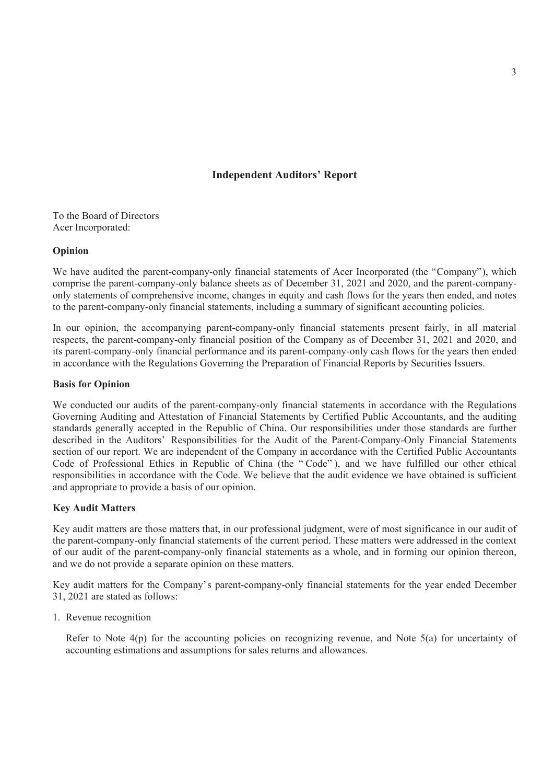### **Independent Auditors' Report**

To the Board of Directors Acer Incorporated:

#### **Opinion**

We have audited the parent-company-only financial statements of Acer Incorporated (the "Company"), which comprise the parent-company-only balance sheets as of December 31, 2021 and 2020, and the parent-companyonly statements of comprehensive income, changes in equity and cash flows for the years then ended, and notes to the parent-company-only financial statements, including a summary of significant accounting policies.

In our opinion, the accompanying parent-company-only financial statements present fairly, in all material respects, the parent-company-only financial position of the Company as of December 31, 2021 and 2020, and its parent-company-only financial performance and its parent-company-only cash flows for the years then ended in accordance with the Regulations Governing the Preparation of Financial Reports by Securities Issuers.

#### **Basis for Opinion**

We conducted our audits of the parent-company-only financial statements in accordance with the Regulations Governing Auditing and Attestation of Financial Statements by Certified Public Accountants, and the auditing standards generally accepted in the Republic of China. Our responsibilities under those standards are further described in the Auditors' Responsibilities for the Audit of the Parent-Company-Only Financial Statements section of our report. We are independent of the Company in accordance with the Certified Public Accountants Code of Professional Ethics in Republic of China (the " Code" ), and we have fulfilled our other ethical responsibilities in accordance with the Code. We believe that the audit evidence we have obtained is sufficient and appropriate to provide a basis of our opinion.

### **Key Audit Matters**

Key audit matters are those matters that, in our professional judgment, were of most significance in our audit of the parent-company-only financial statements of the current period. These matters were addressed in the context of our audit of the parent-company-only financial statements as a whole, and in forming our opinion thereon, and we do not provide a separate opinion on these matters.

Key audit matters for the Company's parent-company-only financial statements for the year ended December 31, 2021 are stated as follows:

1. Revenue recognition

Refer to Note 4(p) for the accounting policies on recognizing revenue, and Note 5(a) for uncertainty of accounting estimations and assumptions for sales returns and allowances.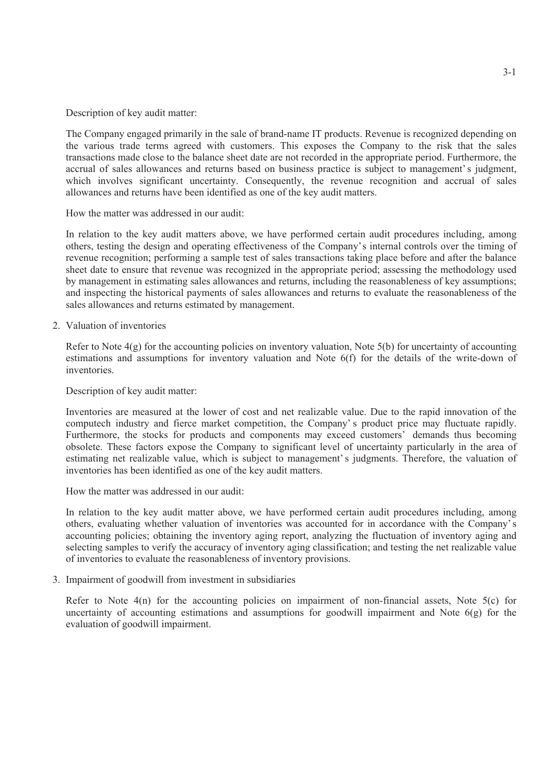Description of key audit matter:

The Company engaged primarily in the sale of brand-name IT products. Revenue is recognized depending on the various trade terms agreed with customers. This exposes the Company to the risk that the sales transactions made close to the balance sheet date are not recorded in the appropriate period. Furthermore, the accrual of sales allowances and returns based on business practice is subject to management' s judgment, which involves significant uncertainty. Consequently, the revenue recognition and accrual of sales allowances and returns have been identified as one of the key audit matters.

How the matter was addressed in our audit:

In relation to the key audit matters above, we have performed certain audit procedures including, among others, testing the design and operating effectiveness of the Company's internal controls over the timing of revenue recognition; performing a sample test of sales transactions taking place before and after the balance sheet date to ensure that revenue was recognized in the appropriate period; assessing the methodology used by management in estimating sales allowances and returns, including the reasonableness of key assumptions; and inspecting the historical payments of sales allowances and returns to evaluate the reasonableness of the sales allowances and returns estimated by management.

2. Valuation of inventories

Refer to Note 4(g) for the accounting policies on inventory valuation, Note 5(b) for uncertainty of accounting estimations and assumptions for inventory valuation and Note 6(f) for the details of the write-down of inventories.

Description of key audit matter:

Inventories are measured at the lower of cost and net realizable value. Due to the rapid innovation of the computech industry and fierce market competition, the Company's product price may fluctuate rapidly. Furthermore, the stocks for products and components may exceed customers' demands thus becoming obsolete. These factors expose the Company to significant level of uncertainty particularly in the area of estimating net realizable value, which is subject to management' s judgments. Therefore, the valuation of inventories has been identified as one of the key audit matters.

How the matter was addressed in our audit:

In relation to the key audit matter above, we have performed certain audit procedures including, among others, evaluating whether valuation of inventories was accounted for in accordance with the Company' s accounting policies; obtaining the inventory aging report, analyzing the fluctuation of inventory aging and selecting samples to verify the accuracy of inventory aging classification; and testing the net realizable value of inventories to evaluate the reasonableness of inventory provisions.

3. Impairment of goodwill from investment in subsidiaries

Refer to Note 4(n) for the accounting policies on impairment of non-financial assets. Note 5(c) for uncertainty of accounting estimations and assumptions for goodwill impairment and Note 6(g) for the evaluation of goodwill impairment.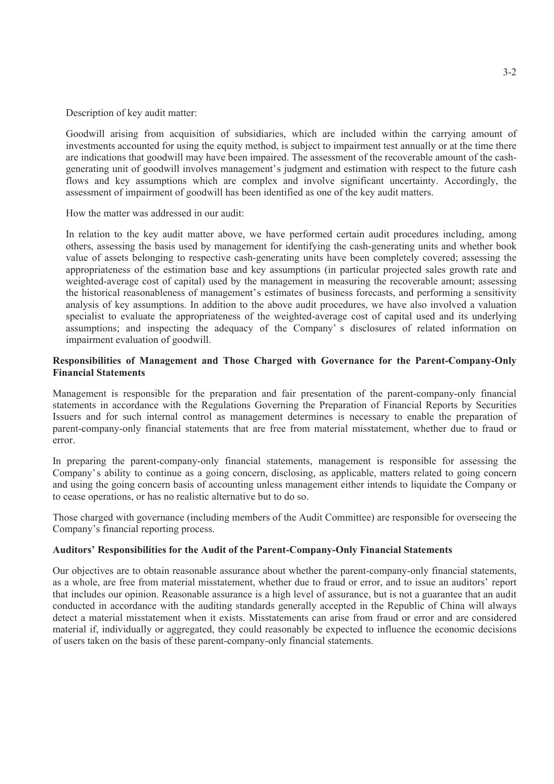Description of key audit matter:

Goodwill arising from acquisition of subsidiaries, which are included within the carrying amount of investments accounted for using the equity method, is subject to impairment test annually or at the time there are indications that goodwill may have been impaired. The assessment of the recoverable amount of the cashgenerating unit of goodwill involves management's judgment and estimation with respect to the future cash flows and key assumptions which are complex and involve significant uncertainty. Accordingly, the assessment of impairment of goodwill has been identified as one of the key audit matters.

How the matter was addressed in our audit:

In relation to the key audit matter above, we have performed certain audit procedures including, among others, assessing the basis used by management for identifying the cash-generating units and whether book value of assets belonging to respective cash-generating units have been completely covered; assessing the appropriateness of the estimation base and key assumptions (in particular projected sales growth rate and weighted-average cost of capital) used by the management in measuring the recoverable amount; assessing the historical reasonableness of management's estimates of business forecasts, and performing a sensitivity analysis of key assumptions. In addition to the above audit procedures, we have also involved a valuation specialist to evaluate the appropriateness of the weighted-average cost of capital used and its underlying assumptions; and inspecting the adequacy of the Company' s disclosures of related information on impairment evaluation of goodwill.

### **Responsibilities of Management and Those Charged with Governance for the Parent-Company-Only Financial Statements**

Management is responsible for the preparation and fair presentation of the parent-company-only financial statements in accordance with the Regulations Governing the Preparation of Financial Reports by Securities Issuers and for such internal control as management determines is necessary to enable the preparation of parent-company-only financial statements that are free from material misstatement, whether due to fraud or error.

In preparing the parent-company-only financial statements, management is responsible for assessing the Company's ability to continue as a going concern, disclosing, as applicable, matters related to going concern and using the going concern basis of accounting unless management either intends to liquidate the Company or to cease operations, or has no realistic alternative but to do so.

Those charged with governance (including members of the Audit Committee) are responsible for overseeing the Company's financial reporting process.

### **Auditors' Responsibilities for the Audit of the Parent-Company-Only Financial Statements**

Our objectives are to obtain reasonable assurance about whether the parent-company-only financial statements, as a whole, are free from material misstatement, whether due to fraud or error, and to issue an auditors' report that includes our opinion. Reasonable assurance is a high level of assurance, but is not a guarantee that an audit conducted in accordance with the auditing standards generally accepted in the Republic of China will always detect a material misstatement when it exists. Misstatements can arise from fraud or error and are considered material if, individually or aggregated, they could reasonably be expected to influence the economic decisions of users taken on the basis of these parent-company-only financial statements.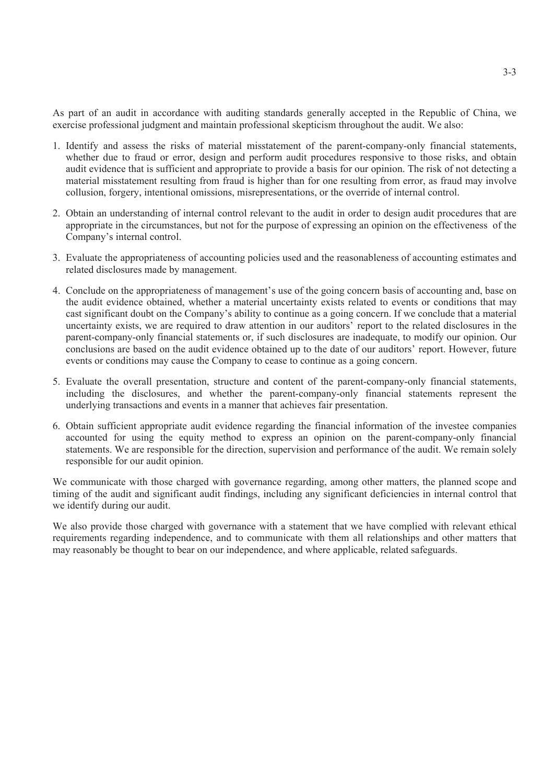As part of an audit in accordance with auditing standards generally accepted in the Republic of China, we exercise professional judgment and maintain professional skepticism throughout the audit. We also:

- 1. Identify and assess the risks of material misstatement of the parent-company-only financial statements, whether due to fraud or error, design and perform audit procedures responsive to those risks, and obtain audit evidence that is sufficient and appropriate to provide a basis for our opinion. The risk of not detecting a material misstatement resulting from fraud is higher than for one resulting from error, as fraud may involve collusion, forgery, intentional omissions, misrepresentations, or the override of internal control.
- 2. Obtain an understanding of internal control relevant to the audit in order to design audit procedures that are appropriate in the circumstances, but not for the purpose of expressing an opinion on the effectiveness of the Company's internal control.
- 3. Evaluate the appropriateness of accounting policies used and the reasonableness of accounting estimates and related disclosures made by management.
- 4. Conclude on the appropriateness of management's use of the going concern basis of accounting and, base on the audit evidence obtained, whether a material uncertainty exists related to events or conditions that may cast significant doubt on the Company's ability to continue as a going concern. If we conclude that a material uncertainty exists, we are required to draw attention in our auditors' report to the related disclosures in the parent-company-only financial statements or, if such disclosures are inadequate, to modify our opinion. Our conclusions are based on the audit evidence obtained up to the date of our auditors' report. However, future events or conditions may cause the Company to cease to continue as a going concern.
- 5. Evaluate the overall presentation, structure and content of the parent-company-only financial statements, including the disclosures, and whether the parent-company-only financial statements represent the underlying transactions and events in a manner that achieves fair presentation.
- 6. Obtain sufficient appropriate audit evidence regarding the financial information of the investee companies accounted for using the equity method to express an opinion on the parent-company-only financial statements. We are responsible for the direction, supervision and performance of the audit. We remain solely responsible for our audit opinion.

We communicate with those charged with governance regarding, among other matters, the planned scope and timing of the audit and significant audit findings, including any significant deficiencies in internal control that we identify during our audit.

We also provide those charged with governance with a statement that we have complied with relevant ethical requirements regarding independence, and to communicate with them all relationships and other matters that may reasonably be thought to bear on our independence, and where applicable, related safeguards.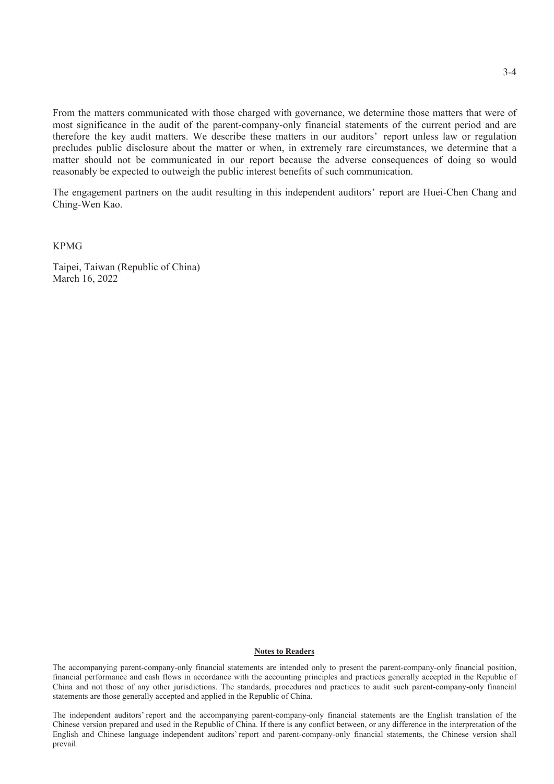From the matters communicated with those charged with governance, we determine those matters that were of most significance in the audit of the parent-company-only financial statements of the current period and are therefore the key audit matters. We describe these matters in our auditors' report unless law or regulation precludes public disclosure about the matter or when, in extremely rare circumstances, we determine that a matter should not be communicated in our report because the adverse consequences of doing so would reasonably be expected to outweigh the public interest benefits of such communication.

The engagement partners on the audit resulting in this independent auditors' report are Huei-Chen Chang and Ching-Wen Kao.

KPMG

Taipei, Taiwan (Republic of China) March 16, 2022

#### **Notes to Readers**

The accompanying parent-company-only financial statements are intended only to present the parent-company-only financial position, financial performance and cash flows in accordance with the accounting principles and practices generally accepted in the Republic of China and not those of any other jurisdictions. The standards, procedures and practices to audit such parent-company-only financial statements are those generally accepted and applied in the Republic of China.

The independent auditors' report and the accompanying parent-company-only financial statements are the English translation of the Chinese version prepared and used in the Republic of China. If there is any conflict between, or any difference in the interpretation of the English and Chinese language independent auditors' report and parent-company-only financial statements, the Chinese version shall prevail.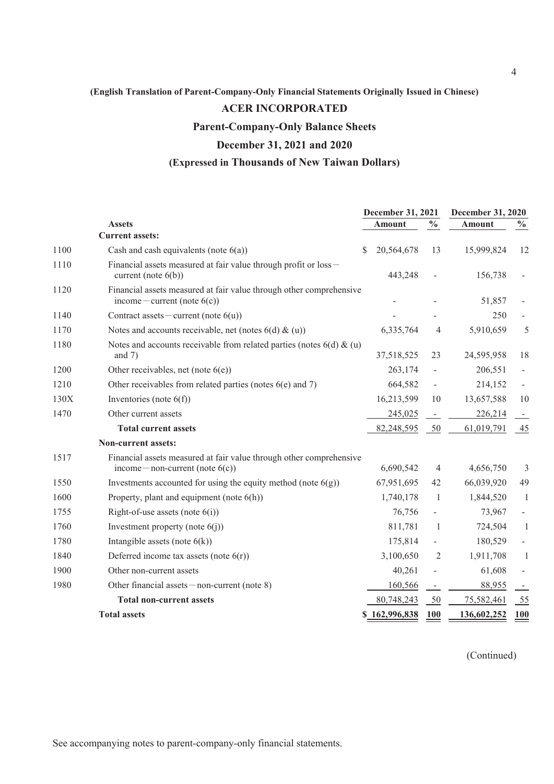### **ACER INCORPORATED**

**Parent-Company-Only Balance Sheets**

### **December 31, 2021 and 2020**

### **(Expressed in Thousands of New Taiwan Dollars)**

|      |                                                                                                            |              | December 31, 2021 |                          | December 31, 2020 |                |
|------|------------------------------------------------------------------------------------------------------------|--------------|-------------------|--------------------------|-------------------|----------------|
|      | <b>Assets</b>                                                                                              |              | <b>Amount</b>     | $\frac{0}{0}$            | <b>Amount</b>     | $\frac{0}{0}$  |
|      | <b>Current assets:</b>                                                                                     |              |                   |                          |                   |                |
| 1100 | Cash and cash equivalents (note $6(a)$ )                                                                   | <sup>S</sup> | 20,564,678        | 13                       | 15,999,824        | 12             |
| 1110 | Financial assets measured at fair value through profit or loss -<br>current (note $6(b)$ )                 |              | 443,248           | $\overline{\phantom{a}}$ | 156,738           |                |
| 1120 | Financial assets measured at fair value through other comprehensive<br>income – current (note $6(c)$ )     |              |                   |                          | 51,857            |                |
| 1140 | Contract assets – current (note $6(u)$ )                                                                   |              |                   |                          | 250               |                |
| 1170 | Notes and accounts receivable, net (notes $6(d) \& (u)$ )                                                  |              | 6,335,764         | 4                        | 5,910,659         | 5              |
| 1180 | Notes and accounts receivable from related parties (notes $6(d)$ & (u)<br>and $7)$                         |              | 37,518,525        | 23                       | 24,595,958        | 18             |
| 1200 | Other receivables, net (note $6(e)$ )                                                                      |              | 263,174           | -                        | 206,551           |                |
| 1210 | Other receivables from related parties (notes $6(e)$ and 7)                                                |              | 664,582           | $\overline{\phantom{a}}$ | 214,152           |                |
| 130X | Inventories (note $6(f)$ )                                                                                 |              | 16,213,599        | 10                       | 13,657,588        | 10             |
| 1470 | Other current assets                                                                                       |              | 245,025           | $\overline{\phantom{a}}$ | 226,214           | $\blacksquare$ |
|      | <b>Total current assets</b>                                                                                |              | 82,248,595        | 50                       | 61,019,791        | 45             |
|      | Non-current assets:                                                                                        |              |                   |                          |                   |                |
| 1517 | Financial assets measured at fair value through other comprehensive<br>income — non-current (note $6(c)$ ) |              | 6,690,542         | 4                        | 4,656,750         | 3              |
| 1550 | Investments accounted for using the equity method (note $6(g)$ )                                           |              | 67,951,695        | 42                       | 66,039,920        | 49             |
| 1600 | Property, plant and equipment (note $6(h)$ )                                                               |              | 1,740,178         | -1                       | 1,844,520         | 1              |
| 1755 | Right-of-use assets (note $6(i)$ )                                                                         |              | 76,756            | $\overline{\phantom{a}}$ | 73,967            |                |
| 1760 | Investment property (note $6(j)$ )                                                                         |              | 811,781           | -1                       | 724,504           | $\mathbf{1}$   |
| 1780 | Intangible assets (note $6(k)$ )                                                                           |              | 175,814           | $\overline{\phantom{a}}$ | 180,529           |                |
| 1840 | Deferred income tax assets (note $6(r)$ )                                                                  |              | 3,100,650         | 2                        | 1,911,708         | $\mathbf{1}$   |
| 1900 | Other non-current assets                                                                                   |              | 40,261            |                          | 61,608            |                |
| 1980 | Other financial assets $-$ non-current (note 8)                                                            |              | 160,566           | $\overline{\phantom{a}}$ | 88,955            |                |
|      | <b>Total non-current assets</b>                                                                            |              | 80,748,243        | 50                       | 75,582,461        | 55             |
|      | <b>Total assets</b>                                                                                        |              | \$162,996,838     | <b>100</b>               | 136,602,252       | <b>100</b>     |

(Continued)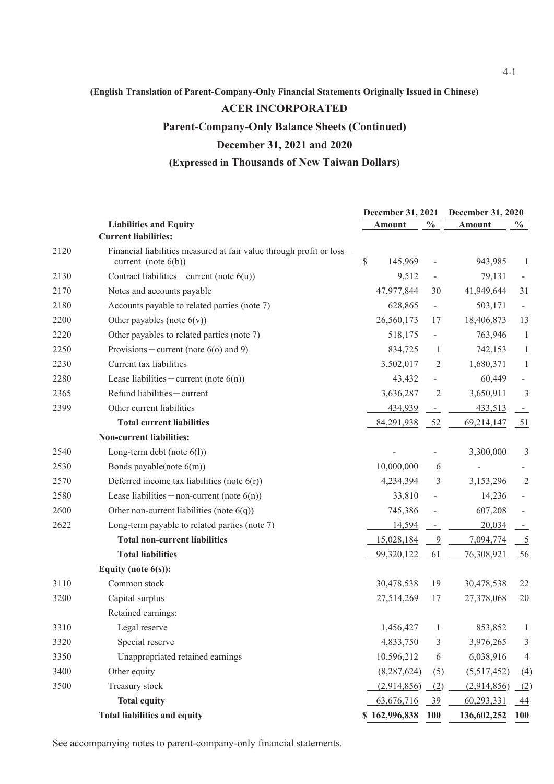### **ACER INCORPORATED**

**Parent-Company-Only Balance Sheets (Continued)**

### **December 31, 2021 and 2020**

### **(Expressed in Thousands of New Taiwan Dollars)**

|      |                                                                                             | December 31, 2021 |                          | <b>December 31, 2020</b> |                          |  |
|------|---------------------------------------------------------------------------------------------|-------------------|--------------------------|--------------------------|--------------------------|--|
|      | <b>Liabilities and Equity</b>                                                               | <b>Amount</b>     | $\frac{0}{0}$            | <b>Amount</b>            | $\frac{0}{0}$            |  |
|      | <b>Current liabilities:</b>                                                                 |                   |                          |                          |                          |  |
| 2120 | Financial liabilities measured at fair value through profit or loss-<br>current (note 6(b)) | \$<br>145,969     |                          | 943,985                  | -1                       |  |
| 2130 | Contract liabilities – current (note $6(u)$ )                                               | 9,512             | $\overline{\phantom{a}}$ | 79,131                   |                          |  |
| 2170 | Notes and accounts payable                                                                  | 47,977,844        | 30                       | 41,949,644               | 31                       |  |
| 2180 | Accounts payable to related parties (note 7)                                                | 628,865           | $\overline{\phantom{a}}$ | 503,171                  | $\overline{\phantom{a}}$ |  |
| 2200 | Other payables (note $6(v)$ )                                                               | 26,560,173        | 17                       | 18,406,873               | 13                       |  |
| 2220 | Other payables to related parties (note 7)                                                  | 518,175           | $\overline{\phantom{0}}$ | 763,946                  | $\mathbf{1}$             |  |
| 2250 | Provisions – current (note $6$ (o) and 9)                                                   | 834,725           | $\mathbf{1}$             | 742,153                  | $\mathbf{1}$             |  |
| 2230 | Current tax liabilities                                                                     | 3,502,017         | 2                        | 1,680,371                | $\mathbf{1}$             |  |
| 2280 | Lease liabilities – current (note $6(n)$ )                                                  | 43,432            | $\overline{\phantom{a}}$ | 60,449                   |                          |  |
| 2365 | Refund liabilities - current                                                                | 3,636,287         | $\overline{2}$           | 3,650,911                | 3                        |  |
| 2399 | Other current liabilities                                                                   | 434,939           | $\overline{\phantom{a}}$ | 433,513                  |                          |  |
|      | <b>Total current liabilities</b>                                                            | 84,291,938        | 52                       | 69,214,147               | 51                       |  |
|      | <b>Non-current liabilities:</b>                                                             |                   |                          |                          |                          |  |
| 2540 | Long-term debt (note $6(1)$ )                                                               |                   |                          | 3,300,000                | $\mathfrak{Z}$           |  |
| 2530 | Bonds payable(note 6(m))                                                                    | 10,000,000        | 6                        |                          |                          |  |
| 2570 | Deferred income tax liabilities (note $6(r)$ )                                              | 4,234,394         | 3                        | 3,153,296                | $\overline{2}$           |  |
| 2580 | Lease liabilities – non-current (note $6(n)$ )                                              | 33,810            | $\overline{\phantom{a}}$ | 14,236                   |                          |  |
| 2600 | Other non-current liabilities (note $6(q)$ )                                                | 745,386           |                          | 607,208                  |                          |  |
| 2622 | Long-term payable to related parties (note 7)                                               | 14,594            | $\overline{\phantom{a}}$ | 20,034                   |                          |  |
|      | <b>Total non-current liabilities</b>                                                        | 15,028,184        | $\overline{9}$           | 7,094,774                | $\overline{5}$           |  |
|      | <b>Total liabilities</b>                                                                    | 99,320,122        | 61                       | 76,308,921               | 56                       |  |
|      | Equity (note $6(s)$ ):                                                                      |                   |                          |                          |                          |  |
| 3110 | Common stock                                                                                | 30,478,538        | 19                       | 30,478,538               | 22                       |  |
| 3200 | Capital surplus                                                                             | 27,514,269        | 17                       | 27,378,068               | 20                       |  |
|      | Retained earnings:                                                                          |                   |                          |                          |                          |  |
| 3310 | Legal reserve                                                                               | 1,456,427         | 1                        | 853,852                  | 1                        |  |
| 3320 | Special reserve                                                                             | 4,833,750         | 3                        | 3,976,265                | 3                        |  |
| 3350 | Unappropriated retained earnings                                                            | 10,596,212        | 6                        | 6,038,916                | 4                        |  |
| 3400 | Other equity                                                                                | (8, 287, 624)     | (5)                      | (5,517,452)              | (4)                      |  |
| 3500 | Treasury stock                                                                              | (2,914,856)       | (2)                      | (2,914,856)              | (2)                      |  |
|      | <b>Total equity</b>                                                                         | 63,676,716        | $\frac{39}{2}$           | 60,293,331               | $\overline{44}$          |  |
|      | <b>Total liabilities and equity</b>                                                         | \$162,996,838     | <b>100</b>               | 136,602,252              | 100                      |  |

See accompanying notes to parent-company-only financial statements.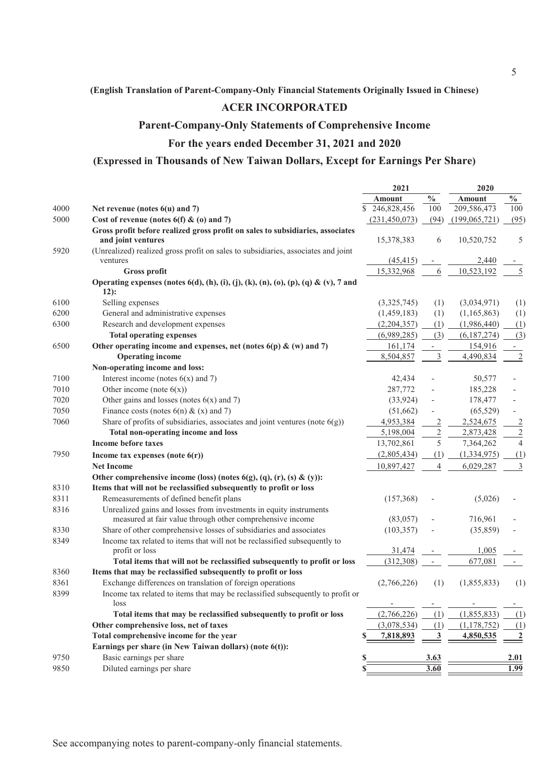### **ACER INCORPORATED**

### **Parent-Company-Only Statements of Comprehensive Income**

### **For the years ended December 31, 2021 and 2020**

### **(Expressed in Thousands of New Taiwan Dollars, Except for Earnings Per Share)**

|      |                                                                                                | 2021                     |                          | 2020                     |                |  |
|------|------------------------------------------------------------------------------------------------|--------------------------|--------------------------|--------------------------|----------------|--|
|      |                                                                                                | <b>Amount</b>            | $\frac{0}{0}$            | <b>Amount</b>            | $\frac{0}{0}$  |  |
| 4000 | Net revenue (notes $6(u)$ and 7)                                                               | \$<br>246,828,456        | 100                      | 209,586,473              | 100            |  |
| 5000 | Cost of revenue (notes $6(f)$ & (o) and 7)                                                     | (231, 450, 073)          | (94)                     | (199,065,721)            | (95)           |  |
|      | Gross profit before realized gross profit on sales to subsidiaries, associates                 |                          |                          |                          |                |  |
|      | and joint ventures                                                                             | 15,378,383               | 6                        | 10,520,752               | 5              |  |
| 5920 | (Unrealized) realized gross profit on sales to subsidiaries, associates and joint              |                          |                          |                          |                |  |
|      | ventures                                                                                       | (45, 415)                | $\overline{\phantom{a}}$ | 2,440                    |                |  |
|      | <b>Gross profit</b>                                                                            | 15,332,968               | 6                        | 10,523,192               | 5              |  |
|      | Operating expenses (notes $6(d)$ , (h), (i), (j), (k), (n), (o), (p), (q) & (v), 7 and<br>12): |                          |                          |                          |                |  |
| 6100 | Selling expenses                                                                               | (3,325,745)              | (1)                      | (3,034,971)              | (1)            |  |
| 6200 | General and administrative expenses                                                            | (1,459,183)              | (1)                      | (1,165,863)              | (1)            |  |
| 6300 | Research and development expenses                                                              | (2,204,357)              | (1)                      | (1,986,440)              | (1)            |  |
|      | <b>Total operating expenses</b>                                                                | (6,989,285)              | (3)                      | (6,187,274)              | (3)            |  |
| 6500 | Other operating income and expenses, net (notes $6(p)$ & (w) and 7)                            | 161,174                  | $\qquad \qquad -$        | 154,916                  |                |  |
|      | <b>Operating income</b>                                                                        | 8,504,857                | 3                        | 4,490,834                | $\overline{2}$ |  |
|      | Non-operating income and loss:                                                                 |                          |                          |                          |                |  |
| 7100 | Interest income (notes $6(x)$ and 7)                                                           | 42,434                   |                          | 50,577                   |                |  |
| 7010 | Other income (note $6(x)$ )                                                                    | 287,772                  |                          | 185,228                  |                |  |
| 7020 | Other gains and losses (notes $6(x)$ and 7)                                                    | (33,924)                 |                          | 178,477                  |                |  |
| 7050 | Finance costs (notes $6(n)$ & (x) and 7)                                                       | (51,662)                 |                          | (65, 529)                |                |  |
| 7060 | Share of profits of subsidiaries, associates and joint ventures (note $6(g)$ )                 | 4,953,384                | $\overline{c}$           | 2,524,675                | $\overline{2}$ |  |
|      | Total non-operating income and loss                                                            | 5,198,004                | $\overline{c}$           | 2,873,428                | $\overline{2}$ |  |
|      | Income before taxes                                                                            | 13,702,861               | 5                        | 7,364,262                | $\overline{4}$ |  |
| 7950 | Income tax expenses (note $6(r)$ )                                                             | (2,805,434)              | (1)                      | (1,334,975)              | (1)            |  |
|      | <b>Net Income</b>                                                                              | 10,897,427               | $\overline{4}$           | 6,029,287                | 3              |  |
|      | Other comprehensive income (loss) (notes $6(g)$ , (q), (r), (s) & (y)):                        |                          |                          |                          |                |  |
| 8310 | Items that will not be reclassified subsequently to profit or loss                             |                          |                          |                          |                |  |
| 8311 | Remeasurements of defined benefit plans                                                        | (157,368)                |                          | (5,026)                  |                |  |
| 8316 | Unrealized gains and losses from investments in equity instruments                             |                          |                          |                          |                |  |
|      | measured at fair value through other comprehensive income                                      | (83,057)                 |                          | 716,961                  |                |  |
| 8330 | Share of other comprehensive losses of subsidiaries and associates                             | (103, 357)               |                          | (35, 859)                |                |  |
| 8349 | Income tax related to items that will not be reclassified subsequently to                      |                          |                          |                          |                |  |
|      | profit or loss                                                                                 | 31,474                   |                          | 1,005                    |                |  |
|      | Total items that will not be reclassified subsequently to profit or loss                       | (312,308)                | $\overline{\phantom{a}}$ | 677,081                  |                |  |
| 8360 | Items that may be reclassified subsequently to profit or loss                                  |                          |                          |                          |                |  |
| 8361 | Exchange differences on translation of foreign operations                                      | (2,766,226)              | (1)                      | (1,855,833)              | (1)            |  |
| 8399 | Income tax related to items that may be reclassified subsequently to profit or<br>loss         | $\overline{\phantom{a}}$ | $\overline{\phantom{a}}$ | $\overline{\phantom{0}}$ | -              |  |
|      | Total items that may be reclassified subsequently to profit or loss                            | (2,766,226)              | (1)                      | (1,855,833)              | (1)            |  |
|      | Other comprehensive loss, net of taxes                                                         | (3,078,534)              | (1)                      | (1,178,752)              | (1)            |  |
|      | Total comprehensive income for the year                                                        | 7,818,893                | 3                        | 4,850,535                | $\overline{2}$ |  |
|      | Earnings per share (in New Taiwan dollars) (note 6(t)):                                        |                          |                          |                          |                |  |
| 9750 | Basic earnings per share                                                                       |                          | <u>3.63</u>              |                          | <u>2.01</u>    |  |
| 9850 | Diluted earnings per share                                                                     |                          | 3.60                     |                          | 1.99           |  |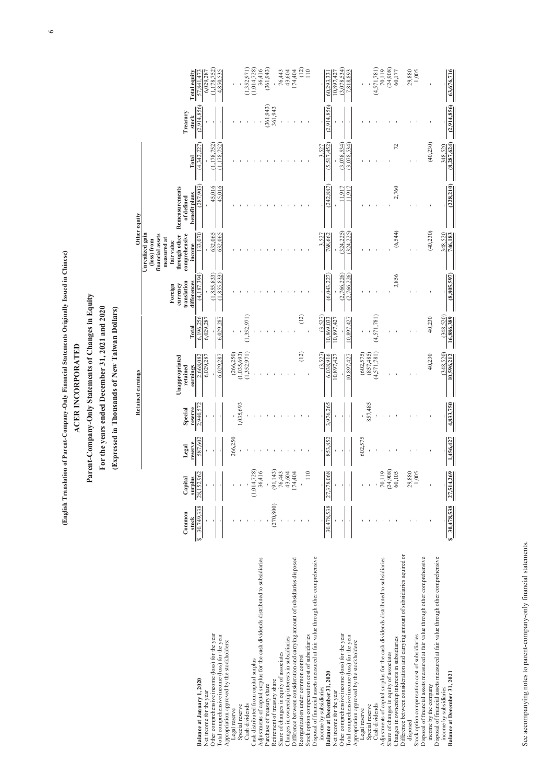#### **ACER INCORPORATED**

#### **Parent-Company-Only Statements of Changes in Equity**

#### **For the years ended December 31, 2021 and 2020**

#### **(Expressed in Thousands of New Taiwan Dollars)**

|                                                                                                                            |                 |                       | <b>Retained earnings</b> |                           | Other equity                           |             |                                                   |                                                                                                            |                                                             |               |                   |                       |
|----------------------------------------------------------------------------------------------------------------------------|-----------------|-----------------------|--------------------------|---------------------------|----------------------------------------|-------------|---------------------------------------------------|------------------------------------------------------------------------------------------------------------|-------------------------------------------------------------|---------------|-------------------|-----------------------|
|                                                                                                                            | Common<br>stock | Capital<br>surplus    | Legal<br>reserve         | <b>Special</b><br>reserve | Unappropriated<br>retained<br>earnings | Total       | Foreign<br>currency<br>translation<br>differences | Unrealized gain<br>(loss) from<br>financial assets<br>measured at<br>fair value<br>comprehensive<br>income | through other Remeasurements<br>of defined<br>benefit plans | <b>Total</b>  | Treasury<br>stock | <b>Total equity</b>   |
| <b>Balance at January 1, 2020</b>                                                                                          | 30,749,338      | 28,152,962            | 587,602                  | 2.940.572                 | 2,668,082                              | 6,196,256   | (4,187,394)                                       | 133,070                                                                                                    | (287, 903)                                                  | (4,342,227)   | (2,914,856)       | 57,841,473            |
| Net income for the year                                                                                                    |                 |                       |                          |                           | 6,029,287                              | 6,029,287   |                                                   |                                                                                                            |                                                             |               |                   | 6,029,287             |
| Other comprehensive income (loss) for the year                                                                             |                 |                       |                          |                           |                                        | $\sim$      | (1,855,833)                                       | 632,065                                                                                                    | 45,016                                                      | (1,178,752)   |                   | (1, 178, 752)         |
| Total comprehensive income (loss) for the year                                                                             |                 |                       |                          | $\sim$                    | 6,029,287                              | 6,029,287   | (1.855.833)                                       | 632,065                                                                                                    | 45,016                                                      | (1.178.752)   |                   | 4,850,535             |
| Appropriation approved by the stockholders:                                                                                |                 |                       |                          |                           |                                        |             |                                                   |                                                                                                            |                                                             |               |                   |                       |
| Legal reserve                                                                                                              |                 |                       | 266,250                  |                           | (266, 250)                             |             |                                                   |                                                                                                            |                                                             |               |                   |                       |
| Special reserve<br>Cash dividends                                                                                          |                 |                       |                          | 1,035,693                 | (1,035,693)                            | (1,352,971) |                                                   |                                                                                                            |                                                             |               |                   |                       |
|                                                                                                                            |                 |                       |                          |                           | (1,352,971)                            |             |                                                   |                                                                                                            |                                                             |               |                   | (1,352,971)           |
| Cash distributed from capital surplus<br>Adjustments of capital surplus for the cash dividends distributed to subsidiaries |                 | (1,014,728)<br>36,416 |                          |                           |                                        |             |                                                   |                                                                                                            |                                                             |               |                   | (1,014,728)<br>36,416 |
| Purchase of treasury share                                                                                                 |                 |                       |                          |                           |                                        |             |                                                   |                                                                                                            |                                                             |               | (361, 943)        | (361, 943)            |
| Retirement of treasury share                                                                                               | (270, 800)      | (91, 143)             |                          |                           |                                        |             |                                                   |                                                                                                            |                                                             |               | 361,943           |                       |
| Share of changes in equity of associates                                                                                   |                 | 76,443                |                          |                           |                                        |             |                                                   |                                                                                                            |                                                             |               |                   | 76,443                |
| Changes in ownership interests in subsidiaries                                                                             |                 | 43,604                |                          |                           |                                        |             |                                                   |                                                                                                            |                                                             |               |                   | 43,604                |
| Difference between consideration and carrying amount of subsidiaries disposed                                              |                 | 174,404               |                          |                           |                                        |             |                                                   |                                                                                                            |                                                             |               |                   | 174,404               |
| Reorganization under common control                                                                                        |                 |                       |                          |                           | (12)                                   | (12)        |                                                   |                                                                                                            |                                                             |               |                   | (12)                  |
| Stock option compensation cost of subsidiaries                                                                             |                 | 110                   |                          |                           |                                        |             |                                                   |                                                                                                            |                                                             |               |                   | 110                   |
| Disposal of financial assets measured at fair value through other comprehensive                                            |                 |                       |                          |                           |                                        |             |                                                   |                                                                                                            |                                                             |               |                   |                       |
| income by subsidiaries                                                                                                     |                 |                       |                          |                           | (3,527)                                | (3,527)     |                                                   | 3,527                                                                                                      |                                                             | 3,527         |                   |                       |
| <b>Balance at December 31, 2020</b>                                                                                        | 30,478,538      | 27,378,068            | 853,852                  | 3,976,265                 | 6.038.916                              | 10,869,033  | (6,043,227)                                       | 768,662                                                                                                    | (242, 887)                                                  | (5.517.452)   | (2,914,856)       | 60.293.331            |
| Net income for the year                                                                                                    |                 |                       |                          |                           | 10,897,427                             | 10,897,427  |                                                   |                                                                                                            |                                                             |               |                   | 10,897,427            |
| Other comprehensive income (loss) for the year                                                                             |                 |                       |                          |                           |                                        |             | (2.766.226)                                       | (324.225)                                                                                                  | 11,917                                                      | (3.078.534)   |                   | (3,078,534)           |
| Total comprehensive income (loss) for the year                                                                             |                 |                       |                          | $\sim$                    | 10,897,427                             | 10,897,427  | (2,766,226)                                       | (324, 225)                                                                                                 | 11.917                                                      | (3.078.534)   |                   | 7,818,893             |
| Appropriation approved by the stockholders:                                                                                |                 |                       |                          |                           |                                        |             |                                                   |                                                                                                            |                                                             |               |                   |                       |
| Legal reserve                                                                                                              |                 |                       | 602,575                  |                           | (602, 575)                             |             |                                                   |                                                                                                            |                                                             |               |                   |                       |
| Special reserve                                                                                                            |                 |                       |                          | 857,485                   | (857, 485)                             |             |                                                   |                                                                                                            |                                                             |               |                   |                       |
| Cash dividends                                                                                                             |                 |                       |                          |                           | (4, 571, 781)                          | (4,571,781) |                                                   |                                                                                                            |                                                             |               |                   | (4,571,781)           |
| Adjustments of capital surplus for the cash dividends distributed to subsidiaries                                          |                 | 70,119                |                          |                           |                                        |             |                                                   |                                                                                                            |                                                             |               |                   | 70,119                |
| Share of changes in equity of associates<br>Changes in ownership interests in subsidiaries                                 |                 | (24,908)              |                          |                           |                                        |             |                                                   |                                                                                                            |                                                             | 72            |                   | (24,908)<br>60,177    |
| Difference between consideration and carrying amount of subsidiaries aquired or                                            |                 | 60,105                |                          |                           |                                        |             | 3,856                                             | (6, 544)                                                                                                   | 2,760                                                       |               |                   |                       |
| disposed                                                                                                                   |                 | 29,880                |                          |                           |                                        |             |                                                   |                                                                                                            |                                                             |               |                   | 29,880                |
| Stock option compensation cost of subsidiaries                                                                             |                 | 1.005                 |                          |                           |                                        |             |                                                   |                                                                                                            |                                                             |               |                   | 1,005                 |
| Disposal of financial assets measured at fair value through other comprehensive                                            |                 |                       |                          |                           |                                        |             |                                                   |                                                                                                            |                                                             |               |                   |                       |
| income by the company                                                                                                      |                 |                       |                          |                           | 40,230                                 | 40,230      |                                                   | (40, 230)                                                                                                  |                                                             | (40, 230)     |                   |                       |
| Disposal of financial assets measured at fair value through other comprehensive                                            |                 |                       |                          |                           |                                        |             |                                                   |                                                                                                            |                                                             |               |                   |                       |
| income by subsidiaries                                                                                                     |                 |                       |                          |                           | (348, 520)                             | (348, 520)  |                                                   | 348,520                                                                                                    |                                                             | 348,520       |                   |                       |
| Balance at December 31, 2021                                                                                               | 30,478,538      | 27,514,269            | 1,456,427                | 4,833,750                 | 10,596,212                             | 16,886,389  | (8,805,597)                                       | 746,183                                                                                                    | (228, 210)                                                  | (8, 287, 624) | (2,914,856)       | 63,676,716            |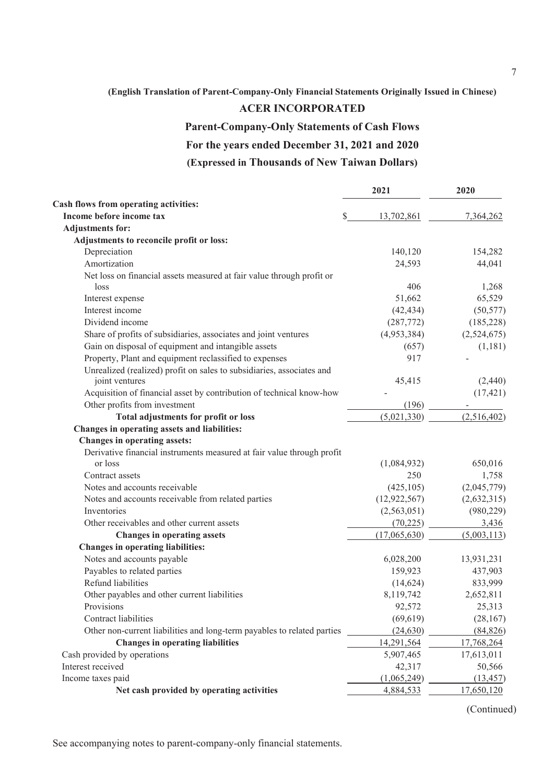### **ACER INCORPORATED**

### **Parent-Company-Only Statements of Cash Flows**

# **For the years ended December 31, 2021 and 2020**

# **(Expressed in Thousands of New Taiwan Dollars)**

|                                                                         | 2021             | 2020        |
|-------------------------------------------------------------------------|------------------|-------------|
| Cash flows from operating activities:                                   |                  |             |
| Income before income tax                                                | \$<br>13,702,861 | 7,364,262   |
| <b>Adjustments for:</b>                                                 |                  |             |
| Adjustments to reconcile profit or loss:                                |                  |             |
| Depreciation                                                            | 140,120          | 154,282     |
| Amortization                                                            | 24,593           | 44,041      |
| Net loss on financial assets measured at fair value through profit or   |                  |             |
| loss                                                                    | 406              | 1,268       |
| Interest expense                                                        | 51,662           | 65,529      |
| Interest income                                                         | (42, 434)        | (50, 577)   |
| Dividend income                                                         | (287,772)        | (185, 228)  |
| Share of profits of subsidiaries, associates and joint ventures         | (4,953,384)      | (2,524,675) |
| Gain on disposal of equipment and intangible assets                     | (657)            | (1,181)     |
| Property, Plant and equipment reclassified to expenses                  | 917              |             |
| Unrealized (realized) profit on sales to subsidiaries, associates and   |                  |             |
| joint ventures                                                          | 45,415           | (2,440)     |
| Acquisition of financial asset by contribution of technical know-how    |                  | (17, 421)   |
| Other profits from investment                                           | (196)            |             |
| Total adjustments for profit or loss                                    | (5,021,330)      | (2,516,402) |
| Changes in operating assets and liabilities:                            |                  |             |
| Changes in operating assets:                                            |                  |             |
| Derivative financial instruments measured at fair value through profit  |                  |             |
| or loss                                                                 | (1,084,932)      | 650,016     |
| Contract assets                                                         | 250              | 1,758       |
| Notes and accounts receivable                                           | (425, 105)       | (2,045,779) |
| Notes and accounts receivable from related parties                      | (12, 922, 567)   | (2,632,315) |
| Inventories                                                             | (2,563,051)      | (980, 229)  |
| Other receivables and other current assets                              | (70, 225)        | 3,436       |
| <b>Changes in operating assets</b>                                      | (17,065,630)     | (5,003,113) |
| <b>Changes in operating liabilities:</b>                                |                  |             |
| Notes and accounts payable                                              | 6,028,200        | 13,931,231  |
| Payables to related parties                                             | 159,923          | 437,903     |
| Refund liabilities                                                      | (14, 624)        | 833,999     |
| Other payables and other current liabilities                            | 8,119,742        | 2,652,811   |
| Provisions                                                              | 92,572           | 25,313      |
| Contract liabilities                                                    | (69, 619)        | (28, 167)   |
| Other non-current liabilities and long-term payables to related parties | (24, 630)        | (84, 826)   |
| <b>Changes in operating liabilities</b>                                 | 14,291,564       | 17,768,264  |
| Cash provided by operations                                             | 5,907,465        | 17,613,011  |
| Interest received                                                       | 42,317           | 50,566      |
| Income taxes paid                                                       | (1,065,249)      | (13, 457)   |
| Net cash provided by operating activities                               | 4,884,533        | 17,650,120  |

(Continued)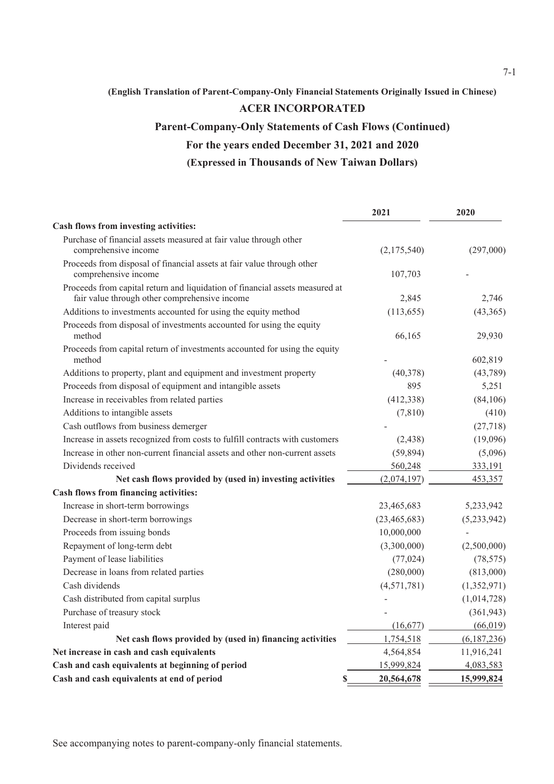### **ACER INCORPORATED**

# **Parent-Company-Only Statements of Cash Flows (Continued)**

# **For the years ended December 31, 2021 and 2020**

# **(Expressed in Thousands of New Taiwan Dollars)**

|                                                                                                                               | 2021           | 2020        |
|-------------------------------------------------------------------------------------------------------------------------------|----------------|-------------|
| Cash flows from investing activities:                                                                                         |                |             |
| Purchase of financial assets measured at fair value through other                                                             |                |             |
| comprehensive income                                                                                                          | (2,175,540)    | (297,000)   |
| Proceeds from disposal of financial assets at fair value through other                                                        |                |             |
| comprehensive income                                                                                                          | 107,703        |             |
| Proceeds from capital return and liquidation of financial assets measured at<br>fair value through other comprehensive income | 2,845          | 2,746       |
| Additions to investments accounted for using the equity method                                                                | (113, 655)     | (43,365)    |
| Proceeds from disposal of investments accounted for using the equity<br>method                                                | 66,165         | 29,930      |
| Proceeds from capital return of investments accounted for using the equity<br>method                                          |                | 602,819     |
| Additions to property, plant and equipment and investment property                                                            | (40,378)       | (43,789)    |
| Proceeds from disposal of equipment and intangible assets                                                                     | 895            | 5,251       |
| Increase in receivables from related parties                                                                                  | (412, 338)     | (84, 106)   |
| Additions to intangible assets                                                                                                | (7, 810)       | (410)       |
| Cash outflows from business demerger                                                                                          |                | (27, 718)   |
| Increase in assets recognized from costs to fulfill contracts with customers                                                  | (2, 438)       | (19,096)    |
| Increase in other non-current financial assets and other non-current assets                                                   | (59, 894)      | (5,096)     |
| Dividends received                                                                                                            | 560,248        | 333,191     |
| Net cash flows provided by (used in) investing activities                                                                     | (2,074,197)    | 453,357     |
| Cash flows from financing activities:                                                                                         |                |             |
| Increase in short-term borrowings                                                                                             | 23,465,683     | 5,233,942   |
| Decrease in short-term borrowings                                                                                             | (23, 465, 683) | (5,233,942) |
| Proceeds from issuing bonds                                                                                                   | 10,000,000     |             |
| Repayment of long-term debt                                                                                                   | (3,300,000)    | (2,500,000) |
| Payment of lease liabilities                                                                                                  | (77, 024)      | (78, 575)   |
| Decrease in loans from related parties                                                                                        | (280,000)      | (813,000)   |
| Cash dividends                                                                                                                | (4,571,781)    | (1,352,971) |
| Cash distributed from capital surplus                                                                                         |                | (1,014,728) |
| Purchase of treasury stock                                                                                                    |                | (361, 943)  |
| Interest paid                                                                                                                 | (16,677)       | (66, 019)   |
| Net cash flows provided by (used in) financing activities                                                                     | 1,754,518      | (6,187,236) |
| Net increase in cash and cash equivalents                                                                                     | 4,564,854      | 11,916,241  |
| Cash and cash equivalents at beginning of period                                                                              | 15,999,824     | 4,083,583   |
| Cash and cash equivalents at end of period<br>\$                                                                              | 20,564,678     | 15,999,824  |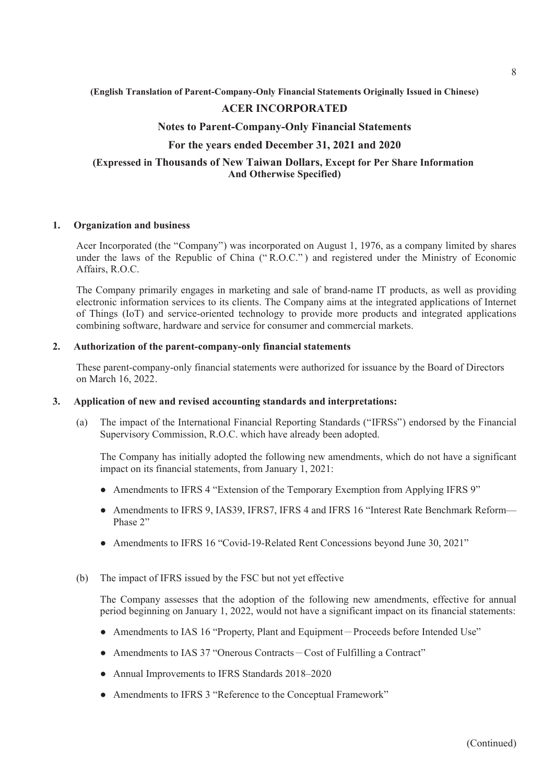### **ACER INCORPORATED**

#### **Notes to Parent-Company-Only Financial Statements**

### **For the years ended December 31, 2021 and 2020**

### **(Expressed in Thousands of New Taiwan Dollars, Except for Per Share Information And Otherwise Specified)**

#### **1. Organization and business**

Acer Incorporated (the "Company") was incorporated on August 1, 1976, as a company limited by shares under the laws of the Republic of China (" R.O.C." ) and registered under the Ministry of Economic Affairs, R.O.C.

The Company primarily engages in marketing and sale of brand-name IT products, as well as providing electronic information services to its clients. The Company aims at the integrated applications of Internet of Things (IoT) and service-oriented technology to provide more products and integrated applications combining software, hardware and service for consumer and commercial markets.

#### **2. Authorization of the parent-company-only financial statements**

These parent-company-only financial statements were authorized for issuance by the Board of Directors on March 16, 2022.

#### **3. Application of new and revised accounting standards and interpretations:**

(a) The impact of the International Financial Reporting Standards ("IFRSs") endorsed by the Financial Supervisory Commission, R.O.C. which have already been adopted.

The Company has initially adopted the following new amendments, which do not have a significant impact on its financial statements, from January 1, 2021:

- Amendments to IFRS 4 "Extension of the Temporary Exemption from Applying IFRS 9"
- Amendments to IFRS 9, IAS39, IFRS7, IFRS 4 and IFRS 16 "Interest Rate Benchmark Reform— Phase 2"
- Amendments to IFRS 16 "Covid-19-Related Rent Concessions beyond June 30, 2021"

#### (b) The impact of IFRS issued by the FSC but not yet effective

The Company assesses that the adoption of the following new amendments, effective for annual period beginning on January 1, 2022, would not have a significant impact on its financial statements:

- Amendments to IAS 16 "Property, Plant and Equipment-Proceeds before Intended Use"
- Amendments to IAS 37 "Onerous Contracts Cost of Fulfilling a Contract"
- Annual Improvements to IFRS Standards 2018–2020
- Amendments to IFRS 3 "Reference to the Conceptual Framework"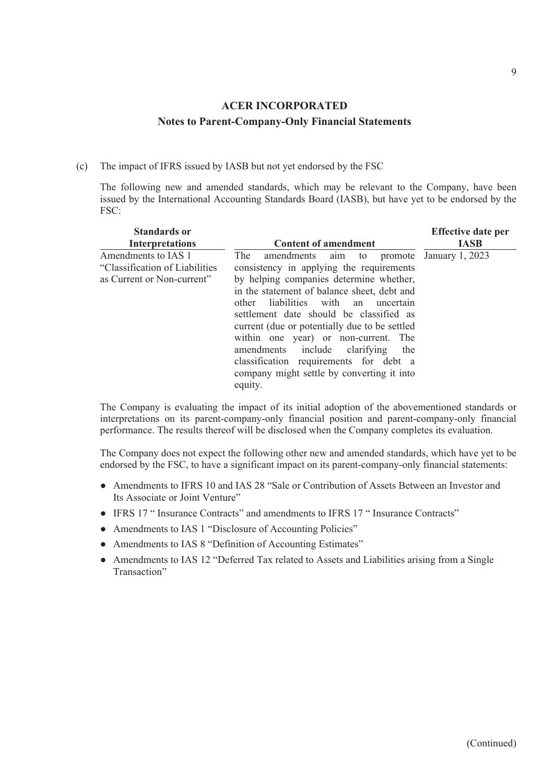(c) The impact of IFRS issued by IASB but not yet endorsed by the FSC

The following new and amended standards, which may be relevant to the Company, have been issued by the International Accounting Standards Board (IASB), but have yet to be endorsed by the FSC:

| <b>Standards or</b><br><b>Interpretations</b>                                        | <b>Content of amendment</b>                                                                                                                                                                                                                                                                                                                                                                                                                                                                               | <b>Effective date per</b><br><b>IASB</b> |
|--------------------------------------------------------------------------------------|-----------------------------------------------------------------------------------------------------------------------------------------------------------------------------------------------------------------------------------------------------------------------------------------------------------------------------------------------------------------------------------------------------------------------------------------------------------------------------------------------------------|------------------------------------------|
| Amendments to IAS 1<br>"Classification of Liabilities"<br>as Current or Non-current" | The<br>amendments aim to promote January 1, 2023<br>consistency in applying the requirements<br>by helping companies determine whether,<br>in the statement of balance sheet, debt and<br>other liabilities with an uncertain<br>settlement date should be classified as<br>current (due or potentially due to be settled<br>within one year) or non-current. The<br>amendments include clarifying the<br>classification requirements for debt a<br>company might settle by converting it into<br>equity. |                                          |

The Company is evaluating the impact of its initial adoption of the abovementioned standards or interpretations on its parent-company-only financial position and parent-company-only financial performance. The results thereof will be disclosed when the Company completes its evaluation.

The Company does not expect the following other new and amended standards, which have yet to be endorsed by the FSC, to have a significant impact on its parent-company-only financial statements:

- Amendments to IFRS 10 and IAS 28 "Sale or Contribution of Assets Between an Investor and Its Associate or Joint Venture"
- IFRS 17 " Insurance Contracts" and amendments to IFRS 17 " Insurance Contracts"
- Amendments to IAS 1 "Disclosure of Accounting Policies"
- Amendments to IAS 8 "Definition of Accounting Estimates"
- Amendments to IAS 12 "Deferred Tax related to Assets and Liabilities arising from a Single Transaction"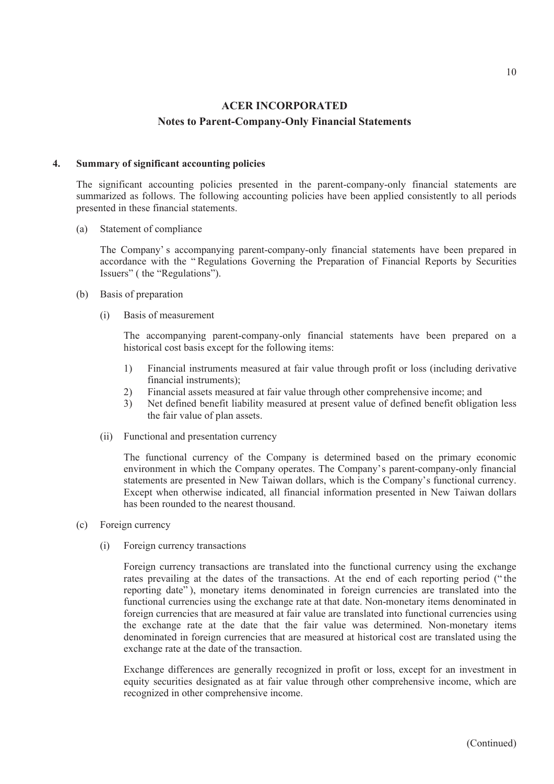#### **4. Summary of significant accounting policies**

The significant accounting policies presented in the parent-company-only financial statements are summarized as follows. The following accounting policies have been applied consistently to all periods presented in these financial statements.

(a) Statement of compliance

The Company' s accompanying parent-company-only financial statements have been prepared in accordance with the " Regulations Governing the Preparation of Financial Reports by Securities Issuers" ( the "Regulations").

- (b) Basis of preparation
	- (i) Basis of measurement

The accompanying parent-company-only financial statements have been prepared on a historical cost basis except for the following items:

- 1) Financial instruments measured at fair value through profit or loss (including derivative financial instruments);
- 2) Financial assets measured at fair value through other comprehensive income; and
- 3) Net defined benefit liability measured at present value of defined benefit obligation less the fair value of plan assets.
- (ii) Functional and presentation currency

The functional currency of the Company is determined based on the primary economic environment in which the Company operates. The Company's parent-company-only financial statements are presented in New Taiwan dollars, which is the Company's functional currency. Except when otherwise indicated, all financial information presented in New Taiwan dollars has been rounded to the nearest thousand.

- (c) Foreign currency
	- (i) Foreign currency transactions

Foreign currency transactions are translated into the functional currency using the exchange rates prevailing at the dates of the transactions. At the end of each reporting period (" the reporting date"), monetary items denominated in foreign currencies are translated into the functional currencies using the exchange rate at that date. Non-monetary items denominated in foreign currencies that are measured at fair value are translated into functional currencies using the exchange rate at the date that the fair value was determined. Non-monetary items denominated in foreign currencies that are measured at historical cost are translated using the exchange rate at the date of the transaction.

Exchange differences are generally recognized in profit or loss, except for an investment in equity securities designated as at fair value through other comprehensive income, which are recognized in other comprehensive income.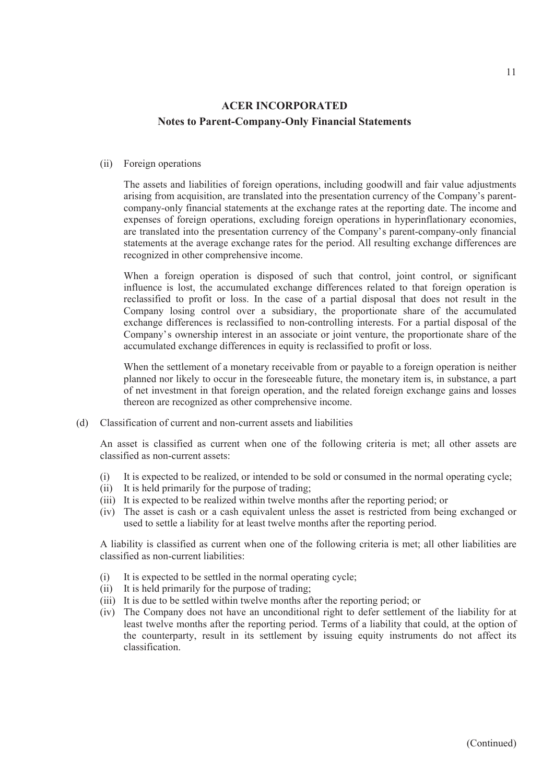#### (ii) Foreign operations

The assets and liabilities of foreign operations, including goodwill and fair value adjustments arising from acquisition, are translated into the presentation currency of the Company's parentcompany-only financial statements at the exchange rates at the reporting date. The income and expenses of foreign operations, excluding foreign operations in hyperinflationary economies, are translated into the presentation currency of the Company's parent-company-only financial statements at the average exchange rates for the period. All resulting exchange differences are recognized in other comprehensive income.

When a foreign operation is disposed of such that control, joint control, or significant influence is lost, the accumulated exchange differences related to that foreign operation is reclassified to profit or loss. In the case of a partial disposal that does not result in the Company losing control over a subsidiary, the proportionate share of the accumulated exchange differences is reclassified to non-controlling interests. For a partial disposal of the Company's ownership interest in an associate or joint venture, the proportionate share of the accumulated exchange differences in equity is reclassified to profit or loss.

When the settlement of a monetary receivable from or payable to a foreign operation is neither planned nor likely to occur in the foreseeable future, the monetary item is, in substance, a part of net investment in that foreign operation, and the related foreign exchange gains and losses thereon are recognized as other comprehensive income.

(d) Classification of current and non-current assets and liabilities

An asset is classified as current when one of the following criteria is met; all other assets are classified as non-current assets:

- (i) It is expected to be realized, or intended to be sold or consumed in the normal operating cycle;
- (ii) It is held primarily for the purpose of trading;
- (iii) It is expected to be realized within twelve months after the reporting period; or
- (iv) The asset is cash or a cash equivalent unless the asset is restricted from being exchanged or used to settle a liability for at least twelve months after the reporting period.

A liability is classified as current when one of the following criteria is met; all other liabilities are classified as non-current liabilities:

- (i) It is expected to be settled in the normal operating cycle;
- (ii) It is held primarily for the purpose of trading;
- (iii) It is due to be settled within twelve months after the reporting period; or
- (iv) The Company does not have an unconditional right to defer settlement of the liability for at least twelve months after the reporting period. Terms of a liability that could, at the option of the counterparty, result in its settlement by issuing equity instruments do not affect its classification.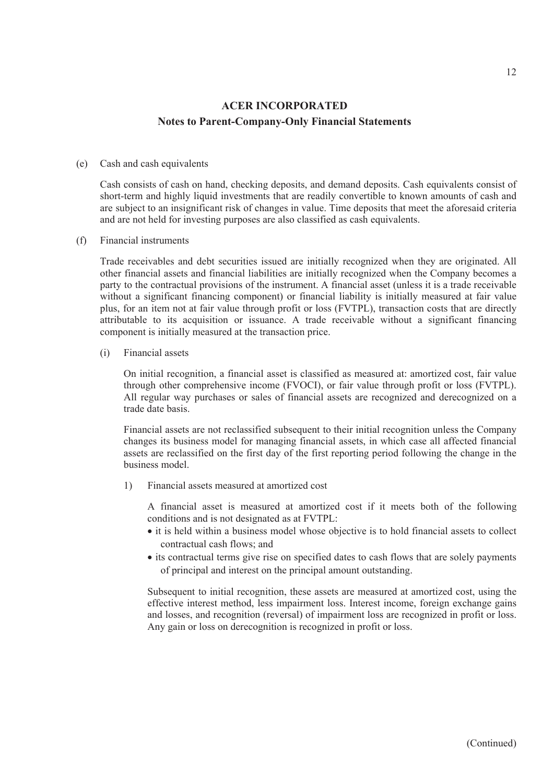#### (e) Cash and cash equivalents

Cash consists of cash on hand, checking deposits, and demand deposits. Cash equivalents consist of short-term and highly liquid investments that are readily convertible to known amounts of cash and are subject to an insignificant risk of changes in value. Time deposits that meet the aforesaid criteria and are not held for investing purposes are also classified as cash equivalents.

#### (f) Financial instruments

Trade receivables and debt securities issued are initially recognized when they are originated. All other financial assets and financial liabilities are initially recognized when the Company becomes a party to the contractual provisions of the instrument. A financial asset (unless it is a trade receivable without a significant financing component) or financial liability is initially measured at fair value plus, for an item not at fair value through profit or loss (FVTPL), transaction costs that are directly attributable to its acquisition or issuance. A trade receivable without a significant financing component is initially measured at the transaction price.

#### (i) Financial assets

On initial recognition, a financial asset is classified as measured at: amortized cost, fair value through other comprehensive income (FVOCI), or fair value through profit or loss (FVTPL). All regular way purchases or sales of financial assets are recognized and derecognized on a trade date basis.

Financial assets are not reclassified subsequent to their initial recognition unless the Company changes its business model for managing financial assets, in which case all affected financial assets are reclassified on the first day of the first reporting period following the change in the business model.

1) Financial assets measured at amortized cost

A financial asset is measured at amortized cost if it meets both of the following conditions and is not designated as at FVTPL:

- it is held within a business model whose objective is to hold financial assets to collect contractual cash flows; and
- its contractual terms give rise on specified dates to cash flows that are solely payments of principal and interest on the principal amount outstanding.

Subsequent to initial recognition, these assets are measured at amortized cost, using the effective interest method, less impairment loss. Interest income, foreign exchange gains and losses, and recognition (reversal) of impairment loss are recognized in profit or loss. Any gain or loss on derecognition is recognized in profit or loss.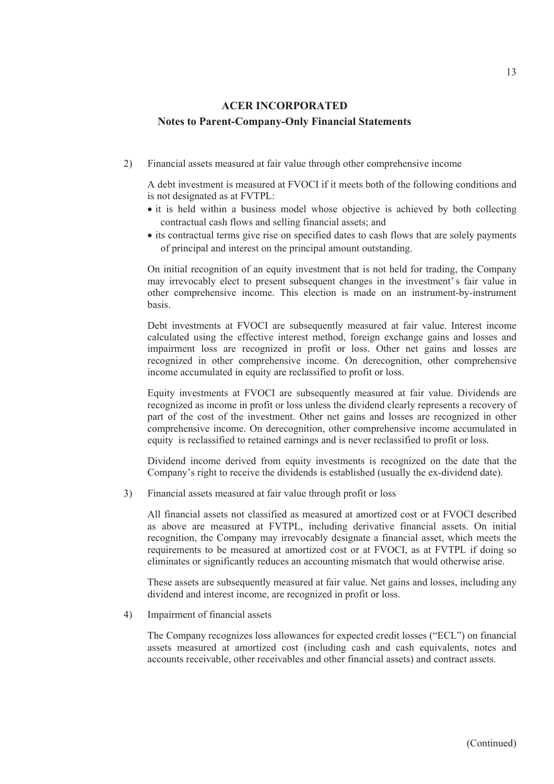2) Financial assets measured at fair value through other comprehensive income

A debt investment is measured at FVOCI if it meets both of the following conditions and is not designated as at FVTPL:

- it is held within a business model whose objective is achieved by both collecting contractual cash flows and selling financial assets; and
- its contractual terms give rise on specified dates to cash flows that are solely payments of principal and interest on the principal amount outstanding.

On initial recognition of an equity investment that is not held for trading, the Company may irrevocably elect to present subsequent changes in the investment' s fair value in other comprehensive income. This election is made on an instrument-by-instrument basis.

Debt investments at FVOCI are subsequently measured at fair value. Interest income calculated using the effective interest method, foreign exchange gains and losses and impairment loss are recognized in profit or loss. Other net gains and losses are recognized in other comprehensive income. On derecognition, other comprehensive income accumulated in equity are reclassified to profit or loss.

Equity investments at FVOCI are subsequently measured at fair value. Dividends are recognized as income in profit or loss unless the dividend clearly represents a recovery of part of the cost of the investment. Other net gains and losses are recognized in other comprehensive income. On derecognition, other comprehensive income accumulated in equity is reclassified to retained earnings and is never reclassified to profit or loss.

Dividend income derived from equity investments is recognized on the date that the Company's right to receive the dividends is established (usually the ex-dividend date).

3) Financial assets measured at fair value through profit or loss

All financial assets not classified as measured at amortized cost or at FVOCI described as above are measured at FVTPL, including derivative financial assets. On initial recognition, the Company may irrevocably designate a financial asset, which meets the requirements to be measured at amortized cost or at FVOCI, as at FVTPL if doing so eliminates or significantly reduces an accounting mismatch that would otherwise arise.

These assets are subsequently measured at fair value. Net gains and losses, including any dividend and interest income, are recognized in profit or loss.

#### 4) Impairment of financial assets

The Company recognizes loss allowances for expected credit losses ("ECL") on financial assets measured at amortized cost (including cash and cash equivalents, notes and accounts receivable, other receivables and other financial assets) and contract assets.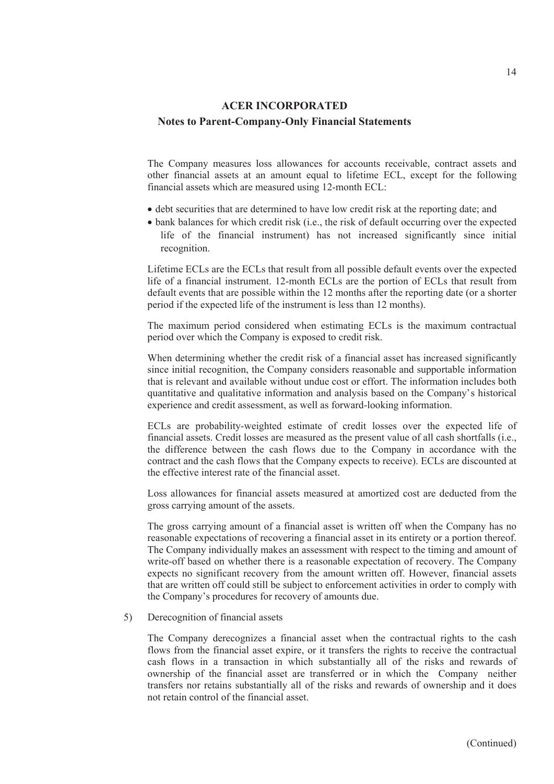The Company measures loss allowances for accounts receivable, contract assets and other financial assets at an amount equal to lifetime ECL, except for the following financial assets which are measured using 12-month ECL:

- debt securities that are determined to have low credit risk at the reporting date; and
- bank balances for which credit risk (i.e., the risk of default occurring over the expected life of the financial instrument) has not increased significantly since initial recognition.

Lifetime ECLs are the ECLs that result from all possible default events over the expected life of a financial instrument. 12-month ECLs are the portion of ECLs that result from default events that are possible within the 12 months after the reporting date (or a shorter period if the expected life of the instrument is less than 12 months).

The maximum period considered when estimating ECLs is the maximum contractual period over which the Company is exposed to credit risk.

When determining whether the credit risk of a financial asset has increased significantly since initial recognition, the Company considers reasonable and supportable information that is relevant and available without undue cost or effort. The information includes both quantitative and qualitative information and analysis based on the Company's historical experience and credit assessment, as well as forward-looking information.

ECLs are probability-weighted estimate of credit losses over the expected life of financial assets. Credit losses are measured as the present value of all cash shortfalls (i.e., the difference between the cash flows due to the Company in accordance with the contract and the cash flows that the Company expects to receive). ECLs are discounted at the effective interest rate of the financial asset.

Loss allowances for financial assets measured at amortized cost are deducted from the gross carrying amount of the assets.

The gross carrying amount of a financial asset is written off when the Company has no reasonable expectations of recovering a financial asset in its entirety or a portion thereof. The Company individually makes an assessment with respect to the timing and amount of write-off based on whether there is a reasonable expectation of recovery. The Company expects no significant recovery from the amount written off. However, financial assets that are written off could still be subject to enforcement activities in order to comply with the Company's procedures for recovery of amounts due.

### 5) Derecognition of financial assets

The Company derecognizes a financial asset when the contractual rights to the cash flows from the financial asset expire, or it transfers the rights to receive the contractual cash flows in a transaction in which substantially all of the risks and rewards of ownership of the financial asset are transferred or in which the Company neither transfers nor retains substantially all of the risks and rewards of ownership and it does not retain control of the financial asset.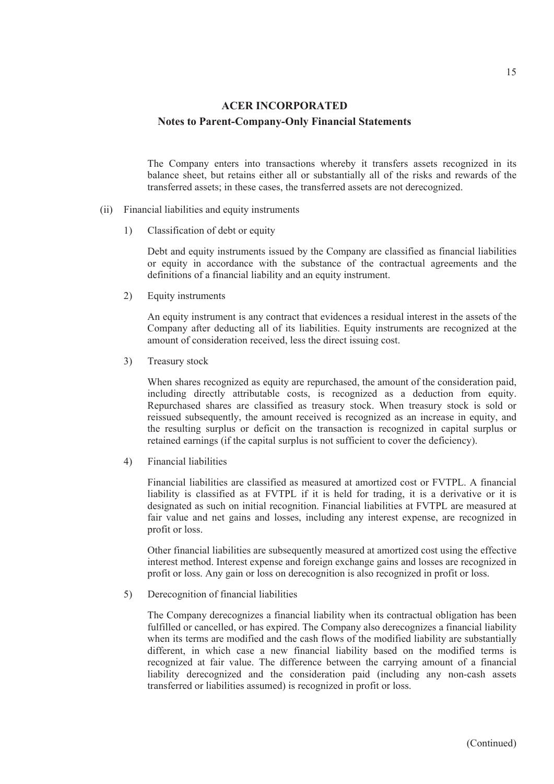The Company enters into transactions whereby it transfers assets recognized in its balance sheet, but retains either all or substantially all of the risks and rewards of the transferred assets; in these cases, the transferred assets are not derecognized.

- (ii) Financial liabilities and equity instruments
	- 1) Classification of debt or equity

Debt and equity instruments issued by the Company are classified as financial liabilities or equity in accordance with the substance of the contractual agreements and the definitions of a financial liability and an equity instrument.

2) Equity instruments

An equity instrument is any contract that evidences a residual interest in the assets of the Company after deducting all of its liabilities. Equity instruments are recognized at the amount of consideration received, less the direct issuing cost.

3) Treasury stock

When shares recognized as equity are repurchased, the amount of the consideration paid, including directly attributable costs, is recognized as a deduction from equity. Repurchased shares are classified as treasury stock. When treasury stock is sold or reissued subsequently, the amount received is recognized as an increase in equity, and the resulting surplus or deficit on the transaction is recognized in capital surplus or retained earnings (if the capital surplus is not sufficient to cover the deficiency).

4) Financial liabilities

Financial liabilities are classified as measured at amortized cost or FVTPL. A financial liability is classified as at FVTPL if it is held for trading, it is a derivative or it is designated as such on initial recognition. Financial liabilities at FVTPL are measured at fair value and net gains and losses, including any interest expense, are recognized in profit or loss.

Other financial liabilities are subsequently measured at amortized cost using the effective interest method. Interest expense and foreign exchange gains and losses are recognized in profit or loss. Any gain or loss on derecognition is also recognized in profit or loss.

5) Derecognition of financial liabilities

The Company derecognizes a financial liability when its contractual obligation has been fulfilled or cancelled, or has expired. The Company also derecognizes a financial liability when its terms are modified and the cash flows of the modified liability are substantially different, in which case a new financial liability based on the modified terms is recognized at fair value. The difference between the carrying amount of a financial liability derecognized and the consideration paid (including any non-cash assets transferred or liabilities assumed) is recognized in profit or loss.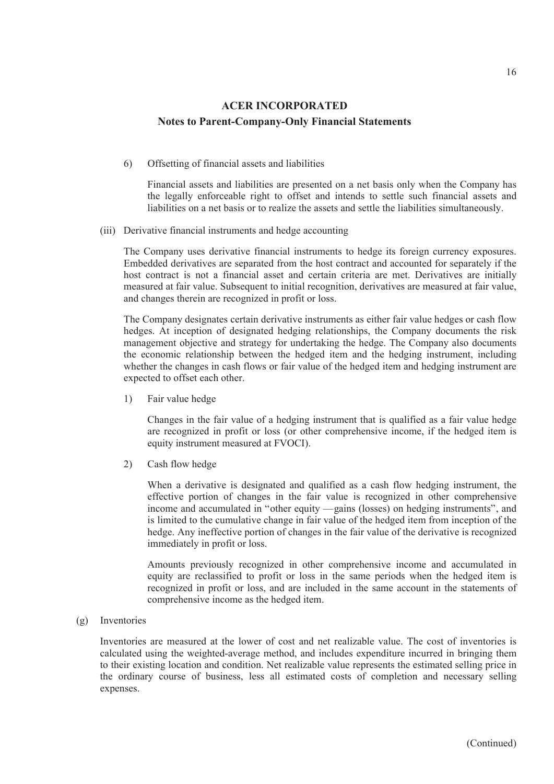### 6) Offsetting of financial assets and liabilities

Financial assets and liabilities are presented on a net basis only when the Company has the legally enforceable right to offset and intends to settle such financial assets and liabilities on a net basis or to realize the assets and settle the liabilities simultaneously.

#### (iii) Derivative financial instruments and hedge accounting

The Company uses derivative financial instruments to hedge its foreign currency exposures. Embedded derivatives are separated from the host contract and accounted for separately if the host contract is not a financial asset and certain criteria are met. Derivatives are initially measured at fair value. Subsequent to initial recognition, derivatives are measured at fair value, and changes therein are recognized in profit or loss.

The Company designates certain derivative instruments as either fair value hedges or cash flow hedges. At inception of designated hedging relationships, the Company documents the risk management objective and strategy for undertaking the hedge. The Company also documents the economic relationship between the hedged item and the hedging instrument, including whether the changes in cash flows or fair value of the hedged item and hedging instrument are expected to offset each other.

1) Fair value hedge

Changes in the fair value of a hedging instrument that is qualified as a fair value hedge are recognized in profit or loss (or other comprehensive income, if the hedged item is equity instrument measured at FVOCI).

2) Cash flow hedge

When a derivative is designated and qualified as a cash flow hedging instrument, the effective portion of changes in the fair value is recognized in other comprehensive income and accumulated in "other equity —gains (losses) on hedging instruments", and is limited to the cumulative change in fair value of the hedged item from inception of the hedge. Any ineffective portion of changes in the fair value of the derivative is recognized immediately in profit or loss.

Amounts previously recognized in other comprehensive income and accumulated in equity are reclassified to profit or loss in the same periods when the hedged item is recognized in profit or loss, and are included in the same account in the statements of comprehensive income as the hedged item.

### (g) Inventories

Inventories are measured at the lower of cost and net realizable value. The cost of inventories is calculated using the weighted-average method, and includes expenditure incurred in bringing them to their existing location and condition. Net realizable value represents the estimated selling price in the ordinary course of business, less all estimated costs of completion and necessary selling expenses.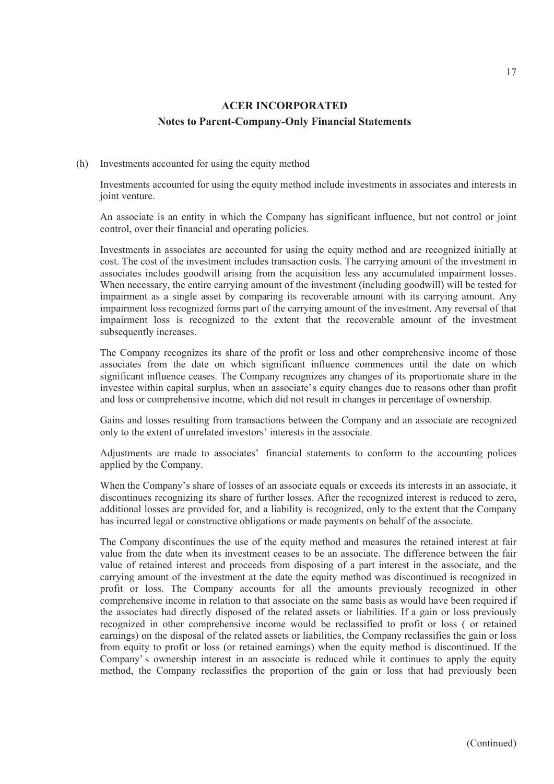### (h) Investments accounted for using the equity method

Investments accounted for using the equity method include investments in associates and interests in joint venture.

An associate is an entity in which the Company has significant influence, but not control or joint control, over their financial and operating policies.

Investments in associates are accounted for using the equity method and are recognized initially at cost. The cost of the investment includes transaction costs. The carrying amount of the investment in associates includes goodwill arising from the acquisition less any accumulated impairment losses. When necessary, the entire carrying amount of the investment (including goodwill) will be tested for impairment as a single asset by comparing its recoverable amount with its carrying amount. Any impairment loss recognized forms part of the carrying amount of the investment. Any reversal of that impairment loss is recognized to the extent that the recoverable amount of the investment subsequently increases.

The Company recognizes its share of the profit or loss and other comprehensive income of those associates from the date on which significant influence commences until the date on which significant influence ceases. The Company recognizes any changes of its proportionate share in the investee within capital surplus, when an associate's equity changes due to reasons other than profit and loss or comprehensive income, which did not result in changes in percentage of ownership.

Gains and losses resulting from transactions between the Company and an associate are recognized only to the extent of unrelated investors' interests in the associate.

Adjustments are made to associates' financial statements to conform to the accounting polices applied by the Company.

When the Company's share of losses of an associate equals or exceeds its interests in an associate, it discontinues recognizing its share of further losses. After the recognized interest is reduced to zero, additional losses are provided for, and a liability is recognized, only to the extent that the Company has incurred legal or constructive obligations or made payments on behalf of the associate.

The Company discontinues the use of the equity method and measures the retained interest at fair value from the date when its investment ceases to be an associate. The difference between the fair value of retained interest and proceeds from disposing of a part interest in the associate, and the carrying amount of the investment at the date the equity method was discontinued is recognized in profit or loss. The Company accounts for all the amounts previously recognized in other comprehensive income in relation to that associate on the same basis as would have been required if the associates had directly disposed of the related assets or liabilities. If a gain or loss previously recognized in other comprehensive income would be reclassified to profit or loss ( or retained earnings) on the disposal of the related assets or liabilities, the Company reclassifies the gain or loss from equity to profit or loss (or retained earnings) when the equity method is discontinued. If the Company' s ownership interest in an associate is reduced while it continues to apply the equity method, the Company reclassifies the proportion of the gain or loss that had previously been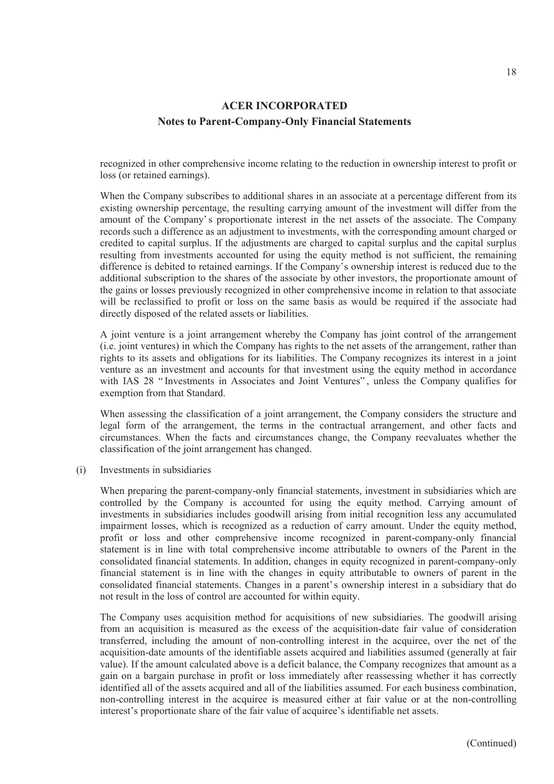recognized in other comprehensive income relating to the reduction in ownership interest to profit or loss (or retained earnings).

When the Company subscribes to additional shares in an associate at a percentage different from its existing ownership percentage, the resulting carrying amount of the investment will differ from the amount of the Company' s proportionate interest in the net assets of the associate. The Company records such a difference as an adjustment to investments, with the corresponding amount charged or credited to capital surplus. If the adjustments are charged to capital surplus and the capital surplus resulting from investments accounted for using the equity method is not sufficient, the remaining difference is debited to retained earnings. If the Company's ownership interest is reduced due to the additional subscription to the shares of the associate by other investors, the proportionate amount of the gains or losses previously recognized in other comprehensive income in relation to that associate will be reclassified to profit or loss on the same basis as would be required if the associate had directly disposed of the related assets or liabilities.

A joint venture is a joint arrangement whereby the Company has joint control of the arrangement (i.e. joint ventures) in which the Company has rights to the net assets of the arrangement, rather than rights to its assets and obligations for its liabilities. The Company recognizes its interest in a joint venture as an investment and accounts for that investment using the equity method in accordance with IAS 28 " Investments in Associates and Joint Ventures" , unless the Company qualifies for exemption from that Standard.

When assessing the classification of a joint arrangement, the Company considers the structure and legal form of the arrangement, the terms in the contractual arrangement, and other facts and circumstances. When the facts and circumstances change, the Company reevaluates whether the classification of the joint arrangement has changed.

(i) Investments in subsidiaries

When preparing the parent-company-only financial statements, investment in subsidiaries which are controlled by the Company is accounted for using the equity method. Carrying amount of investments in subsidiaries includes goodwill arising from initial recognition less any accumulated impairment losses, which is recognized as a reduction of carry amount. Under the equity method, profit or loss and other comprehensive income recognized in parent-company-only financial statement is in line with total comprehensive income attributable to owners of the Parent in the consolidated financial statements. In addition, changes in equity recognized in parent-company-only financial statement is in line with the changes in equity attributable to owners of parent in the consolidated financial statements. Changes in a parent's ownership interest in a subsidiary that do not result in the loss of control are accounted for within equity.

The Company uses acquisition method for acquisitions of new subsidiaries. The goodwill arising from an acquisition is measured as the excess of the acquisition-date fair value of consideration transferred, including the amount of non-controlling interest in the acquiree, over the net of the acquisition-date amounts of the identifiable assets acquired and liabilities assumed (generally at fair value). If the amount calculated above is a deficit balance, the Company recognizes that amount as a gain on a bargain purchase in profit or loss immediately after reassessing whether it has correctly identified all of the assets acquired and all of the liabilities assumed. For each business combination, non-controlling interest in the acquiree is measured either at fair value or at the non-controlling interest's proportionate share of the fair value of acquiree's identifiable net assets.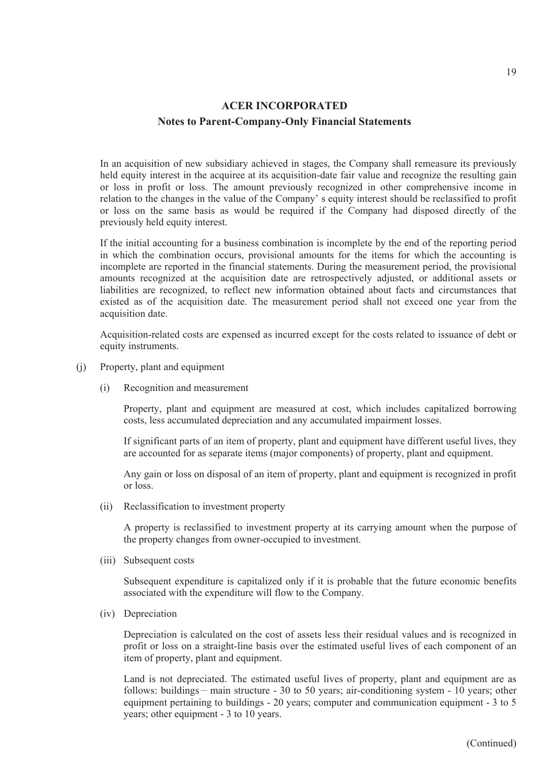In an acquisition of new subsidiary achieved in stages, the Company shall remeasure its previously held equity interest in the acquiree at its acquisition-date fair value and recognize the resulting gain or loss in profit or loss. The amount previously recognized in other comprehensive income in relation to the changes in the value of the Company' s equity interest should be reclassified to profit or loss on the same basis as would be required if the Company had disposed directly of the previously held equity interest.

If the initial accounting for a business combination is incomplete by the end of the reporting period in which the combination occurs, provisional amounts for the items for which the accounting is incomplete are reported in the financial statements. During the measurement period, the provisional amounts recognized at the acquisition date are retrospectively adjusted, or additional assets or liabilities are recognized, to reflect new information obtained about facts and circumstances that existed as of the acquisition date. The measurement period shall not exceed one year from the acquisition date.

Acquisition-related costs are expensed as incurred except for the costs related to issuance of debt or equity instruments.

- (j) Property, plant and equipment
	- (i) Recognition and measurement

Property, plant and equipment are measured at cost, which includes capitalized borrowing costs, less accumulated depreciation and any accumulated impairment losses.

If significant parts of an item of property, plant and equipment have different useful lives, they are accounted for as separate items (major components) of property, plant and equipment.

Any gain or loss on disposal of an item of property, plant and equipment is recognized in profit or loss.

(ii) Reclassification to investment property

A property is reclassified to investment property at its carrying amount when the purpose of the property changes from owner-occupied to investment.

(iii) Subsequent costs

Subsequent expenditure is capitalized only if it is probable that the future economic benefits associated with the expenditure will flow to the Company.

(iv) Depreciation

Depreciation is calculated on the cost of assets less their residual values and is recognized in profit or loss on a straight-line basis over the estimated useful lives of each component of an item of property, plant and equipment.

Land is not depreciated. The estimated useful lives of property, plant and equipment are as follows: buildings - main structure - 30 to 50 years; air-conditioning system - 10 years; other equipment pertaining to buildings - 20 years; computer and communication equipment - 3 to 5 years; other equipment - 3 to 10 years.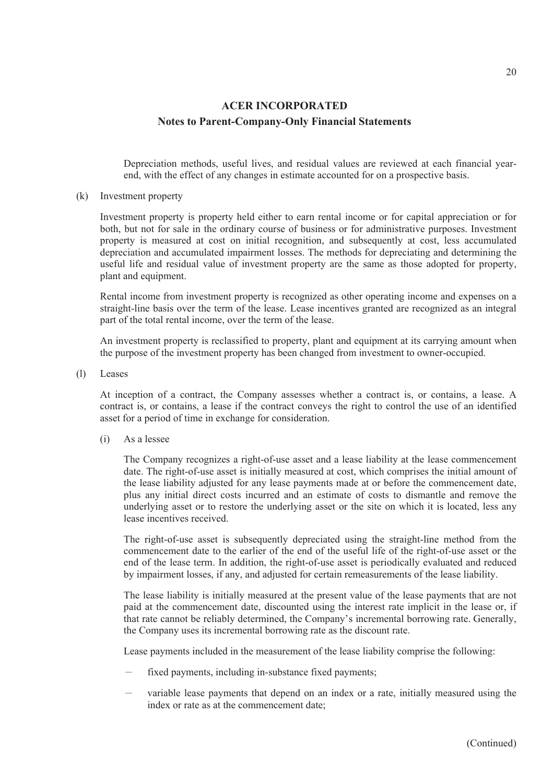Depreciation methods, useful lives, and residual values are reviewed at each financial yearend, with the effect of any changes in estimate accounted for on a prospective basis.

(k) Investment property

Investment property is property held either to earn rental income or for capital appreciation or for both, but not for sale in the ordinary course of business or for administrative purposes. Investment property is measured at cost on initial recognition, and subsequently at cost, less accumulated depreciation and accumulated impairment losses. The methods for depreciating and determining the useful life and residual value of investment property are the same as those adopted for property, plant and equipment.

Rental income from investment property is recognized as other operating income and expenses on a straight-line basis over the term of the lease. Lease incentives granted are recognized as an integral part of the total rental income, over the term of the lease.

An investment property is reclassified to property, plant and equipment at its carrying amount when the purpose of the investment property has been changed from investment to owner-occupied.

(l) Leases

At inception of a contract, the Company assesses whether a contract is, or contains, a lease. A contract is, or contains, a lease if the contract conveys the right to control the use of an identified asset for a period of time in exchange for consideration.

(i) As a lessee

The Company recognizes a right-of-use asset and a lease liability at the lease commencement date. The right-of-use asset is initially measured at cost, which comprises the initial amount of the lease liability adjusted for any lease payments made at or before the commencement date, plus any initial direct costs incurred and an estimate of costs to dismantle and remove the underlying asset or to restore the underlying asset or the site on which it is located, less any lease incentives received.

The right-of-use asset is subsequently depreciated using the straight-line method from the commencement date to the earlier of the end of the useful life of the right-of-use asset or the end of the lease term. In addition, the right-of-use asset is periodically evaluated and reduced by impairment losses, if any, and adjusted for certain remeasurements of the lease liability.

The lease liability is initially measured at the present value of the lease payments that are not paid at the commencement date, discounted using the interest rate implicit in the lease or, if that rate cannot be reliably determined, the Company's incremental borrowing rate. Generally, the Company uses its incremental borrowing rate as the discount rate.

Lease payments included in the measurement of the lease liability comprise the following:

- fixed payments, including in-substance fixed payments;
- variable lease payments that depend on an index or a rate, initially measured using the index or rate as at the commencement date;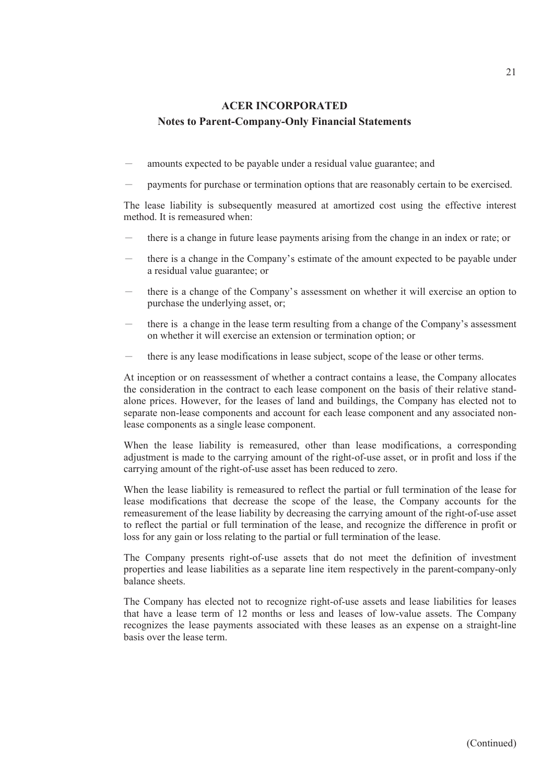- amounts expected to be payable under a residual value guarantee; and
- payments for purchase or termination options that are reasonably certain to be exercised.

The lease liability is subsequently measured at amortized cost using the effective interest method. It is remeasured when:

- there is a change in future lease payments arising from the change in an index or rate; or
- there is a change in the Company's estimate of the amount expected to be payable under a residual value guarantee; or
- there is a change of the Company's assessment on whether it will exercise an option to purchase the underlying asset, or;
- there is a change in the lease term resulting from a change of the Company's assessment on whether it will exercise an extension or termination option; or
- there is any lease modifications in lease subject, scope of the lease or other terms.

At inception or on reassessment of whether a contract contains a lease, the Company allocates the consideration in the contract to each lease component on the basis of their relative standalone prices. However, for the leases of land and buildings, the Company has elected not to separate non-lease components and account for each lease component and any associated nonlease components as a single lease component.

When the lease liability is remeasured, other than lease modifications, a corresponding adjustment is made to the carrying amount of the right-of-use asset, or in profit and loss if the carrying amount of the right-of-use asset has been reduced to zero.

When the lease liability is remeasured to reflect the partial or full termination of the lease for lease modifications that decrease the scope of the lease, the Company accounts for the remeasurement of the lease liability by decreasing the carrying amount of the right-of-use asset to reflect the partial or full termination of the lease, and recognize the difference in profit or loss for any gain or loss relating to the partial or full termination of the lease.

The Company presents right-of-use assets that do not meet the definition of investment properties and lease liabilities as a separate line item respectively in the parent-company-only balance sheets.

The Company has elected not to recognize right-of-use assets and lease liabilities for leases that have a lease term of 12 months or less and leases of low-value assets. The Company recognizes the lease payments associated with these leases as an expense on a straight-line basis over the lease term.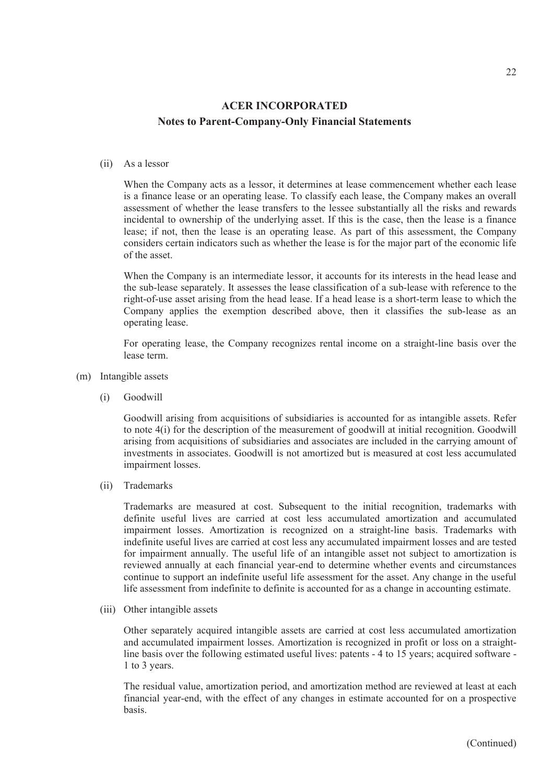#### (ii) As a lessor

When the Company acts as a lessor, it determines at lease commencement whether each lease is a finance lease or an operating lease. To classify each lease, the Company makes an overall assessment of whether the lease transfers to the lessee substantially all the risks and rewards incidental to ownership of the underlying asset. If this is the case, then the lease is a finance lease; if not, then the lease is an operating lease. As part of this assessment, the Company considers certain indicators such as whether the lease is for the major part of the economic life of the asset.

When the Company is an intermediate lessor, it accounts for its interests in the head lease and the sub-lease separately. It assesses the lease classification of a sub-lease with reference to the right-of-use asset arising from the head lease. If a head lease is a short-term lease to which the Company applies the exemption described above, then it classifies the sub-lease as an operating lease.

For operating lease, the Company recognizes rental income on a straight-line basis over the lease term.

- (m) Intangible assets
	- (i) Goodwill

Goodwill arising from acquisitions of subsidiaries is accounted for as intangible assets. Refer to note 4(i) for the description of the measurement of goodwill at initial recognition. Goodwill arising from acquisitions of subsidiaries and associates are included in the carrying amount of investments in associates. Goodwill is not amortized but is measured at cost less accumulated impairment losses.

(ii) Trademarks

Trademarks are measured at cost. Subsequent to the initial recognition, trademarks with definite useful lives are carried at cost less accumulated amortization and accumulated impairment losses. Amortization is recognized on a straight-line basis. Trademarks with indefinite useful lives are carried at cost less any accumulated impairment losses and are tested for impairment annually. The useful life of an intangible asset not subject to amortization is reviewed annually at each financial year-end to determine whether events and circumstances continue to support an indefinite useful life assessment for the asset. Any change in the useful life assessment from indefinite to definite is accounted for as a change in accounting estimate.

(iii) Other intangible assets

Other separately acquired intangible assets are carried at cost less accumulated amortization and accumulated impairment losses. Amortization is recognized in profit or loss on a straightline basis over the following estimated useful lives: patents - 4 to 15 years; acquired software - 1 to 3 years.

The residual value, amortization period, and amortization method are reviewed at least at each financial year-end, with the effect of any changes in estimate accounted for on a prospective basis.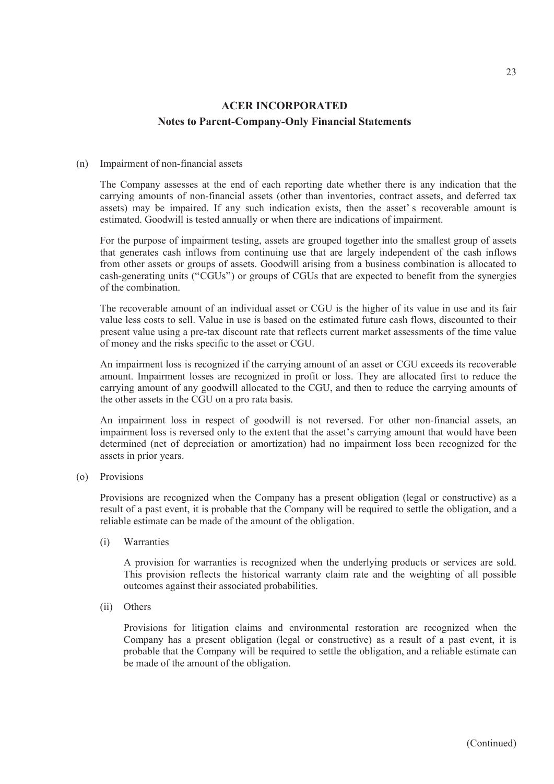#### (n) Impairment of non-financial assets

The Company assesses at the end of each reporting date whether there is any indication that the carrying amounts of non-financial assets (other than inventories, contract assets, and deferred tax assets) may be impaired. If any such indication exists, then the asset's recoverable amount is estimated. Goodwill is tested annually or when there are indications of impairment.

For the purpose of impairment testing, assets are grouped together into the smallest group of assets that generates cash inflows from continuing use that are largely independent of the cash inflows from other assets or groups of assets. Goodwill arising from a business combination is allocated to cash-generating units ("CGUs") or groups of CGUs that are expected to benefit from the synergies of the combination.

The recoverable amount of an individual asset or CGU is the higher of its value in use and its fair value less costs to sell. Value in use is based on the estimated future cash flows, discounted to their present value using a pre-tax discount rate that reflects current market assessments of the time value of money and the risks specific to the asset or CGU.

An impairment loss is recognized if the carrying amount of an asset or CGU exceeds its recoverable amount. Impairment losses are recognized in profit or loss. They are allocated first to reduce the carrying amount of any goodwill allocated to the CGU, and then to reduce the carrying amounts of the other assets in the CGU on a pro rata basis.

An impairment loss in respect of goodwill is not reversed. For other non-financial assets, an impairment loss is reversed only to the extent that the asset's carrying amount that would have been determined (net of depreciation or amortization) had no impairment loss been recognized for the assets in prior years.

(o) Provisions

Provisions are recognized when the Company has a present obligation (legal or constructive) as a result of a past event, it is probable that the Company will be required to settle the obligation, and a reliable estimate can be made of the amount of the obligation.

(i) Warranties

A provision for warranties is recognized when the underlying products or services are sold. This provision reflects the historical warranty claim rate and the weighting of all possible outcomes against their associated probabilities.

(ii) Others

Provisions for litigation claims and environmental restoration are recognized when the Company has a present obligation (legal or constructive) as a result of a past event, it is probable that the Company will be required to settle the obligation, and a reliable estimate can be made of the amount of the obligation.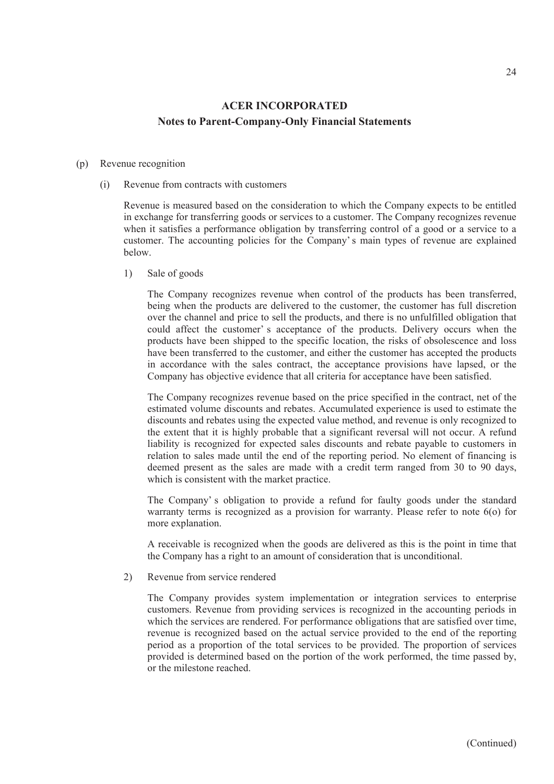#### (p) Revenue recognition

(i) Revenue from contracts with customers

Revenue is measured based on the consideration to which the Company expects to be entitled in exchange for transferring goods or services to a customer. The Company recognizes revenue when it satisfies a performance obligation by transferring control of a good or a service to a customer. The accounting policies for the Company' s main types of revenue are explained below.

1) Sale of goods

The Company recognizes revenue when control of the products has been transferred, being when the products are delivered to the customer, the customer has full discretion over the channel and price to sell the products, and there is no unfulfilled obligation that could affect the customer' s acceptance of the products. Delivery occurs when the products have been shipped to the specific location, the risks of obsolescence and loss have been transferred to the customer, and either the customer has accepted the products in accordance with the sales contract, the acceptance provisions have lapsed, or the Company has objective evidence that all criteria for acceptance have been satisfied.

The Company recognizes revenue based on the price specified in the contract, net of the estimated volume discounts and rebates. Accumulated experience is used to estimate the discounts and rebates using the expected value method, and revenue is only recognized to the extent that it is highly probable that a significant reversal will not occur. A refund liability is recognized for expected sales discounts and rebate payable to customers in relation to sales made until the end of the reporting period. No element of financing is deemed present as the sales are made with a credit term ranged from 30 to 90 days, which is consistent with the market practice.

The Company' s obligation to provide a refund for faulty goods under the standard warranty terms is recognized as a provision for warranty. Please refer to note 6(o) for more explanation.

A receivable is recognized when the goods are delivered as this is the point in time that the Company has a right to an amount of consideration that is unconditional.

2) Revenue from service rendered

The Company provides system implementation or integration services to enterprise customers. Revenue from providing services is recognized in the accounting periods in which the services are rendered. For performance obligations that are satisfied over time, revenue is recognized based on the actual service provided to the end of the reporting period as a proportion of the total services to be provided. The proportion of services provided is determined based on the portion of the work performed, the time passed by, or the milestone reached.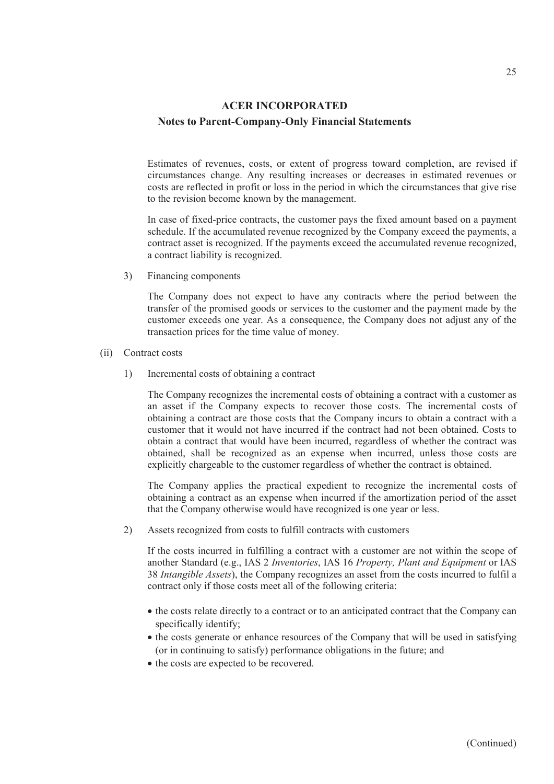Estimates of revenues, costs, or extent of progress toward completion, are revised if circumstances change. Any resulting increases or decreases in estimated revenues or costs are reflected in profit or loss in the period in which the circumstances that give rise to the revision become known by the management.

In case of fixed-price contracts, the customer pays the fixed amount based on a payment schedule. If the accumulated revenue recognized by the Company exceed the payments, a contract asset is recognized. If the payments exceed the accumulated revenue recognized, a contract liability is recognized.

3) Financing components

The Company does not expect to have any contracts where the period between the transfer of the promised goods or services to the customer and the payment made by the customer exceeds one year. As a consequence, the Company does not adjust any of the transaction prices for the time value of money.

- (ii) Contract costs
	- 1) Incremental costs of obtaining a contract

The Company recognizes the incremental costs of obtaining a contract with a customer as an asset if the Company expects to recover those costs. The incremental costs of obtaining a contract are those costs that the Company incurs to obtain a contract with a customer that it would not have incurred if the contract had not been obtained. Costs to obtain a contract that would have been incurred, regardless of whether the contract was obtained, shall be recognized as an expense when incurred, unless those costs are explicitly chargeable to the customer regardless of whether the contract is obtained.

The Company applies the practical expedient to recognize the incremental costs of obtaining a contract as an expense when incurred if the amortization period of the asset that the Company otherwise would have recognized is one year or less.

2) Assets recognized from costs to fulfill contracts with customers

If the costs incurred in fulfilling a contract with a customer are not within the scope of another Standard (e.g., IAS 2 *Inventories*, IAS 16 *Property, Plant and Equipment* or IAS 38 *Intangible Assets*), the Company recognizes an asset from the costs incurred to fulfil a contract only if those costs meet all of the following criteria:

- the costs relate directly to a contract or to an anticipated contract that the Company can specifically identify;
- the costs generate or enhance resources of the Company that will be used in satisfying (or in continuing to satisfy) performance obligations in the future; and
- the costs are expected to be recovered.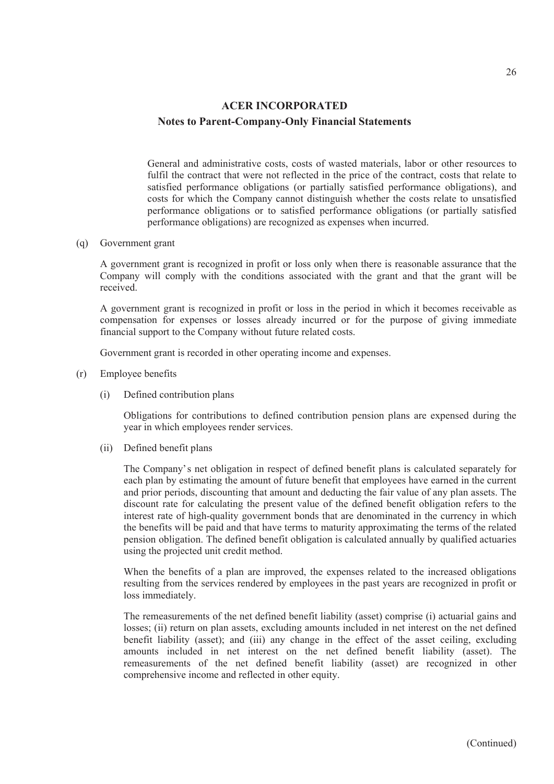General and administrative costs, costs of wasted materials, labor or other resources to fulfil the contract that were not reflected in the price of the contract, costs that relate to satisfied performance obligations (or partially satisfied performance obligations), and costs for which the Company cannot distinguish whether the costs relate to unsatisfied performance obligations or to satisfied performance obligations (or partially satisfied performance obligations) are recognized as expenses when incurred.

(q) Government grant

A government grant is recognized in profit or loss only when there is reasonable assurance that the Company will comply with the conditions associated with the grant and that the grant will be received.

A government grant is recognized in profit or loss in the period in which it becomes receivable as compensation for expenses or losses already incurred or for the purpose of giving immediate financial support to the Company without future related costs.

Government grant is recorded in other operating income and expenses.

- (r) Employee benefits
	- (i) Defined contribution plans

Obligations for contributions to defined contribution pension plans are expensed during the year in which employees render services.

(ii) Defined benefit plans

The Company's net obligation in respect of defined benefit plans is calculated separately for each plan by estimating the amount of future benefit that employees have earned in the current and prior periods, discounting that amount and deducting the fair value of any plan assets. The discount rate for calculating the present value of the defined benefit obligation refers to the interest rate of high-quality government bonds that are denominated in the currency in which the benefits will be paid and that have terms to maturity approximating the terms of the related pension obligation. The defined benefit obligation is calculated annually by qualified actuaries using the projected unit credit method.

When the benefits of a plan are improved, the expenses related to the increased obligations resulting from the services rendered by employees in the past years are recognized in profit or loss immediately.

The remeasurements of the net defined benefit liability (asset) comprise (i) actuarial gains and losses; (ii) return on plan assets, excluding amounts included in net interest on the net defined benefit liability (asset); and (iii) any change in the effect of the asset ceiling, excluding amounts included in net interest on the net defined benefit liability (asset). The remeasurements of the net defined benefit liability (asset) are recognized in other comprehensive income and reflected in other equity.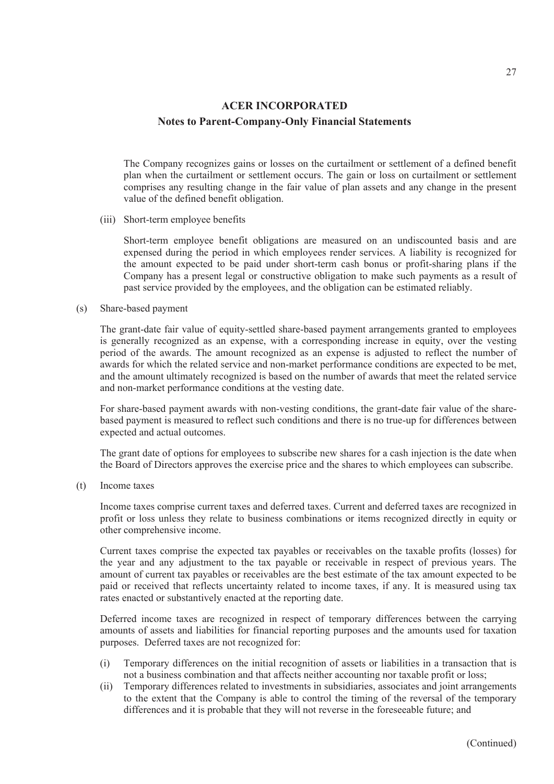The Company recognizes gains or losses on the curtailment or settlement of a defined benefit plan when the curtailment or settlement occurs. The gain or loss on curtailment or settlement comprises any resulting change in the fair value of plan assets and any change in the present value of the defined benefit obligation.

(iii) Short-term employee benefits

Short-term employee benefit obligations are measured on an undiscounted basis and are expensed during the period in which employees render services. A liability is recognized for the amount expected to be paid under short-term cash bonus or profit-sharing plans if the Company has a present legal or constructive obligation to make such payments as a result of past service provided by the employees, and the obligation can be estimated reliably.

#### (s) Share-based payment

The grant-date fair value of equity-settled share-based payment arrangements granted to employees is generally recognized as an expense, with a corresponding increase in equity, over the vesting period of the awards. The amount recognized as an expense is adjusted to reflect the number of awards for which the related service and non-market performance conditions are expected to be met, and the amount ultimately recognized is based on the number of awards that meet the related service and non-market performance conditions at the vesting date.

For share-based payment awards with non-vesting conditions, the grant-date fair value of the sharebased payment is measured to reflect such conditions and there is no true-up for differences between expected and actual outcomes.

The grant date of options for employees to subscribe new shares for a cash injection is the date when the Board of Directors approves the exercise price and the shares to which employees can subscribe.

(t) Income taxes

Income taxes comprise current taxes and deferred taxes. Current and deferred taxes are recognized in profit or loss unless they relate to business combinations or items recognized directly in equity or other comprehensive income.

Current taxes comprise the expected tax payables or receivables on the taxable profits (losses) for the year and any adjustment to the tax payable or receivable in respect of previous years. The amount of current tax payables or receivables are the best estimate of the tax amount expected to be paid or received that reflects uncertainty related to income taxes, if any. It is measured using tax rates enacted or substantively enacted at the reporting date.

Deferred income taxes are recognized in respect of temporary differences between the carrying amounts of assets and liabilities for financial reporting purposes and the amounts used for taxation purposes. Deferred taxes are not recognized for:

- (i) Temporary differences on the initial recognition of assets or liabilities in a transaction that is not a business combination and that affects neither accounting nor taxable profit or loss;
- (ii) Temporary differences related to investments in subsidiaries, associates and joint arrangements to the extent that the Company is able to control the timing of the reversal of the temporary differences and it is probable that they will not reverse in the foreseeable future; and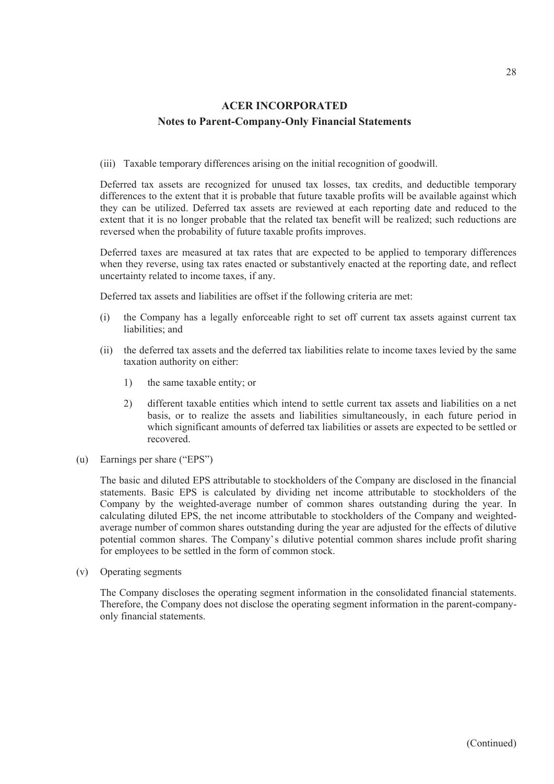(iii) Taxable temporary differences arising on the initial recognition of goodwill.

Deferred tax assets are recognized for unused tax losses, tax credits, and deductible temporary differences to the extent that it is probable that future taxable profits will be available against which they can be utilized. Deferred tax assets are reviewed at each reporting date and reduced to the extent that it is no longer probable that the related tax benefit will be realized; such reductions are reversed when the probability of future taxable profits improves.

Deferred taxes are measured at tax rates that are expected to be applied to temporary differences when they reverse, using tax rates enacted or substantively enacted at the reporting date, and reflect uncertainty related to income taxes, if any.

Deferred tax assets and liabilities are offset if the following criteria are met:

- (i) the Company has a legally enforceable right to set off current tax assets against current tax liabilities; and
- (ii) the deferred tax assets and the deferred tax liabilities relate to income taxes levied by the same taxation authority on either:
	- 1) the same taxable entity; or
	- 2) different taxable entities which intend to settle current tax assets and liabilities on a net basis, or to realize the assets and liabilities simultaneously, in each future period in which significant amounts of deferred tax liabilities or assets are expected to be settled or recovered.
- (u) Earnings per share ("EPS")

The basic and diluted EPS attributable to stockholders of the Company are disclosed in the financial statements. Basic EPS is calculated by dividing net income attributable to stockholders of the Company by the weighted-average number of common shares outstanding during the year. In calculating diluted EPS, the net income attributable to stockholders of the Company and weightedaverage number of common shares outstanding during the year are adjusted for the effects of dilutive potential common shares. The Company's dilutive potential common shares include profit sharing for employees to be settled in the form of common stock.

(v) Operating segments

The Company discloses the operating segment information in the consolidated financial statements. Therefore, the Company does not disclose the operating segment information in the parent-companyonly financial statements.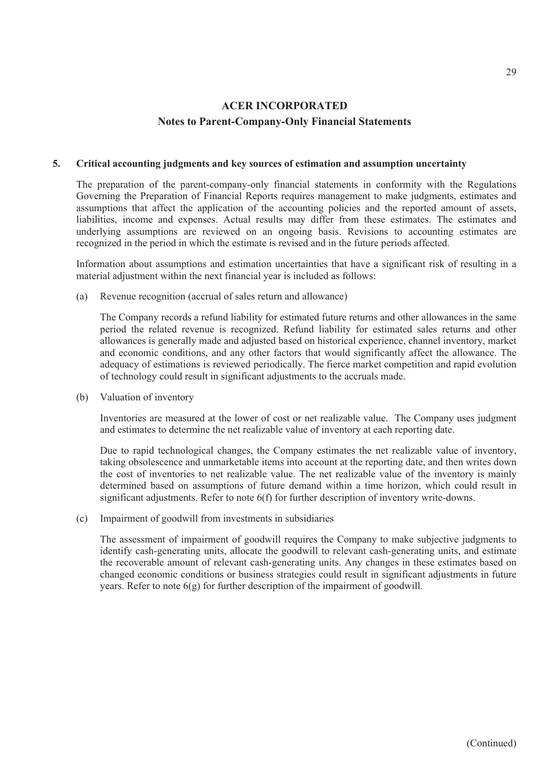#### **5. Critical accounting judgments and key sources of estimation and assumption uncertainty**

The preparation of the parent-company-only financial statements in conformity with the Regulations Governing the Preparation of Financial Reports requires management to make judgments, estimates and assumptions that affect the application of the accounting policies and the reported amount of assets, liabilities, income and expenses. Actual results may differ from these estimates. The estimates and underlying assumptions are reviewed on an ongoing basis. Revisions to accounting estimates are recognized in the period in which the estimate is revised and in the future periods affected.

Information about assumptions and estimation uncertainties that have a significant risk of resulting in a material adjustment within the next financial year is included as follows:

(a) Revenue recognition (accrual of sales return and allowance)

The Company records a refund liability for estimated future returns and other allowances in the same period the related revenue is recognized. Refund liability for estimated sales returns and other allowances is generally made and adjusted based on historical experience, channel inventory, market and economic conditions, and any other factors that would significantly affect the allowance. The adequacy of estimations is reviewed periodically. The fierce market competition and rapid evolution of technology could result in significant adjustments to the accruals made.

(b) Valuation of inventory

Inventories are measured at the lower of cost or net realizable value. The Company uses judgment and estimates to determine the net realizable value of inventory at each reporting date.

Due to rapid technological changes, the Company estimates the net realizable value of inventory, taking obsolescence and unmarketable items into account at the reporting date, and then writes down the cost of inventories to net realizable value. The net realizable value of the inventory is mainly determined based on assumptions of future demand within a time horizon, which could result in significant adjustments. Refer to note 6(f) for further description of inventory write-downs.

(c) Impairment of goodwill from investments in subsidiaries

The assessment of impairment of goodwill requires the Company to make subjective judgments to identify cash-generating units, allocate the goodwill to relevant cash-generating units, and estimate the recoverable amount of relevant cash-generating units. Any changes in these estimates based on changed economic conditions or business strategies could result in significant adjustments in future years. Refer to note 6(g) for further description of the impairment of goodwill.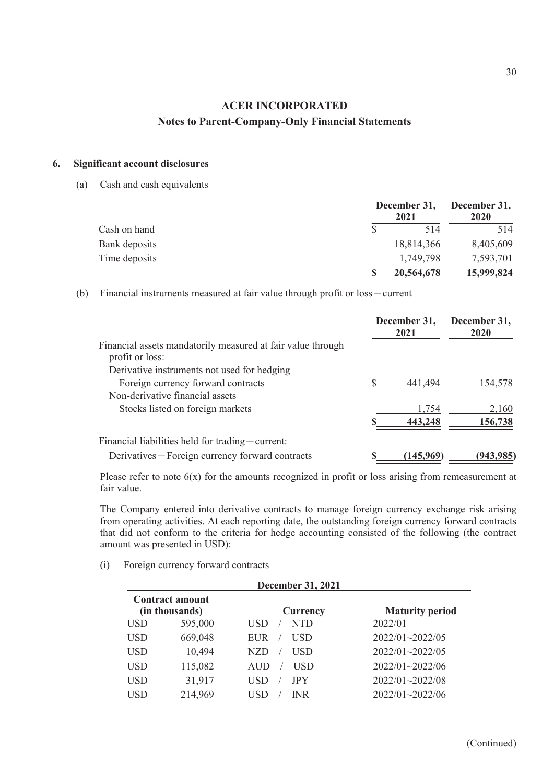### **6. Significant account disclosures**

(a) Cash and cash equivalents

|               | 2021       | December 31, December 31,<br>2020 |
|---------------|------------|-----------------------------------|
| Cash on hand  | 514        | 514                               |
| Bank deposits | 18,814,366 | 8,405,609                         |
| Time deposits | 1.749.798  | 7,593,701                         |
|               | 20,564,678 | 15,999,824                        |

(b) Financial instruments measured at fair value through profit or loss-current

|                                                                                |   | December 31,<br>2021 | December 31,<br><b>2020</b> |
|--------------------------------------------------------------------------------|---|----------------------|-----------------------------|
| Financial assets mandatorily measured at fair value through<br>profit or loss: |   |                      |                             |
| Derivative instruments not used for hedging                                    |   |                      |                             |
| Foreign currency forward contracts                                             | S | 441,494              | 154,578                     |
| Non-derivative financial assets                                                |   |                      |                             |
| Stocks listed on foreign markets                                               |   | 1,754                | 2,160                       |
|                                                                                |   | 443,248              | 156,738                     |
| Financial liabilities held for trading $-$ current:                            |   |                      |                             |
| Derivatives – Foreign currency forward contracts                               |   | (145,969)            | (943,985                    |

Please refer to note  $6(x)$  for the amounts recognized in profit or loss arising from remeasurement at fair value.

The Company entered into derivative contracts to manage foreign currency exchange risk arising from operating activities. At each reporting date, the outstanding foreign currency forward contracts that did not conform to the criteria for hedge accounting consisted of the following (the contract amount was presented in USD):

(i) Foreign currency forward contracts

|            | <b>December 31, 2021</b>                 |                   |                        |  |  |  |
|------------|------------------------------------------|-------------------|------------------------|--|--|--|
|            | <b>Contract amount</b><br>(in thousands) | Currency          | <b>Maturity period</b> |  |  |  |
| <b>USD</b> | 595,000                                  | <b>NTD</b><br>USD | 2022/01                |  |  |  |
| USD        | 669,048                                  | USD<br>EUR        | 2022/01~2022/05        |  |  |  |
| <b>USD</b> | 10,494                                   | USD<br>NZD        | 2022/01~2022/05        |  |  |  |
| <b>USD</b> | 115,082                                  | <b>USD</b><br>AUD | $2022/01 - 2022/06$    |  |  |  |
| <b>USD</b> | 31,917                                   | USD<br><b>JPY</b> | $2022/01 - 2022/08$    |  |  |  |
| USD        | 214,969                                  | INR.<br>USD       | $2022/01 - 2022/06$    |  |  |  |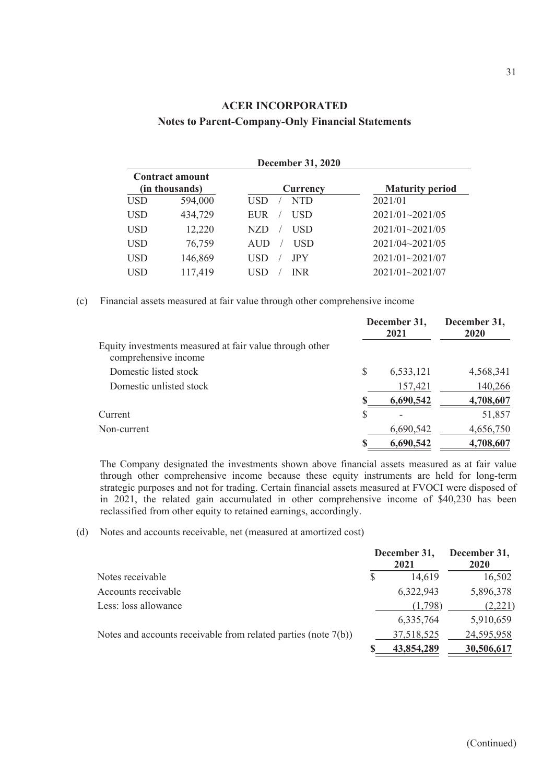|            | <b>December 31, 2020</b> |                   |                        |  |  |  |  |  |  |
|------------|--------------------------|-------------------|------------------------|--|--|--|--|--|--|
|            | <b>Contract amount</b>   |                   |                        |  |  |  |  |  |  |
|            | (in thousands)           | Currency          | <b>Maturity period</b> |  |  |  |  |  |  |
| <b>USD</b> | 594,000                  | NTD<br><b>USD</b> | 2021/01                |  |  |  |  |  |  |
| <b>USD</b> | 434,729                  | USD<br><b>EUR</b> | $2021/01 - 2021/05$    |  |  |  |  |  |  |
| <b>USD</b> | 12,220                   | USD<br>NZD        | 2021/01~2021/05        |  |  |  |  |  |  |
| <b>USD</b> | 76,759                   | USD<br>AUD        | $2021/04 \sim 2021/05$ |  |  |  |  |  |  |
| <b>USD</b> | 146,869                  | <b>JPY</b><br>USD | $2021/01 - 2021/07$    |  |  |  |  |  |  |
| <b>USD</b> | 117,419                  | <b>INR</b><br>USD | $2021/01 - 2021/07$    |  |  |  |  |  |  |
|            |                          |                   |                        |  |  |  |  |  |  |

(c) Financial assets measured at fair value through other comprehensive income

| Equity investments measured at fair value through other<br>comprehensive income |    | December 31,<br>2021 | December 31,<br>2020 |  |
|---------------------------------------------------------------------------------|----|----------------------|----------------------|--|
|                                                                                 |    |                      |                      |  |
| Domestic listed stock                                                           | \$ | 6,533,121            | 4,568,341            |  |
| Domestic unlisted stock                                                         |    | 157,421              | 140,266              |  |
|                                                                                 | S  | 6,690,542            | 4,708,607            |  |
| Current                                                                         | \$ |                      | 51,857               |  |
| Non-current                                                                     |    | 6,690,542            | 4,656,750            |  |
|                                                                                 | S  | 6,690,542            | 4,708,607            |  |

The Company designated the investments shown above financial assets measured as at fair value through other comprehensive income because these equity instruments are held for long-term strategic purposes and not for trading. Certain financial assets measured at FVOCI were disposed of in 2021, the related gain accumulated in other comprehensive income of \$40,230 has been reclassified from other equity to retained earnings, accordingly.

(d) Notes and accounts receivable, net (measured at amortized cost)

|                                                                   | December 31,<br>2021 | December 31,<br>2020 |
|-------------------------------------------------------------------|----------------------|----------------------|
| Notes receivable                                                  | 14,619               | 16,502               |
| Accounts receivable                                               | 6,322,943            | 5,896,378            |
| Less: loss allowance                                              | (1,798)              | (2,221)              |
|                                                                   | 6,335,764            | 5,910,659            |
| Notes and accounts receivable from related parties (note $7(b)$ ) | 37,518,525           | 24,595,958           |
|                                                                   | 43,854,289           | 30,506,617           |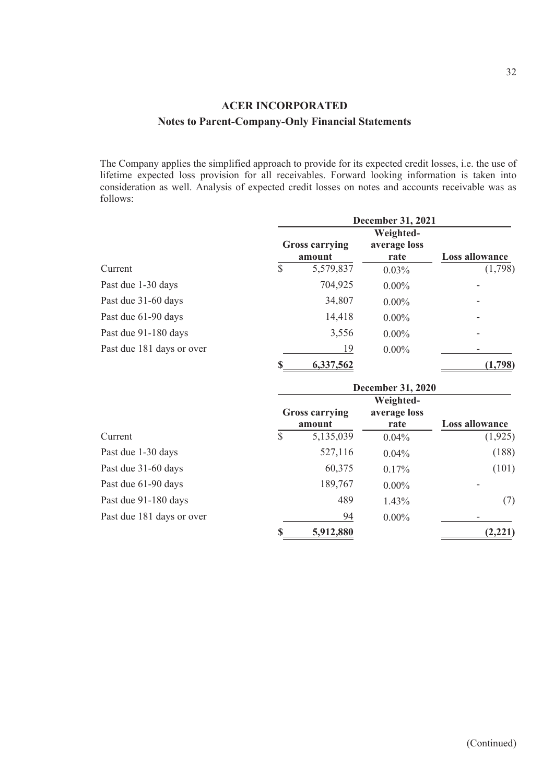The Company applies the simplified approach to provide for its expected credit losses, i.e. the use of lifetime expected loss provision for all receivables. Forward looking information is taken into consideration as well. Analysis of expected credit losses on notes and accounts receivable was as follows:

|                           | <b>December 31, 2021</b>        |                      |                       |  |
|---------------------------|---------------------------------|----------------------|-----------------------|--|
|                           |                                 |                      |                       |  |
|                           | <b>Gross carrying</b><br>amount | average loss<br>rate | <b>Loss allowance</b> |  |
| Current                   | \$<br>5,579,837                 | $0.03\%$             | (1,798)               |  |
| Past due 1-30 days        | 704,925                         | $0.00\%$             |                       |  |
| Past due 31-60 days       | 34,807                          | $0.00\%$             |                       |  |
| Past due 61-90 days       | 14,418                          | $0.00\%$             |                       |  |
| Past due 91-180 days      | 3,556                           | $0.00\%$             | -                     |  |
| Past due 181 days or over | 19                              | $0.00\%$             |                       |  |
|                           | \$<br>6,337,562                 |                      | (1,798)               |  |

|                           | <b>December 31, 2020</b>        |                                   |                |  |
|---------------------------|---------------------------------|-----------------------------------|----------------|--|
|                           | <b>Gross carrying</b><br>amount | Weighted-<br>average loss<br>rate | Loss allowance |  |
| Current                   | \$<br>5,135,039                 | $0.04\%$                          | (1,925)        |  |
| Past due 1-30 days        | 527,116                         | $0.04\%$                          | (188)          |  |
| Past due 31-60 days       | 60,375                          | $0.17\%$                          | (101)          |  |
| Past due 61-90 days       | 189,767                         | $0.00\%$                          |                |  |
| Past due 91-180 days      | 489                             | 1.43%                             | (7)            |  |
| Past due 181 days or over | 94                              | $0.00\%$                          |                |  |
|                           | \$<br>5,912,880                 |                                   | (2,221)        |  |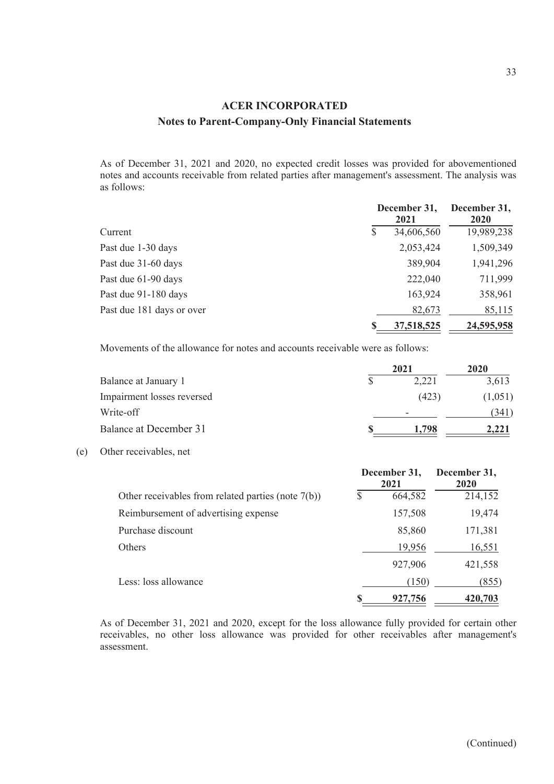As of December 31, 2021 and 2020, no expected credit losses was provided for abovementioned notes and accounts receivable from related parties after management's assessment. The analysis was as follows:

|                           |   | December 31,<br>2021 |            |
|---------------------------|---|----------------------|------------|
| Current                   | S | 34,606,560           | 19,989,238 |
| Past due 1-30 days        |   | 2,053,424            | 1,509,349  |
| Past due 31-60 days       |   | 389,904              | 1,941,296  |
| Past due 61-90 days       |   | 222,040              | 711,999    |
| Past due 91-180 days      |   | 163,924              | 358,961    |
| Past due 181 days or over |   | 82,673               | 85,115     |
|                           |   | 37,518,525           | 24,595,958 |

Movements of the allowance for notes and accounts receivable were as follows:

|                            | 2021  | <b>2020</b> |
|----------------------------|-------|-------------|
| Balance at January 1       | 2,221 | 3,613       |
| Impairment losses reversed | (423) | (1,051)     |
| Write-off                  | -     | (341)       |
| Balance at December 31     | 1.798 |             |

#### (e) Other receivables, net

|                                                       |     | December 31,<br>2021 | December 31,<br>2020 |  |
|-------------------------------------------------------|-----|----------------------|----------------------|--|
| Other receivables from related parties (note $7(b)$ ) | \$. | 664,582              | 214,152              |  |
| Reimbursement of advertising expense                  |     | 157,508              | 19,474               |  |
| Purchase discount                                     |     | 85,860               | 171,381              |  |
| Others                                                |     | 19,956               | 16,551               |  |
|                                                       |     | 927,906              | 421,558              |  |
| Less: loss allowance                                  |     | (150)                | (855)                |  |
|                                                       |     | 927,756              | 420,703              |  |

As of December 31, 2021 and 2020, except for the loss allowance fully provided for certain other receivables, no other loss allowance was provided for other receivables after management's assessment.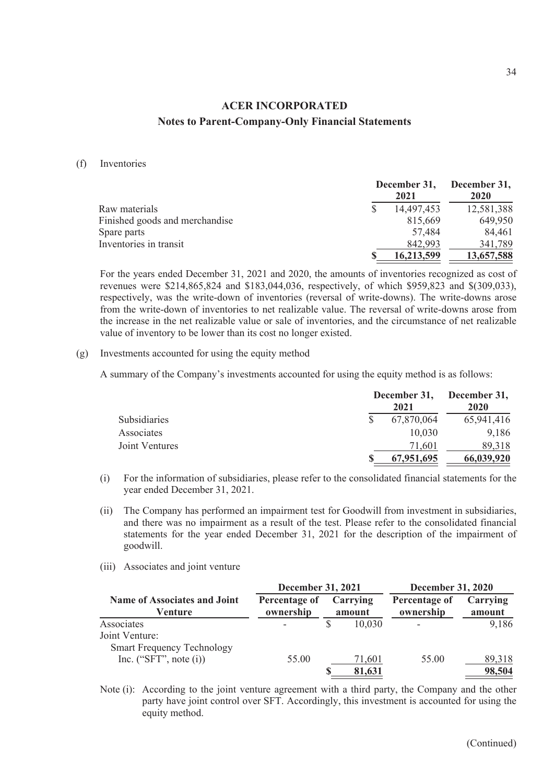#### (f) Inventories

|                                | December 31,<br>2021 | December 31,<br>2020 |
|--------------------------------|----------------------|----------------------|
| Raw materials                  | 14,497,453           | 12,581,388           |
| Finished goods and merchandise | 815,669              | 649,950              |
| Spare parts                    | 57,484               | 84,461               |
| Inventories in transit         | 842,993              | 341,789              |
|                                | 16,213,599           | 13,657,588           |

For the years ended December 31, 2021 and 2020, the amounts of inventories recognized as cost of revenues were \$214,865,824 and \$183,044,036, respectively, of which \$959,823 and \$(309,033), respectively, was the write-down of inventories (reversal of write-downs). The write-downs arose from the write-down of inventories to net realizable value. The reversal of write-downs arose from the increase in the net realizable value or sale of inventories, and the circumstance of net realizable value of inventory to be lower than its cost no longer existed.

#### (g) Investments accounted for using the equity method

A summary of the Company's investments accounted for using the equity method is as follows:

|                     | December 31,<br>2021 |            | December 31,<br>2020 |  |
|---------------------|----------------------|------------|----------------------|--|
| <b>Subsidiaries</b> |                      | 67,870,064 | 65,941,416           |  |
| Associates          |                      | 10,030     | 9,186                |  |
| Joint Ventures      |                      | 71.601     | 89,318               |  |
|                     |                      | 67,951,695 | 66,039,920           |  |

- (i) For the information of subsidiaries, please refer to the consolidated financial statements for the year ended December 31, 2021.
- (ii) The Company has performed an impairment test for Goodwill from investment in subsidiaries, and there was no impairment as a result of the test. Please refer to the consolidated financial statements for the year ended December 31, 2021 for the description of the impairment of goodwill.
- (iii) Associates and joint venture

|                                                | <b>December 31, 2021</b>   |                    |                            | <b>December 31, 2020</b> |  |
|------------------------------------------------|----------------------------|--------------------|----------------------------|--------------------------|--|
| <b>Name of Associates and Joint</b><br>Venture | Percentage of<br>ownership | Carrying<br>amount | Percentage of<br>ownership | Carrying<br>amount       |  |
| Associates                                     |                            | 10,030             |                            | 9,186                    |  |
| Joint Venture:                                 |                            |                    |                            |                          |  |
| <b>Smart Frequency Technology</b>              |                            |                    |                            |                          |  |
| Inc. ("SFT", note $(i)$ )                      | 55.00                      | 71,601             | 55.00                      | 89,318                   |  |
|                                                |                            | 81,631             |                            | 98,504                   |  |

Note (i): According to the joint venture agreement with a third party, the Company and the other party have joint control over SFT. Accordingly, this investment is accounted for using the equity method.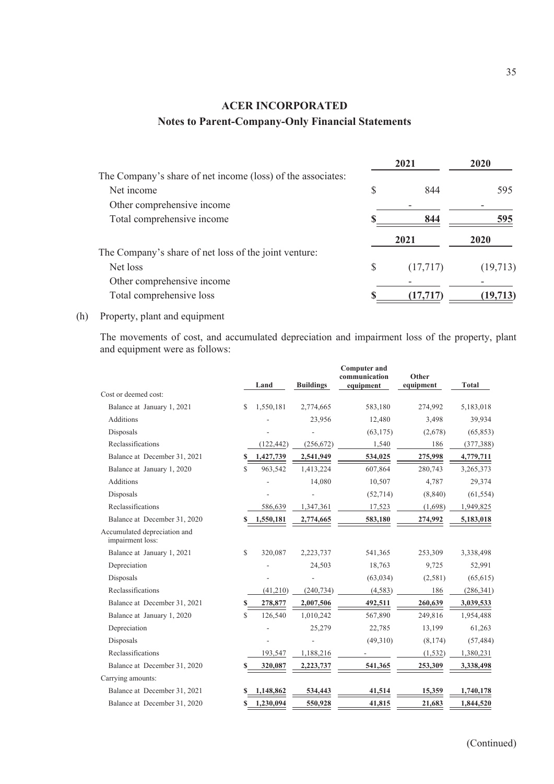|                                                             |    | 2021      | 2020     |
|-------------------------------------------------------------|----|-----------|----------|
| The Company's share of net income (loss) of the associates: |    |           |          |
| Net income                                                  | S  | 844       | 595      |
| Other comprehensive income                                  |    |           |          |
| Total comprehensive income                                  |    | 844       | 595      |
|                                                             |    | 2021      | 2020     |
| The Company's share of net loss of the joint venture:       |    |           |          |
| Net loss                                                    | \$ | (17,717)  | (19,713) |
| Other comprehensive income                                  |    |           |          |
| Total comprehensive loss                                    |    | (17, 717) | (19,713  |

#### (h) Property, plant and equipment

The movements of cost, and accumulated depreciation and impairment loss of the property, plant and equipment were as follows:

| Cost or deemed cost:                             |              | Land       | <b>Buildings</b> | <b>Computer and</b><br>communication<br>equipment | Other<br>equipment | <b>Total</b> |
|--------------------------------------------------|--------------|------------|------------------|---------------------------------------------------|--------------------|--------------|
| Balance at January 1, 2021                       | \$.          | 1,550,181  | 2,774,665        | 583,180                                           | 274,992            | 5,183,018    |
| <b>Additions</b>                                 |              |            | 23,956           | 12,480                                            | 3,498              | 39,934       |
| Disposals                                        |              |            |                  | (63, 175)                                         | (2,678)            | (65, 853)    |
| Reclassifications                                |              | (122, 442) | (256, 672)       | 1,540                                             | 186                | (377, 388)   |
| Balance at December 31, 2021                     | S            | 1,427,739  | 2,541,949        | 534,025                                           | 275,998            | 4,779,711    |
| Balance at January 1, 2020                       | \$.          | 963,542    | 1,413,224        | 607,864                                           | 280,743            | 3,265,373    |
| Additions                                        |              |            | 14,080           | 10,507                                            | 4,787              | 29,374       |
| Disposals                                        |              |            |                  | (52, 714)                                         | (8, 840)           | (61, 554)    |
| Reclassifications                                |              | 586,639    | 1,347,361        | 17,523                                            | (1,698)            | 1,949,825    |
| Balance at December 31, 2020                     |              | 1,550,181  | 2,774,665        | 583,180                                           | 274,992            | 5,183,018    |
| Accumulated depreciation and<br>impairment loss: |              |            |                  |                                                   |                    |              |
| Balance at January 1, 2021                       | $\mathbb{S}$ | 320,087    | 2,223,737        | 541,365                                           | 253,309            | 3,338,498    |
| Depreciation                                     |              |            | 24,503           | 18,763                                            | 9,725              | 52,991       |
| Disposals                                        |              |            |                  | (63, 034)                                         | (2,581)            | (65, 615)    |
| Reclassifications                                |              | (41,210)   | (240, 734)       | (4,583)                                           | 186                | (286, 341)   |
| Balance at December 31, 2021                     |              | 278,877    | 2,007,506        | 492,511                                           | 260,639            | 3,039,533    |
| Balance at January 1, 2020                       | S.           | 126,540    | 1,010,242        | 567,890                                           | 249,816            | 1,954,488    |
| Depreciation                                     |              |            | 25,279           | 22,785                                            | 13,199             | 61,263       |
| Disposals                                        |              |            |                  | (49,310)                                          | (8,174)            | (57, 484)    |
| Reclassifications                                |              | 193,547    | 1,188,216        |                                                   | (1, 532)           | 1,380,231    |
| Balance at December 31, 2020                     |              | 320,087    | 2,223,737        | 541,365                                           | 253,309            | 3,338,498    |
| Carrying amounts:                                |              |            |                  |                                                   |                    |              |
| Balance at December 31, 2021                     |              | 1,148,862  | 534,443          | 41,514                                            | 15,359             | 1,740,178    |
| Balance at December 31, 2020                     |              | 1,230,094  | 550,928          | 41,815                                            | 21,683             | 1,844,520    |
|                                                  |              |            |                  |                                                   |                    |              |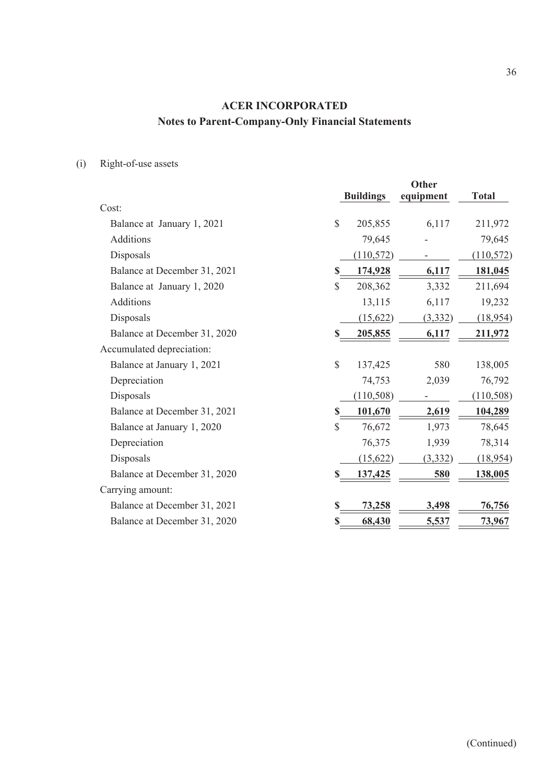(i) Right-of-use assets

| Cost:<br>\$<br>205,855<br>6,117<br>211,972<br>Balance at January 1, 2021<br>Additions<br>79,645<br>79,645<br>Disposals<br>(110, 572)<br>(110, 572)<br>Balance at December 31, 2021<br>174,928<br>6,117<br>181,045<br>S<br>$\mathbb{S}$<br>208,362<br>3,332<br>211,694<br>Balance at January 1, 2020<br><b>Additions</b><br>13,115<br>19,232<br>6,117<br>Disposals<br>(18,954)<br>(15,622)<br>(3, 332)<br>Balance at December 31, 2020<br>205,855<br>6,117<br>211,972<br>Accumulated depreciation:<br>\$<br>580<br>Balance at January 1, 2021<br>138,005<br>137,425<br>76,792<br>Depreciation<br>74,753<br>2,039<br>Disposals<br>(110, 508)<br>(110, 508)<br>104,289<br>Balance at December 31, 2021<br>101,670<br>2,619<br>$\mathbb{S}$<br>76,672<br>1,973<br>78,645<br>Balance at January 1, 2020<br>Depreciation<br>76,375<br>78,314<br>1,939<br>Disposals<br>(18,954)<br>(15,622)<br>(3,332)<br>Balance at December 31, 2020<br>138,005<br>580<br>137,425<br>Carrying amount:<br>Balance at December 31, 2021<br>76,756<br>73,258<br>3,498<br>S<br>68,430<br>73,967<br>Balance at December 31, 2020<br>5,537 |  | <b>Buildings</b> | <b>Other</b><br>equipment | <b>Total</b> |
|-----------------------------------------------------------------------------------------------------------------------------------------------------------------------------------------------------------------------------------------------------------------------------------------------------------------------------------------------------------------------------------------------------------------------------------------------------------------------------------------------------------------------------------------------------------------------------------------------------------------------------------------------------------------------------------------------------------------------------------------------------------------------------------------------------------------------------------------------------------------------------------------------------------------------------------------------------------------------------------------------------------------------------------------------------------------------------------------------------------------|--|------------------|---------------------------|--------------|
|                                                                                                                                                                                                                                                                                                                                                                                                                                                                                                                                                                                                                                                                                                                                                                                                                                                                                                                                                                                                                                                                                                                 |  |                  |                           |              |
|                                                                                                                                                                                                                                                                                                                                                                                                                                                                                                                                                                                                                                                                                                                                                                                                                                                                                                                                                                                                                                                                                                                 |  |                  |                           |              |
|                                                                                                                                                                                                                                                                                                                                                                                                                                                                                                                                                                                                                                                                                                                                                                                                                                                                                                                                                                                                                                                                                                                 |  |                  |                           |              |
|                                                                                                                                                                                                                                                                                                                                                                                                                                                                                                                                                                                                                                                                                                                                                                                                                                                                                                                                                                                                                                                                                                                 |  |                  |                           |              |
|                                                                                                                                                                                                                                                                                                                                                                                                                                                                                                                                                                                                                                                                                                                                                                                                                                                                                                                                                                                                                                                                                                                 |  |                  |                           |              |
|                                                                                                                                                                                                                                                                                                                                                                                                                                                                                                                                                                                                                                                                                                                                                                                                                                                                                                                                                                                                                                                                                                                 |  |                  |                           |              |
|                                                                                                                                                                                                                                                                                                                                                                                                                                                                                                                                                                                                                                                                                                                                                                                                                                                                                                                                                                                                                                                                                                                 |  |                  |                           |              |
|                                                                                                                                                                                                                                                                                                                                                                                                                                                                                                                                                                                                                                                                                                                                                                                                                                                                                                                                                                                                                                                                                                                 |  |                  |                           |              |
|                                                                                                                                                                                                                                                                                                                                                                                                                                                                                                                                                                                                                                                                                                                                                                                                                                                                                                                                                                                                                                                                                                                 |  |                  |                           |              |
|                                                                                                                                                                                                                                                                                                                                                                                                                                                                                                                                                                                                                                                                                                                                                                                                                                                                                                                                                                                                                                                                                                                 |  |                  |                           |              |
|                                                                                                                                                                                                                                                                                                                                                                                                                                                                                                                                                                                                                                                                                                                                                                                                                                                                                                                                                                                                                                                                                                                 |  |                  |                           |              |
|                                                                                                                                                                                                                                                                                                                                                                                                                                                                                                                                                                                                                                                                                                                                                                                                                                                                                                                                                                                                                                                                                                                 |  |                  |                           |              |
|                                                                                                                                                                                                                                                                                                                                                                                                                                                                                                                                                                                                                                                                                                                                                                                                                                                                                                                                                                                                                                                                                                                 |  |                  |                           |              |
|                                                                                                                                                                                                                                                                                                                                                                                                                                                                                                                                                                                                                                                                                                                                                                                                                                                                                                                                                                                                                                                                                                                 |  |                  |                           |              |
|                                                                                                                                                                                                                                                                                                                                                                                                                                                                                                                                                                                                                                                                                                                                                                                                                                                                                                                                                                                                                                                                                                                 |  |                  |                           |              |
|                                                                                                                                                                                                                                                                                                                                                                                                                                                                                                                                                                                                                                                                                                                                                                                                                                                                                                                                                                                                                                                                                                                 |  |                  |                           |              |
|                                                                                                                                                                                                                                                                                                                                                                                                                                                                                                                                                                                                                                                                                                                                                                                                                                                                                                                                                                                                                                                                                                                 |  |                  |                           |              |
|                                                                                                                                                                                                                                                                                                                                                                                                                                                                                                                                                                                                                                                                                                                                                                                                                                                                                                                                                                                                                                                                                                                 |  |                  |                           |              |
|                                                                                                                                                                                                                                                                                                                                                                                                                                                                                                                                                                                                                                                                                                                                                                                                                                                                                                                                                                                                                                                                                                                 |  |                  |                           |              |
|                                                                                                                                                                                                                                                                                                                                                                                                                                                                                                                                                                                                                                                                                                                                                                                                                                                                                                                                                                                                                                                                                                                 |  |                  |                           |              |
|                                                                                                                                                                                                                                                                                                                                                                                                                                                                                                                                                                                                                                                                                                                                                                                                                                                                                                                                                                                                                                                                                                                 |  |                  |                           |              |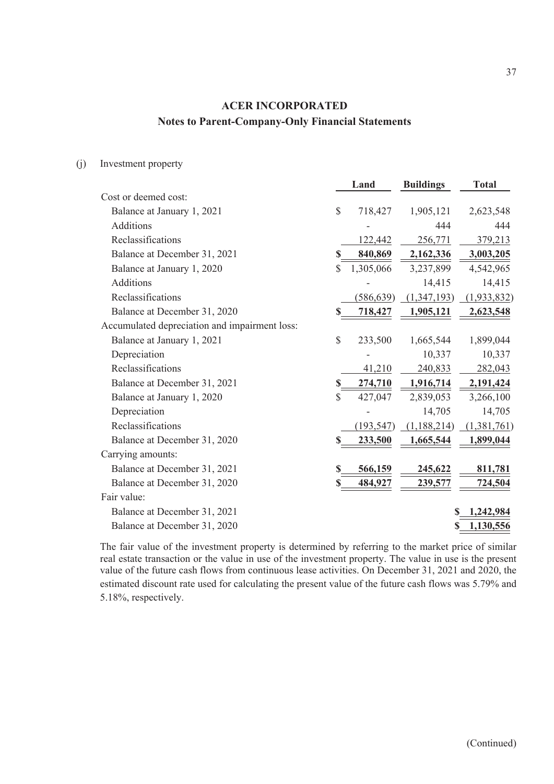#### (j) Investment property

|                                               |              | Land       | <b>Buildings</b> | <b>Total</b> |
|-----------------------------------------------|--------------|------------|------------------|--------------|
| Cost or deemed cost:                          |              |            |                  |              |
| Balance at January 1, 2021                    | \$           | 718,427    | 1,905,121        | 2,623,548    |
| <b>Additions</b>                              |              |            | 444              | 444          |
| Reclassifications                             |              | 122,442    | 256,771          | 379,213      |
| Balance at December 31, 2021                  | S            | 840,869    | 2,162,336        | 3,003,205    |
| Balance at January 1, 2020                    | S            | 1,305,066  | 3,237,899        | 4,542,965    |
| <b>Additions</b>                              |              |            | 14,415           | 14,415       |
| Reclassifications                             |              | (586, 639) | (1,347,193)      | (1,933,832)  |
| Balance at December 31, 2020                  | \$           | 718,427    | 1,905,121        | 2,623,548    |
| Accumulated depreciation and impairment loss: |              |            |                  |              |
| Balance at January 1, 2021                    | \$           | 233,500    | 1,665,544        | 1,899,044    |
| Depreciation                                  |              |            | 10,337           | 10,337       |
| Reclassifications                             |              | 41,210     | 240,833          | 282,043      |
| Balance at December 31, 2021                  |              | 274,710    | 1,916,714        | 2,191,424    |
| Balance at January 1, 2020                    | $\mathbb{S}$ | 427,047    | 2,839,053        | 3,266,100    |
| Depreciation                                  |              |            | 14,705           | 14,705       |
| Reclassifications                             |              | (193, 547) | (1,188,214)      | (1,381,761)  |
| Balance at December 31, 2020                  |              | 233,500    | 1,665,544        | 1,899,044    |
| Carrying amounts:                             |              |            |                  |              |
| Balance at December 31, 2021                  |              | 566,159    | 245,622          | 811,781      |
| Balance at December 31, 2020                  |              | 484,927    | 239,577          | 724,504      |
| Fair value:                                   |              |            |                  |              |
| Balance at December 31, 2021                  |              |            | S                | 1,242,984    |
| Balance at December 31, 2020                  |              |            |                  | 1,130,556    |

The fair value of the investment property is determined by referring to the market price of similar real estate transaction or the value in use of the investment property. The value in use is the present value of the future cash flows from continuous lease activities. On December 31, 2021 and 2020, the estimated discount rate used for calculating the present value of the future cash flows was 5.79% and 5.18%, respectively.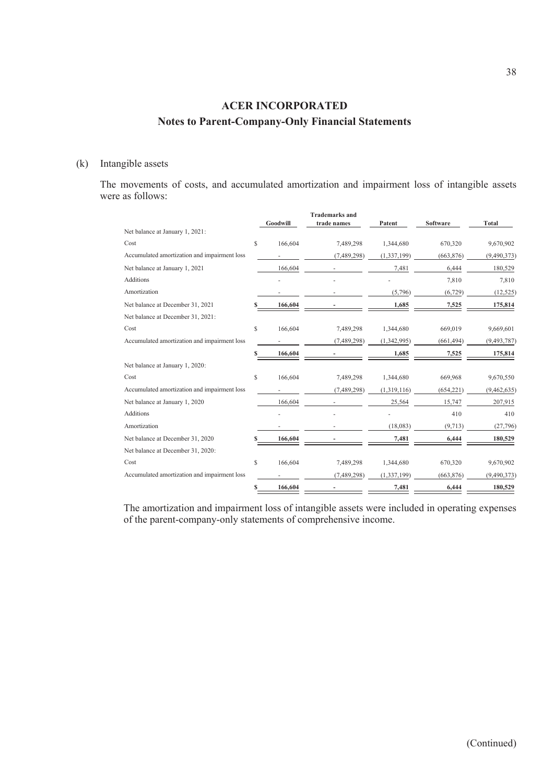#### (k) Intangible assets

The movements of costs, and accumulated amortization and impairment loss of intangible assets were as follows:

|                                              |    | Goodwill | <b>Trademarks and</b><br>trade names | Patent        | <b>Software</b> | <b>Total</b>  |
|----------------------------------------------|----|----------|--------------------------------------|---------------|-----------------|---------------|
| Net balance at January 1, 2021:              |    |          |                                      |               |                 |               |
| Cost                                         | \$ | 166,604  | 7,489,298                            | 1,344,680     | 670,320         | 9,670,902     |
| Accumulated amortization and impairment loss |    |          | (7,489,298)                          | (1, 337, 199) | (663, 876)      | (9,490,373)   |
| Net balance at January 1, 2021               |    | 166,604  |                                      | 7,481         | 6,444           | 180,529       |
| <b>Additions</b>                             |    |          |                                      |               | 7,810           | 7,810         |
| Amortization                                 |    |          |                                      | (5,796)       | (6, 729)        | (12, 525)     |
| Net balance at December 31, 2021             |    | 166,604  |                                      | 1,685         | 7,525           | 175,814       |
| Net balance at December 31, 2021:            |    |          |                                      |               |                 |               |
| Cost                                         | \$ | 166,604  | 7,489,298                            | 1,344,680     | 669,019         | 9,669,601     |
| Accumulated amortization and impairment loss |    |          | (7,489,298)                          | (1,342,995)   | (661, 494)      | (9, 493, 787) |
|                                              |    | 166,604  |                                      | 1,685         | 7,525           | 175,814       |
| Net balance at January 1, 2020:              |    |          |                                      |               |                 |               |
| Cost                                         | \$ | 166,604  | 7,489,298                            | 1,344,680     | 669,968         | 9,670,550     |
| Accumulated amortization and impairment loss |    |          | (7,489,298)                          | (1,319,116)   | (654, 221)      | (9,462,635)   |
| Net balance at January 1, 2020               |    | 166,604  |                                      | 25,564        | 15,747          | 207,915       |
| <b>Additions</b>                             |    |          |                                      |               | 410             | 410           |
| Amortization                                 |    |          |                                      | (18,083)      | (9,713)         | (27,796)      |
| Net balance at December 31, 2020             |    | 166,604  |                                      | 7,481         | 6,444           | 180,529       |
| Net balance at December 31, 2020:            |    |          |                                      |               |                 |               |
| Cost                                         | \$ | 166,604  | 7,489,298                            | 1,344,680     | 670,320         | 9,670,902     |
| Accumulated amortization and impairment loss |    |          | (7,489,298)                          | (1, 337, 199) | (663, 876)      | (9,490,373)   |
|                                              | S  | 166,604  |                                      | 7,481         | 6,444           | 180,529       |

The amortization and impairment loss of intangible assets were included in operating expenses of the parent-company-only statements of comprehensive income.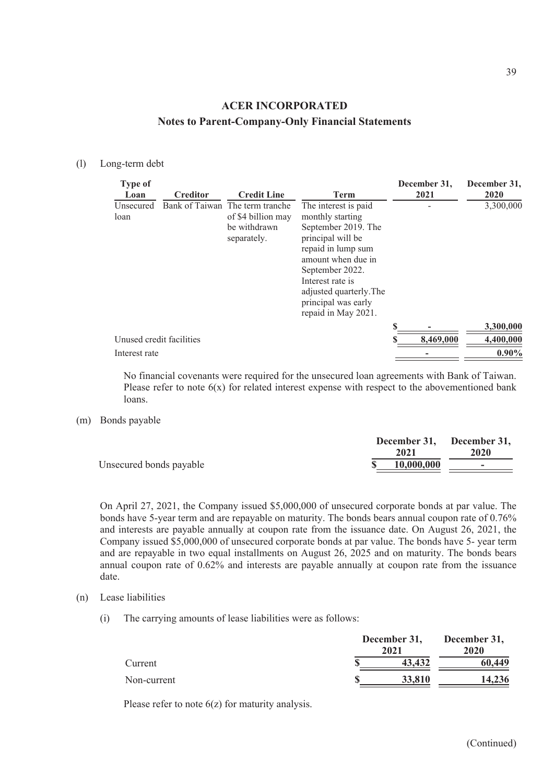#### (l) Long-term debt

| <b>Type of</b><br>Loan   | <b>Creditor</b> | <b>Credit Line</b>                                                                   | <b>Term</b>                                                                                                                                                                                                                                      | December 31,<br>2021 | December 31,<br>2020 |
|--------------------------|-----------------|--------------------------------------------------------------------------------------|--------------------------------------------------------------------------------------------------------------------------------------------------------------------------------------------------------------------------------------------------|----------------------|----------------------|
| Unsecured<br>loan        |                 | Bank of Taiwan The term tranche<br>of \$4 billion may<br>be withdrawn<br>separately. | The interest is paid<br>monthly starting<br>September 2019. The<br>principal will be<br>repaid in lump sum<br>amount when due in<br>September 2022.<br>Interest rate is<br>adjusted quarterly. The<br>principal was early<br>repaid in May 2021. |                      | 3,300,000            |
|                          |                 |                                                                                      |                                                                                                                                                                                                                                                  | ፍ                    | 3,300,000            |
| Unused credit facilities |                 |                                                                                      |                                                                                                                                                                                                                                                  | 8,469,000            | 4,400,000            |
| Interest rate            |                 |                                                                                      |                                                                                                                                                                                                                                                  |                      | $0.90\%$             |

No financial covenants were required for the unsecured loan agreements with Bank of Taiwan. Please refer to note  $6(x)$  for related interest expense with respect to the abovementioned bank loans.

(m) Bonds payable

|                         | 2021       | December 31, December 31,<br>2020 |
|-------------------------|------------|-----------------------------------|
| Unsecured bonds payable | 10,000,000 | . .                               |

On April 27, 2021, the Company issued \$5,000,000 of unsecured corporate bonds at par value. The bonds have 5-year term and are repayable on maturity. The bonds bears annual coupon rate of 0.76% and interests are payable annually at coupon rate from the issuance date. On August 26, 2021, the Company issued \$5,000,000 of unsecured corporate bonds at par value. The bonds have 5- year term and are repayable in two equal installments on August 26, 2025 and on maturity. The bonds bears annual coupon rate of 0.62% and interests are payable annually at coupon rate from the issuance date.

- (n) Lease liabilities
	- (i) The carrying amounts of lease liabilities were as follows:

|             | December 31,<br>2021 |        |        |
|-------------|----------------------|--------|--------|
| Current     |                      | 43,432 | 60,449 |
| Non-current |                      | 33,810 | 14,236 |

Please refer to note 6(z) for maturity analysis.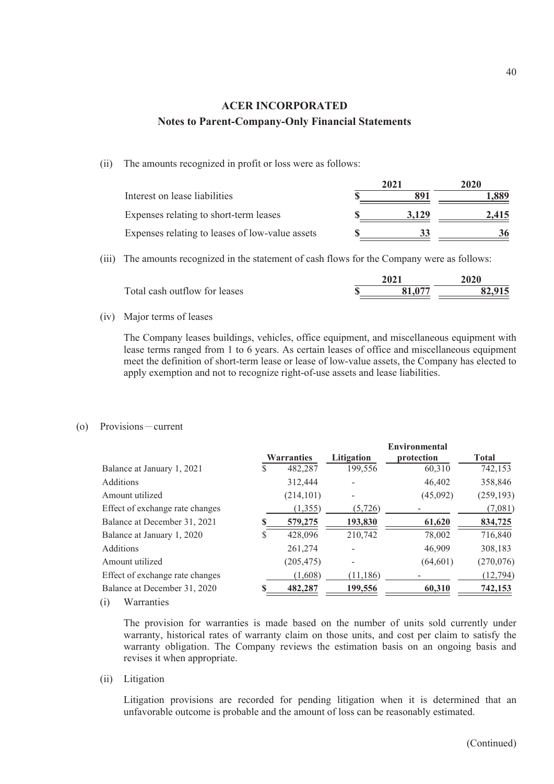(ii) The amounts recognized in profit or loss were as follows:

|                                                 | 2021  | 2020  |
|-------------------------------------------------|-------|-------|
| Interest on lease liabilities                   |       | 1.889 |
| Expenses relating to short-term leases          | 3.129 | 2.415 |
| Expenses relating to leases of low-value assets |       |       |

(iii) The amounts recognized in the statement of cash flows for the Company were as follows:

| Total cash outflow for leases | 81.077 | 82,915 |
|-------------------------------|--------|--------|

(iv) Major terms of leases

The Company leases buildings, vehicles, office equipment, and miscellaneous equipment with lease terms ranged from 1 to 6 years. As certain leases of office and miscellaneous equipment meet the definition of short-term lease or lease of low-value assets, the Company has elected to apply exemption and not to recognize right-of-use assets and lease liabilities.

#### (o) Provisions-current

|   |            |                   | <b>Environmental</b> |              |
|---|------------|-------------------|----------------------|--------------|
|   |            | Litigation        | protection           | <b>Total</b> |
| S | 482,287    | 199,556           | 60,310               | 742,153      |
|   | 312,444    |                   | 46,402               | 358,846      |
|   | (214, 101) |                   | (45,092)             | (259, 193)   |
|   | (1,355)    | (5, 726)          |                      | (7,081)      |
|   | 579,275    | 193,830           | 61,620               | 834,725      |
|   | 428,096    | 210,742           | 78,002               | 716,840      |
|   | 261,274    |                   | 46,909               | 308,183      |
|   | (205, 475) |                   | (64, 601)            | (270, 076)   |
|   | (1,608)    | (11, 186)         |                      | (12, 794)    |
|   | 482,287    | 199,556           | 60,310               | 742,153      |
|   |            | <b>Warranties</b> |                      |              |

(i) Warranties

The provision for warranties is made based on the number of units sold currently under warranty, historical rates of warranty claim on those units, and cost per claim to satisfy the warranty obligation. The Company reviews the estimation basis on an ongoing basis and revises it when appropriate.

(ii) Litigation

Litigation provisions are recorded for pending litigation when it is determined that an unfavorable outcome is probable and the amount of loss can be reasonably estimated.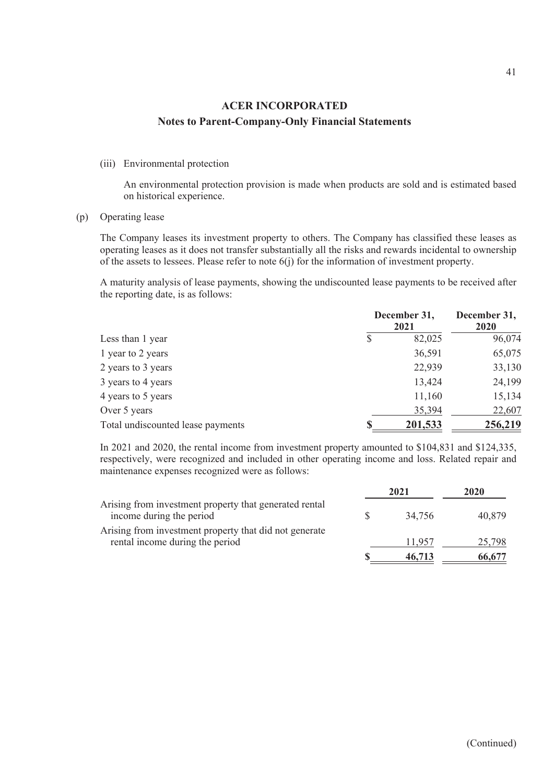#### (iii) Environmental protection

An environmental protection provision is made when products are sold and is estimated based on historical experience.

(p) Operating lease

The Company leases its investment property to others. The Company has classified these leases as operating leases as it does not transfer substantially all the risks and rewards incidental to ownership of the assets to lessees. Please refer to note 6(j) for the information of investment property.

A maturity analysis of lease payments, showing the undiscounted lease payments to be received after the reporting date, is as follows:

|                                   | December 31, | December 31,<br>2020 |         |
|-----------------------------------|--------------|----------------------|---------|
| Less than 1 year                  | S            | 82,025               | 96,074  |
| 1 year to 2 years                 |              | 36,591               | 65,075  |
| 2 years to 3 years                |              | 22,939               | 33,130  |
| 3 years to 4 years                |              | 13,424               | 24,199  |
| 4 years to 5 years                |              | 11,160               | 15,134  |
| Over 5 years                      |              | 35,394               | 22,607  |
| Total undiscounted lease payments |              | 201,533              | 256,219 |

In 2021 and 2020, the rental income from investment property amounted to \$104,831 and \$124,335, respectively, were recognized and included in other operating income and loss. Related repair and maintenance expenses recognized were as follows:

|                                                                                    | 2021   | 2020   |
|------------------------------------------------------------------------------------|--------|--------|
| Arising from investment property that generated rental<br>income during the period | 34,756 | 40,879 |
| Arising from investment property that did not generate                             |        |        |
| rental income during the period                                                    | 11.957 | 25,798 |
|                                                                                    | 46,713 | 66,677 |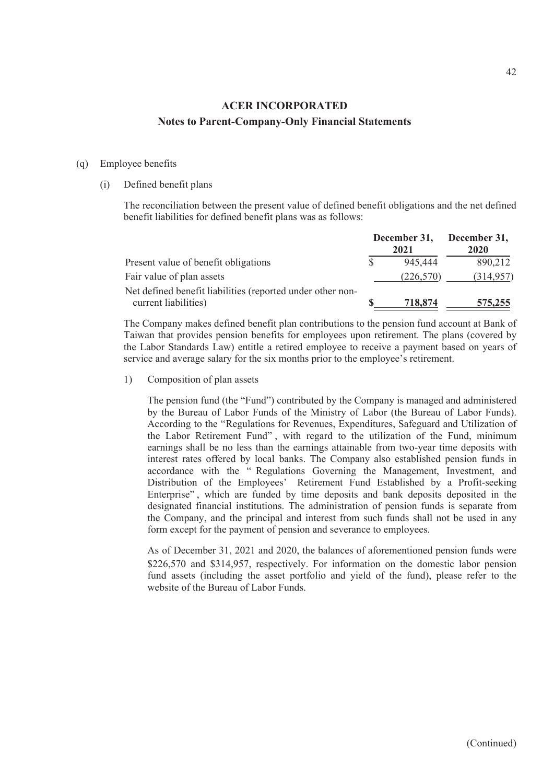#### (q) Employee benefits

#### (i) Defined benefit plans

The reconciliation between the present value of defined benefit obligations and the net defined benefit liabilities for defined benefit plans was as follows:

|                                                                                    |  | 2021       | December 31, December 31,<br>2020 |  |
|------------------------------------------------------------------------------------|--|------------|-----------------------------------|--|
| Present value of benefit obligations                                               |  | 945,444    | 890,212                           |  |
| Fair value of plan assets                                                          |  | (226, 570) | (314,957)                         |  |
| Net defined benefit liabilities (reported under other non-<br>current liabilities) |  | 718,874    | 575,255                           |  |

The Company makes defined benefit plan contributions to the pension fund account at Bank of Taiwan that provides pension benefits for employees upon retirement. The plans (covered by the Labor Standards Law) entitle a retired employee to receive a payment based on years of service and average salary for the six months prior to the employee's retirement.

1) Composition of plan assets

The pension fund (the "Fund") contributed by the Company is managed and administered by the Bureau of Labor Funds of the Ministry of Labor (the Bureau of Labor Funds). According to the "Regulations for Revenues, Expenditures, Safeguard and Utilization of the Labor Retirement Fund" , with regard to the utilization of the Fund, minimum earnings shall be no less than the earnings attainable from two-year time deposits with interest rates offered by local banks. The Company also established pension funds in accordance with the " Regulations Governing the Management, Investment, and Distribution of the Employees' Retirement Fund Established by a Profit-seeking Enterprise" , which are funded by time deposits and bank deposits deposited in the designated financial institutions. The administration of pension funds is separate from the Company, and the principal and interest from such funds shall not be used in any form except for the payment of pension and severance to employees.

As of December 31, 2021 and 2020, the balances of aforementioned pension funds were \$226,570 and \$314,957, respectively. For information on the domestic labor pension fund assets (including the asset portfolio and yield of the fund), please refer to the website of the Bureau of Labor Funds.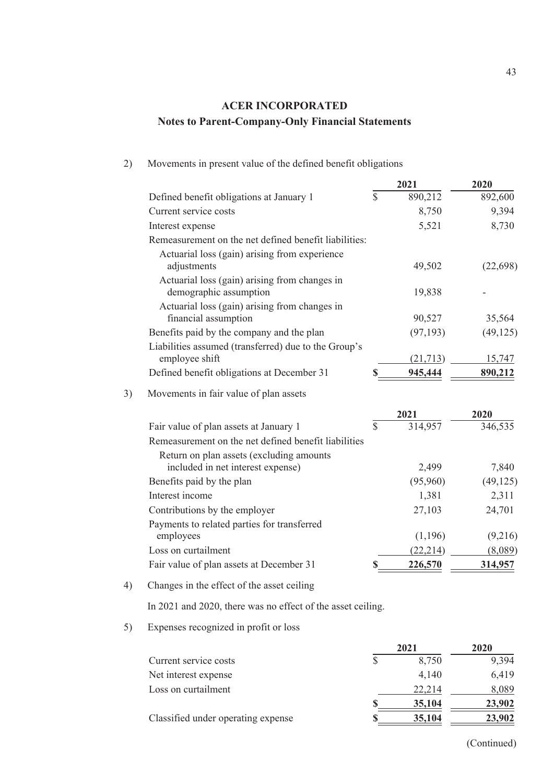|    |                                                                         |               | 2021      | 2020      |
|----|-------------------------------------------------------------------------|---------------|-----------|-----------|
|    | Defined benefit obligations at January 1                                | \$            | 890,212   | 892,600   |
|    | Current service costs                                                   |               | 8,750     | 9,394     |
|    | Interest expense                                                        |               | 5,521     | 8,730     |
|    | Remeasurement on the net defined benefit liabilities:                   |               |           |           |
|    | Actuarial loss (gain) arising from experience<br>adjustments            |               | 49,502    | (22, 698) |
|    | Actuarial loss (gain) arising from changes in<br>demographic assumption |               | 19,838    |           |
|    | Actuarial loss (gain) arising from changes in<br>financial assumption   |               | 90,527    | 35,564    |
|    | Benefits paid by the company and the plan                               |               | (97, 193) | (49, 125) |
|    | Liabilities assumed (transferred) due to the Group's<br>employee shift  |               | (21,713)  | 15,747    |
|    | Defined benefit obligations at December 31                              | S             | 945,444   | 890,212   |
| 3) | Movements in fair value of plan assets                                  |               |           |           |
|    |                                                                         |               | 2021      | 2020      |
|    | Fair value of plan assets at January 1                                  | $\mathcal{S}$ | 314,957   | 346,535   |
|    | Remeasurement on the net defined benefit liabilities                    |               |           |           |
|    | Return on plan assets (excluding amounts                                |               |           |           |
|    | included in net interest expense)                                       |               | 2,499     | 7,840     |
|    | Benefits paid by the plan                                               |               | (95,960)  | (49, 125) |
|    | Interest income                                                         |               | 1,381     | 2,311     |
|    | Contributions by the employer                                           |               | 27,103    | 24,701    |
|    | Payments to related parties for transferred                             |               |           |           |
|    | employees                                                               |               | (1,196)   | (9,216)   |
|    | Loss on curtailment                                                     |               | (22, 214) | (8,089)   |
|    | Fair value of plan assets at December 31                                | S             | 226,570   | 314,957   |
| 4) | Changes in the effect of the asset ceiling                              |               |           |           |

2) Movements in present value of the defined benefit obligations

In 2021 and 2020, there was no effect of the asset ceiling.

5) Expenses recognized in profit or loss

|                                    | 2021   | 2020   |  |
|------------------------------------|--------|--------|--|
| Current service costs              | 8,750  | 9,394  |  |
| Net interest expense               | 4,140  | 6,419  |  |
| Loss on curtailment                | 22.214 | 8,089  |  |
|                                    | 35,104 | 23,902 |  |
| Classified under operating expense | 35,104 | 23,902 |  |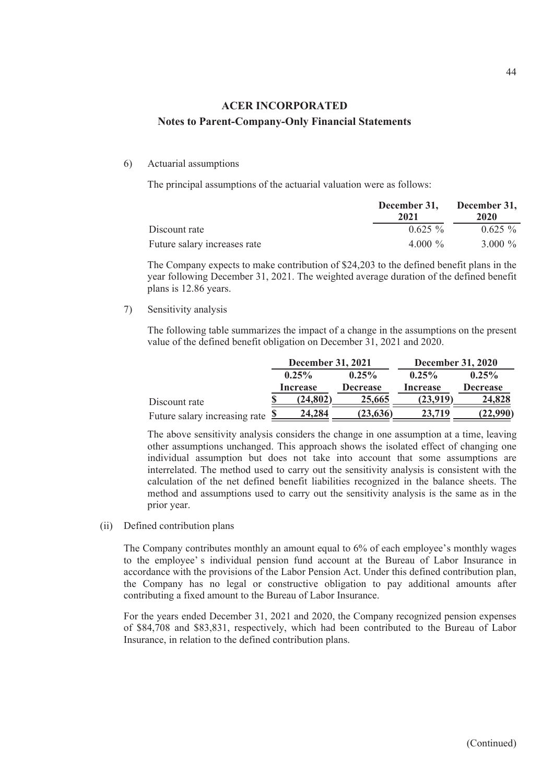#### 6) Actuarial assumptions

The principal assumptions of the actuarial valuation were as follows:

|                              | December 31, December 31,<br>2021 | 2020       |
|------------------------------|-----------------------------------|------------|
| Discount rate                | $0.625 \%$                        | $0.625\%$  |
| Future salary increases rate | 4.000 $\%$                        | 3.000 $\%$ |

The Company expects to make contribution of \$24,203 to the defined benefit plans in the year following December 31, 2021. The weighted average duration of the defined benefit plans is 12.86 years.

7) Sensitivity analysis

The following table summarizes the impact of a change in the assumptions on the present value of the defined benefit obligation on December 31, 2021 and 2020.

|                                        | <b>December 31, 2021</b> |           | <b>December 31, 2020</b> |          |                 |
|----------------------------------------|--------------------------|-----------|--------------------------|----------|-----------------|
|                                        |                          | $0.25\%$  | $0.25\%$                 | $0.25\%$ | $0.25\%$        |
|                                        |                          | Increase  | <b>Decrease</b>          | Increase | <b>Decrease</b> |
| Discount rate                          |                          | (24, 802) | 25,665                   | (23,919) | 24,828          |
| Future salary increasing rate $\Sigma$ |                          | 24,284    | (23, 636)                | 23,719   | (22,990)        |

The above sensitivity analysis considers the change in one assumption at a time, leaving other assumptions unchanged. This approach shows the isolated effect of changing one individual assumption but does not take into account that some assumptions are interrelated. The method used to carry out the sensitivity analysis is consistent with the calculation of the net defined benefit liabilities recognized in the balance sheets. The method and assumptions used to carry out the sensitivity analysis is the same as in the prior year.

(ii) Defined contribution plans

The Company contributes monthly an amount equal to 6% of each employee's monthly wages to the employee' s individual pension fund account at the Bureau of Labor Insurance in accordance with the provisions of the Labor Pension Act. Under this defined contribution plan, the Company has no legal or constructive obligation to pay additional amounts after contributing a fixed amount to the Bureau of Labor Insurance.

For the years ended December 31, 2021 and 2020, the Company recognized pension expenses of \$84,708 and \$83,831, respectively, which had been contributed to the Bureau of Labor Insurance, in relation to the defined contribution plans.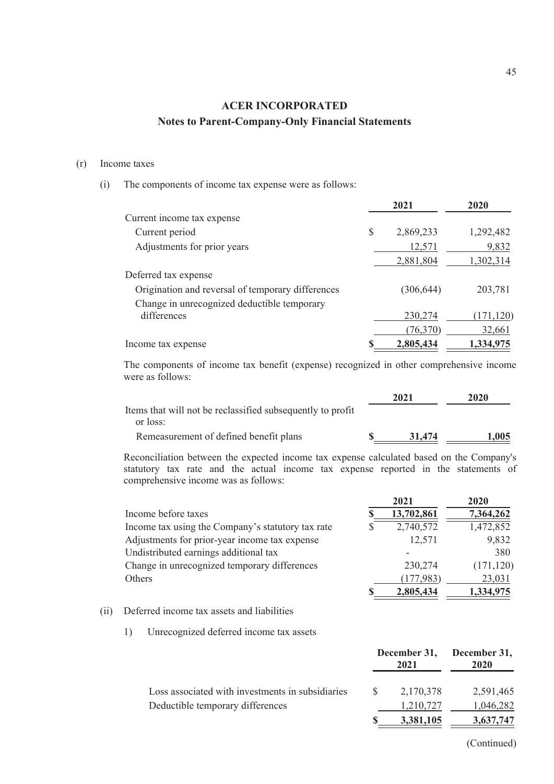#### (r) Income taxes

(i) The components of income tax expense were as follows:

|                                                   |    | 2021       | 2020       |  |
|---------------------------------------------------|----|------------|------------|--|
| Current income tax expense                        |    |            |            |  |
| Current period                                    | \$ | 2,869,233  | 1,292,482  |  |
| Adjustments for prior years                       |    | 12,571     | 9,832      |  |
|                                                   |    | 2,881,804  | 1,302,314  |  |
| Deferred tax expense                              |    |            |            |  |
| Origination and reversal of temporary differences |    | (306, 644) | 203,781    |  |
| Change in unrecognized deductible temporary       |    |            |            |  |
| differences                                       |    | 230,274    | (171, 120) |  |
|                                                   |    | (76,370)   | 32,661     |  |
| Income tax expense                                |    | 2,805,434  | 1,334,975  |  |
|                                                   |    |            |            |  |

The components of income tax benefit (expense) recognized in other comprehensive income were as follows:

|                                                            | 2021   | 2020  |
|------------------------------------------------------------|--------|-------|
| Items that will not be reclassified subsequently to profit |        |       |
| or loss:                                                   |        |       |
| Remeasurement of defined benefit plans                     | 31.474 | 1.005 |

Reconciliation between the expected income tax expense calculated based on the Company's statutory tax rate and the actual income tax expense reported in the statements of comprehensive income was as follows:

|                                                   | -----      | -----      |
|---------------------------------------------------|------------|------------|
| Income before taxes                               | 13,702,861 | 7,364,262  |
| Income tax using the Company's statutory tax rate | 2,740,572  | 1,472,852  |
| Adjustments for prior-year income tax expense     | 12,571     | 9,832      |
| Undistributed earnings additional tax             |            | 380        |
| Change in unrecognized temporary differences      | 230,274    | (171, 120) |
| Others                                            | (177,983)  | 23,031     |
|                                                   | 2,805,434  | 1,334,975  |
|                                                   |            |            |

#### (ii) Deferred income tax assets and liabilities

1) Unrecognized deferred income tax assets

|                                                  |     | 2021      | December 31, December 31,<br><b>2020</b> |  |
|--------------------------------------------------|-----|-----------|------------------------------------------|--|
| Loss associated with investments in subsidiaries | -SS | 2,170,378 | 2,591,465                                |  |
| Deductible temporary differences                 |     | 1,210,727 | 1,046,282                                |  |
|                                                  |     | 3,381,105 | 3,637,747                                |  |

**2021 2020**

(Continued)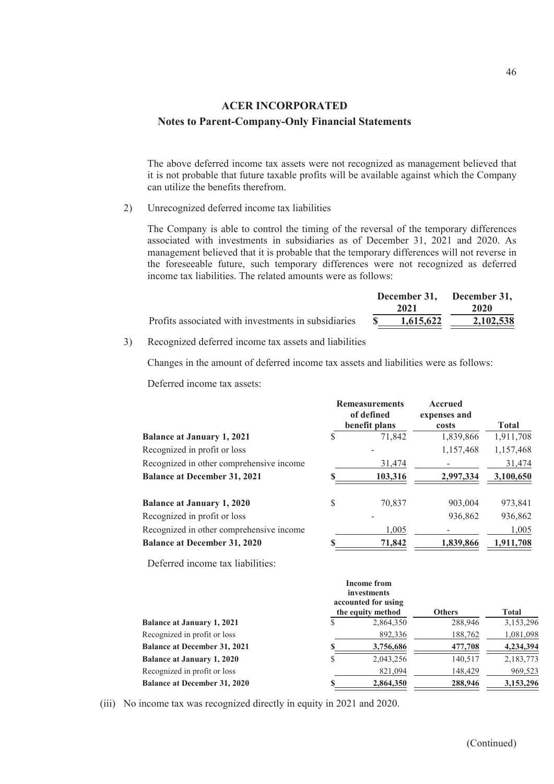The above deferred income tax assets were not recognized as management believed that it is not probable that future taxable profits will be available against which the Company can utilize the benefits therefrom.

2) Unrecognized deferred income tax liabilities

The Company is able to control the timing of the reversal of the temporary differences associated with investments in subsidiaries as of December 31, 2021 and 2020. As management believed that it is probable that the temporary differences will not reverse in the foreseeable future, such temporary differences were not recognized as deferred income tax liabilities. The related amounts were as follows:

|                                                     | December 31, December 31,<br>2021 |           | 2020      |  |
|-----------------------------------------------------|-----------------------------------|-----------|-----------|--|
| Profits associated with investments in subsidiaries | $\mathbf{s}$                      | 1.615.622 | 2,102,538 |  |

3) Recognized deferred income tax assets and liabilities

Changes in the amount of deferred income tax assets and liabilities were as follows:

Deferred income tax assets:

|                                          | <b>Remeasurements</b><br>of defined<br>benefit plans | <b>Accrued</b><br>expenses and<br>costs | <b>Total</b> |
|------------------------------------------|------------------------------------------------------|-----------------------------------------|--------------|
| <b>Balance at January 1, 2021</b>        | 71,842                                               | 1,839,866                               | 1,911,708    |
| Recognized in profit or loss             |                                                      | 1,157,468                               | 1,157,468    |
| Recognized in other comprehensive income | 31,474                                               |                                         | 31,474       |
| <b>Balance at December 31, 2021</b>      | 103,316                                              | 2,997,334                               | 3,100,650    |
| <b>Balance at January 1, 2020</b>        | \$<br>70,837                                         | 903,004                                 | 973,841      |
| Recognized in profit or loss             |                                                      | 936,862                                 | 936,862      |
| Recognized in other comprehensive income | 1,005                                                |                                         | 1,005        |
| <b>Balance at December 31, 2020</b>      | 71,842                                               | 1,839,866                               | 1,911,708    |

Deferred income tax liabilities:

|                                     |    | <b>Income from</b><br>investments<br>accounted for using<br>the equity method | <b>Others</b> | <b>Total</b> |
|-------------------------------------|----|-------------------------------------------------------------------------------|---------------|--------------|
| <b>Balance at January 1, 2021</b>   | S  | 2,864,350                                                                     | 288,946       | 3,153,296    |
| Recognized in profit or loss        |    | 892,336                                                                       | 188,762       | 1,081,098    |
| <b>Balance at December 31, 2021</b> | \$ | 3,756,686                                                                     | 477,708       | 4,234,394    |
| <b>Balance at January 1, 2020</b>   | S  | 2,043,256                                                                     | 140,517       | 2,183,773    |
| Recognized in profit or loss        |    | 821,094                                                                       | 148,429       | 969,523      |
| <b>Balance at December 31, 2020</b> | \$ | 2,864,350                                                                     | 288,946       | 3,153,296    |

(iii) No income tax was recognized directly in equity in 2021 and 2020.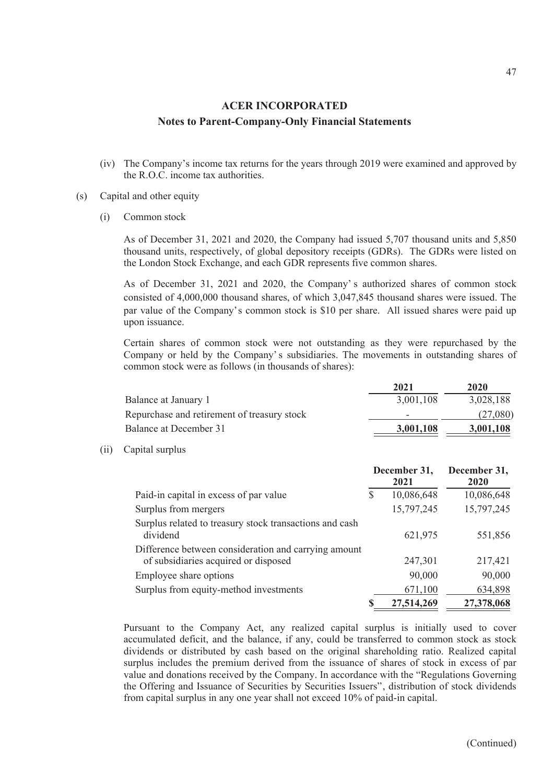(iv) The Company's income tax returns for the years through 2019 were examined and approved by the R.O.C. income tax authorities.

#### (s) Capital and other equity

(i) Common stock

 $(ii)$ 

As of December 31, 2021 and 2020, the Company had issued 5,707 thousand units and 5,850 thousand units, respectively, of global depository receipts (GDRs). The GDRs were listed on the London Stock Exchange, and each GDR represents five common shares.

As of December 31, 2021 and 2020, the Company' s authorized shares of common stock consisted of 4,000,000 thousand shares, of which 3,047,845 thousand shares were issued. The par value of the Company's common stock is \$10 per share. All issued shares were paid up upon issuance.

Certain shares of common stock were not outstanding as they were repurchased by the Company or held by the Company' s subsidiaries. The movements in outstanding shares of common stock were as follows (in thousands of shares):

|                                             | 2021                     | 2020      |
|---------------------------------------------|--------------------------|-----------|
| Balance at January 1                        | 3,001,108                | 3,028,188 |
| Repurchase and retirement of treasury stock | $\overline{\phantom{a}}$ | (27,080)  |
| Balance at December 31                      | 3,001,108                | 3,001,108 |
| Capital surplus                             |                          |           |
|                                             |                          |           |

|                                                                                              | December 31, |            | December 31, |  |
|----------------------------------------------------------------------------------------------|--------------|------------|--------------|--|
|                                                                                              |              | 2021       | 2020         |  |
| Paid-in capital in excess of par value                                                       | S            | 10,086,648 | 10,086,648   |  |
| Surplus from mergers                                                                         |              | 15,797,245 | 15,797,245   |  |
| Surplus related to treasury stock transactions and cash<br>dividend                          |              | 621,975    | 551,856      |  |
| Difference between consideration and carrying amount<br>of subsidiaries acquired or disposed |              | 247,301    | 217,421      |  |
| Employee share options                                                                       |              | 90,000     | 90,000       |  |
| Surplus from equity-method investments                                                       |              | 671,100    | 634,898      |  |
|                                                                                              |              | 27,514,269 | 27,378,068   |  |

Pursuant to the Company Act, any realized capital surplus is initially used to cover accumulated deficit, and the balance, if any, could be transferred to common stock as stock dividends or distributed by cash based on the original shareholding ratio. Realized capital surplus includes the premium derived from the issuance of shares of stock in excess of par value and donations received by the Company. In accordance with the "Regulations Governing the Offering and Issuance of Securities by Securities Issuers", distribution of stock dividends from capital surplus in any one year shall not exceed 10% of paid-in capital.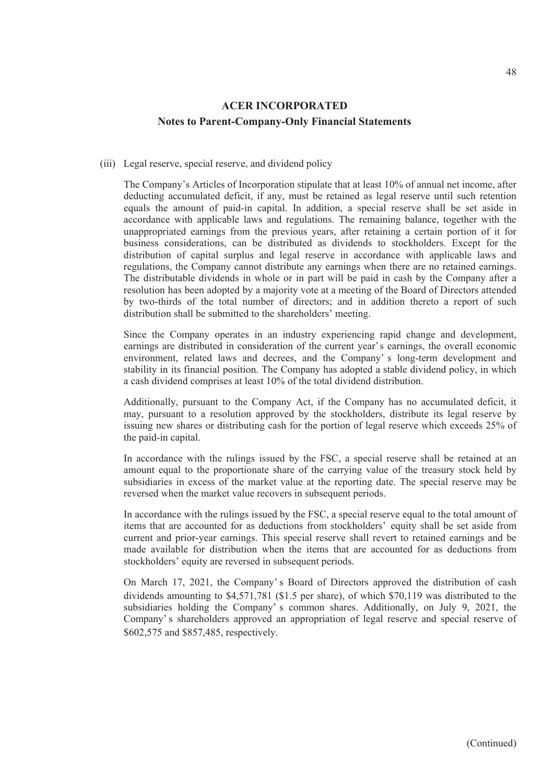#### (iii) Legal reserve, special reserve, and dividend policy

The Company's Articles of Incorporation stipulate that at least 10% of annual net income, after deducting accumulated deficit, if any, must be retained as legal reserve until such retention equals the amount of paid-in capital. In addition, a special reserve shall be set aside in accordance with applicable laws and regulations. The remaining balance, together with the unappropriated earnings from the previous years, after retaining a certain portion of it for business considerations, can be distributed as dividends to stockholders. Except for the distribution of capital surplus and legal reserve in accordance with applicable laws and regulations, the Company cannot distribute any earnings when there are no retained earnings. The distributable dividends in whole or in part will be paid in cash by the Company after a resolution has been adopted by a majority vote at a meeting of the Board of Directors attended by two-thirds of the total number of directors; and in addition thereto a report of such distribution shall be submitted to the shareholders' meeting.

Since the Company operates in an industry experiencing rapid change and development, earnings are distributed in consideration of the current year's earnings, the overall economic environment, related laws and decrees, and the Company' s long-term development and stability in its financial position. The Company has adopted a stable dividend policy, in which a cash dividend comprises at least 10% of the total dividend distribution.

Additionally, pursuant to the Company Act, if the Company has no accumulated deficit, it may, pursuant to a resolution approved by the stockholders, distribute its legal reserve by issuing new shares or distributing cash for the portion of legal reserve which exceeds 25% of the paid-in capital.

In accordance with the rulings issued by the FSC, a special reserve shall be retained at an amount equal to the proportionate share of the carrying value of the treasury stock held by subsidiaries in excess of the market value at the reporting date. The special reserve may be reversed when the market value recovers in subsequent periods.

In accordance with the rulings issued by the FSC, a special reserve equal to the total amount of items that are accounted for as deductions from stockholders' equity shall be set aside from current and prior-year earnings. This special reserve shall revert to retained earnings and be made available for distribution when the items that are accounted for as deductions from stockholders' equity are reversed in subsequent periods.

On March 17, 2021, the Company' s Board of Directors approved the distribution of cash dividends amounting to \$4,571,781 (\$1.5 per share), of which \$70,119 was distributed to the subsidiaries holding the Company' s common shares. Additionally, on July 9, 2021, the Company' s shareholders approved an appropriation of legal reserve and special reserve of \$602,575 and \$857,485, respectively.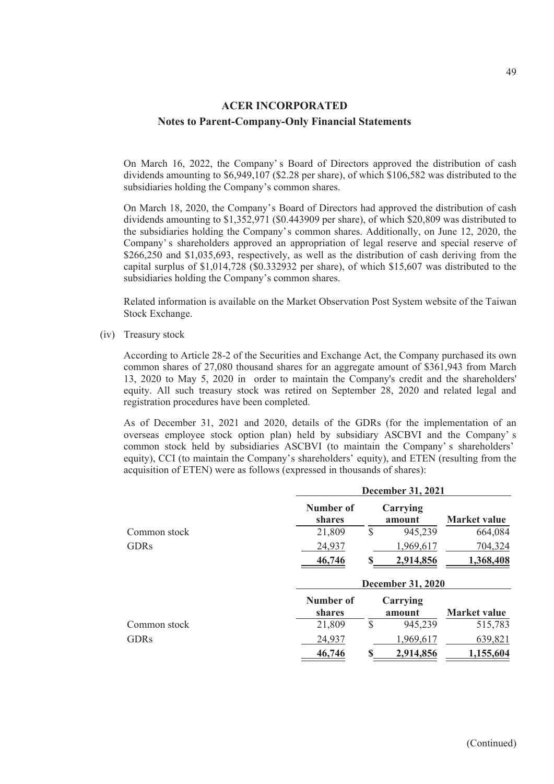On March 16, 2022, the Company' s Board of Directors approved the distribution of cash dividends amounting to \$6,949,107 (\$2.28 per share), of which \$106,582 was distributed to the subsidiaries holding the Company's common shares.

On March 18, 2020, the Company's Board of Directors had approved the distribution of cash dividends amounting to \$1,352,971 (\$0.443909 per share), of which \$20,809 was distributed to the subsidiaries holding the Company's common shares. Additionally, on June 12, 2020, the Company' s shareholders approved an appropriation of legal reserve and special reserve of \$266,250 and \$1,035,693, respectively, as well as the distribution of cash deriving from the capital surplus of \$1,014,728 (\$0.332932 per share), of which \$15,607 was distributed to the subsidiaries holding the Company's common shares.

Related information is available on the Market Observation Post System website of the Taiwan Stock Exchange.

(iv) Treasury stock

According to Article 28-2 of the Securities and Exchange Act, the Company purchased its own common shares of 27,080 thousand shares for an aggregate amount of \$361,943 from March 13, 2020 to May 5, 2020 in order to maintain the Company's credit and the shareholders' equity. All such treasury stock was retired on September 28, 2020 and related legal and registration procedures have been completed.

As of December 31, 2021 and 2020, details of the GDRs (for the implementation of an overseas employee stock option plan) held by subsidiary ASCBVI and the Company' s common stock held by subsidiaries ASCBVI (to maintain the Company' s shareholders' equity), CCI (to maintain the Company's shareholders' equity), and ETEN (resulting from the acquisition of ETEN) were as follows (expressed in thousands of shares):

|              |                                   | <b>December 31, 2021</b> |                     |  |  |
|--------------|-----------------------------------|--------------------------|---------------------|--|--|
|              | Number of<br>shares               | Carrying<br>amount       | <b>Market value</b> |  |  |
| Common stock | 21,809                            | \$<br>945,239            | 664,084             |  |  |
| <b>GDRs</b>  | 24,937                            | 1,969,617                | 704,324             |  |  |
|              | 46,746                            | S<br>2,914,856           | 1,368,408           |  |  |
|              |                                   | <b>December 31, 2020</b> |                     |  |  |
|              |                                   |                          |                     |  |  |
|              | <b>Number of</b><br><b>shares</b> | Carrying<br>amount       | <b>Market value</b> |  |  |
| Common stock | 21,809                            | \$<br>945,239            | 515,783             |  |  |
| <b>GDRs</b>  | 24,937                            | 1,969,617                | 639,821             |  |  |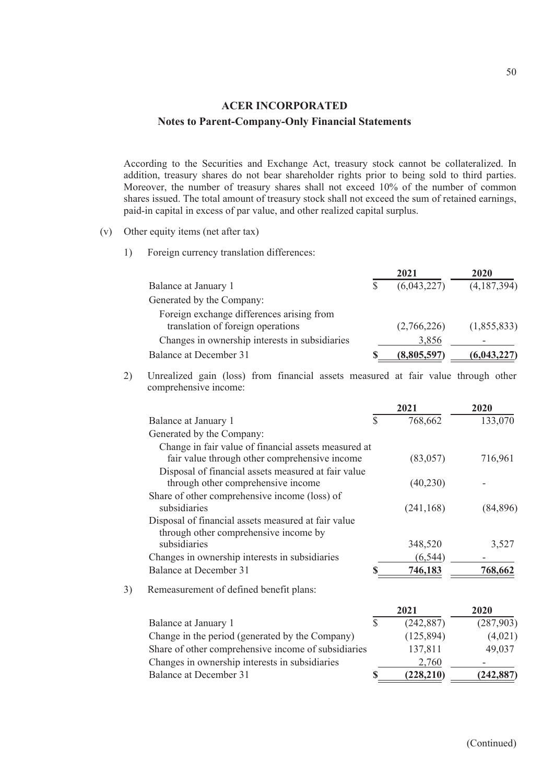According to the Securities and Exchange Act, treasury stock cannot be collateralized. In addition, treasury shares do not bear shareholder rights prior to being sold to third parties. Moreover, the number of treasury shares shall not exceed 10% of the number of common shares issued. The total amount of treasury stock shall not exceed the sum of retained earnings, paid-in capital in excess of par value, and other realized capital surplus.

- (v) Other equity items (net after tax)
	- 1) Foreign currency translation differences:

|                                                                                | 2021        | 2020        |
|--------------------------------------------------------------------------------|-------------|-------------|
| Balance at January 1                                                           | (6,043,227) | (4,187,394) |
| Generated by the Company:                                                      |             |             |
| Foreign exchange differences arising from<br>translation of foreign operations | (2,766,226) | (1,855,833) |
| Changes in ownership interests in subsidiaries                                 | 3,856       |             |
| Balance at December 31                                                         | (8,805,597) | (6,043,227) |

2) Unrealized gain (loss) from financial assets measured at fair value through other comprehensive income:

|    |                                                      |              | 2021       | 2020       |
|----|------------------------------------------------------|--------------|------------|------------|
|    | Balance at January 1                                 | $\mathbb{S}$ | 768,662    | 133,070    |
|    | Generated by the Company:                            |              |            |            |
|    | Change in fair value of financial assets measured at |              |            |            |
|    | fair value through other comprehensive income        |              | (83, 057)  | 716,961    |
|    | Disposal of financial assets measured at fair value  |              |            |            |
|    | through other comprehensive income                   |              | (40,230)   |            |
|    | Share of other comprehensive income (loss) of        |              |            |            |
|    | subsidiaries                                         |              | (241, 168) | (84, 896)  |
|    | Disposal of financial assets measured at fair value  |              |            |            |
|    | through other comprehensive income by                |              |            |            |
|    | subsidiaries                                         |              | 348,520    | 3,527      |
|    | Changes in ownership interests in subsidiaries       |              | (6, 544)   |            |
|    | <b>Balance at December 31</b>                        |              | 746,183    | 768,662    |
| 3) | Remeasurement of defined benefit plans:              |              |            |            |
|    |                                                      |              | 2021       | 2020       |
|    | Balance at January 1                                 | $\mathbb{S}$ | (242, 887) | (287,903)  |
|    | Change in the period (generated by the Company)      |              | (125, 894) | (4,021)    |
|    | Share of other comprehensive income of subsidiaries  |              | 137,811    | 49,037     |
|    | Changes in ownership interests in subsidiaries       |              | 2,760      |            |
|    | Balance at December 31                               | S            | (228, 210) | (242, 887) |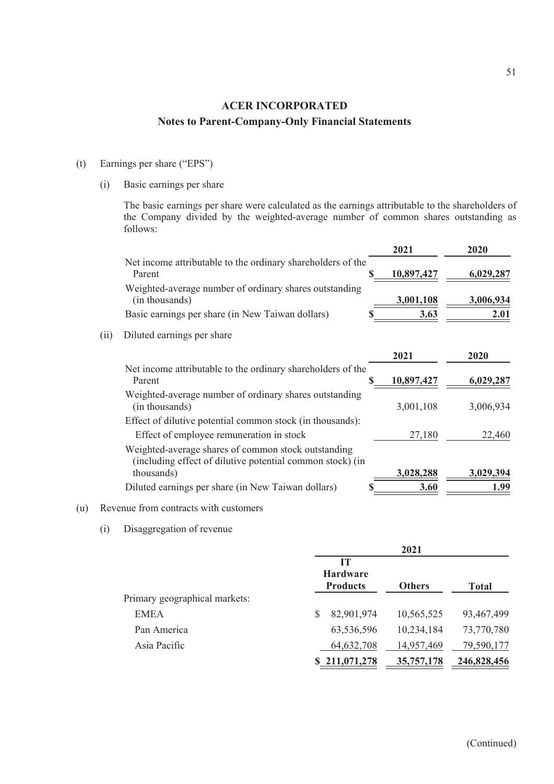#### (t) Earnings per share ("EPS")

(i) Basic earnings per share

The basic earnings per share were calculated as the earnings attributable to the shareholders of the Company divided by the weighted-average number of common shares outstanding as follows:

|                                                                          | 2021                                                                                                                                                                                    | 2020      |
|--------------------------------------------------------------------------|-----------------------------------------------------------------------------------------------------------------------------------------------------------------------------------------|-----------|
| Parent                                                                   | 10,897,427                                                                                                                                                                              | 6,029,287 |
| Weighted-average number of ordinary shares outstanding<br>(in thousands) | 3,001,108                                                                                                                                                                               | 3,006,934 |
| Basic earnings per share (in New Taiwan dollars)                         | 3.63                                                                                                                                                                                    | 2.01      |
| Diluted earnings per share                                               |                                                                                                                                                                                         |           |
|                                                                          | 2021                                                                                                                                                                                    | 2020      |
| Parent                                                                   | <u>10,897,427</u>                                                                                                                                                                       | 6,029,287 |
| Weighted-average number of ordinary shares outstanding<br>(in thousands) | 3,001,108                                                                                                                                                                               | 3,006,934 |
| Effect of dilutive potential common stock (in thousands):                |                                                                                                                                                                                         |           |
| Effect of employee remuneration in stock                                 | 27,180                                                                                                                                                                                  | 22,460    |
| Weighted-average shares of common stock outstanding                      |                                                                                                                                                                                         |           |
| thousands)                                                               | 3,028,288                                                                                                                                                                               | 3,029,394 |
| Diluted earnings per share (in New Taiwan dollars)                       | 3.60                                                                                                                                                                                    | 1.99      |
|                                                                          | Net income attributable to the ordinary shareholders of the<br>Net income attributable to the ordinary shareholders of the<br>(including effect of dilutive potential common stock) (in |           |

#### (u) Revenue from contracts with customers

(i) Disaggregation of revenue

|                               | 2021                                            |               |              |
|-------------------------------|-------------------------------------------------|---------------|--------------|
|                               | <b>IT</b><br><b>Hardware</b><br><b>Products</b> | <b>Others</b> | <b>Total</b> |
| Primary geographical markets: |                                                 |               |              |
| <b>EMEA</b>                   | 82,901,974<br>S                                 | 10,565,525    | 93,467,499   |
| Pan America                   | 63,536,596                                      | 10,234,184    | 73,770,780   |
| Asia Pacific                  | 64,632,708                                      | 14,957,469    | 79,590,177   |
|                               | \$211,071,278                                   | 35,757,178    | 246,828,456  |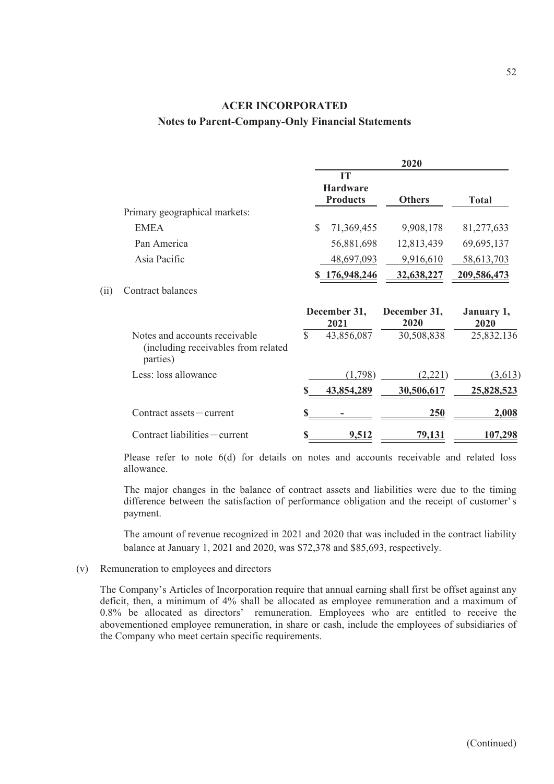|                                                                                  | 2020         |                                          |                      |                    |
|----------------------------------------------------------------------------------|--------------|------------------------------------------|----------------------|--------------------|
|                                                                                  |              | IT<br><b>Hardware</b><br><b>Products</b> | <b>Others</b>        | <b>Total</b>       |
| Primary geographical markets:                                                    |              |                                          |                      |                    |
| <b>EMEA</b>                                                                      | \$           | 71,369,455                               | 9,908,178            | 81,277,633         |
| Pan America                                                                      |              | 56,881,698                               | 12,813,439           | 69,695,137         |
| Asia Pacific                                                                     |              | 48,697,093                               | 9,916,610            | 58,613,703         |
|                                                                                  |              | \$176,948,246                            | 32,638,227           | 209,586,473        |
| Contract balances                                                                |              |                                          |                      |                    |
|                                                                                  |              | December 31,<br>2021                     | December 31,<br>2020 | January 1,<br>2020 |
| Notes and accounts receivable<br>(including receivables from related<br>parties) | $\mathbb{S}$ | 43,856,087                               | 30,508,838           | 25,832,136         |
| Less: loss allowance                                                             |              | (1,798)                                  | (2,221)              | (3,613)            |
|                                                                                  |              | 43,854,289                               | 30,506,617           | 25,828,523         |
| $Contract$ assets $- current$                                                    |              |                                          | 250                  | 2,008              |
| Contract liabilities - current                                                   |              | 9,512                                    | 79,131               | 107,298            |

Please refer to note 6(d) for details on notes and accounts receivable and related loss allowance.

The major changes in the balance of contract assets and liabilities were due to the timing difference between the satisfaction of performance obligation and the receipt of customer's payment.

The amount of revenue recognized in 2021 and 2020 that was included in the contract liability balance at January 1, 2021 and 2020, was \$72,378 and \$85,693, respectively.

#### (v) Remuneration to employees and directors

 $(ii)$ 

The Company's Articles of Incorporation require that annual earning shall first be offset against any deficit, then, a minimum of 4% shall be allocated as employee remuneration and a maximum of 0.8% be allocated as directors' remuneration. Employees who are entitled to receive the abovementioned employee remuneration, in share or cash, include the employees of subsidiaries of the Company who meet certain specific requirements.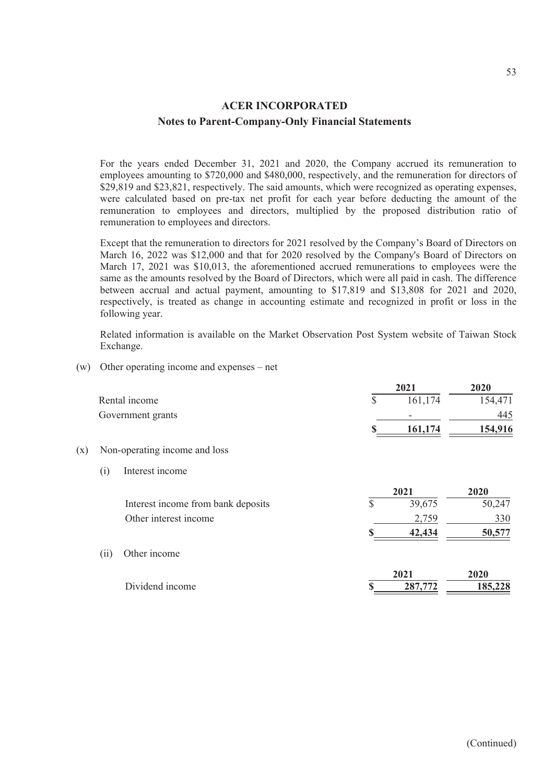For the years ended December 31, 2021 and 2020, the Company accrued its remuneration to employees amounting to \$720,000 and \$480,000, respectively, and the remuneration for directors of \$29,819 and \$23,821, respectively. The said amounts, which were recognized as operating expenses, were calculated based on pre-tax net profit for each year before deducting the amount of the remuneration to employees and directors, multiplied by the proposed distribution ratio of remuneration to employees and directors.

Except that the remuneration to directors for 2021 resolved by the Company's Board of Directors on March 16, 2022 was \$12,000 and that for 2020 resolved by the Company's Board of Directors on March 17, 2021 was \$10,013, the aforementioned accrued remunerations to employees were the same as the amounts resolved by the Board of Directors, which were all paid in cash. The difference between accrual and actual payment, amounting to \$17,819 and \$13,808 for 2021 and 2020, respectively, is treated as change in accounting estimate and recognized in profit or loss in the following year.

Related information is available on the Market Observation Post System website of Taiwan Stock Exchange.

(w) Other operating income and expenses – net

|     |      |                                    |    | 2021            | 2020            |
|-----|------|------------------------------------|----|-----------------|-----------------|
|     |      | Rental income                      | \$ | 161,174         | 154,471         |
|     |      | Government grants                  |    |                 | 445             |
|     |      |                                    | S  | <u>161,174</u>  | 154,916         |
| (x) |      | Non-operating income and loss      |    |                 |                 |
|     | (i)  | Interest income                    |    |                 |                 |
|     |      |                                    |    | 2021            | 2020            |
|     |      | Interest income from bank deposits | \$ | 39,675          | 50,247          |
|     |      | Other interest income              |    | 2,759           | 330             |
|     |      |                                    |    | 42,434          | 50,577          |
|     | (ii) | Other income                       |    |                 |                 |
|     |      | Dividend income                    | \$ | 2021<br>287,772 | 2020<br>185,228 |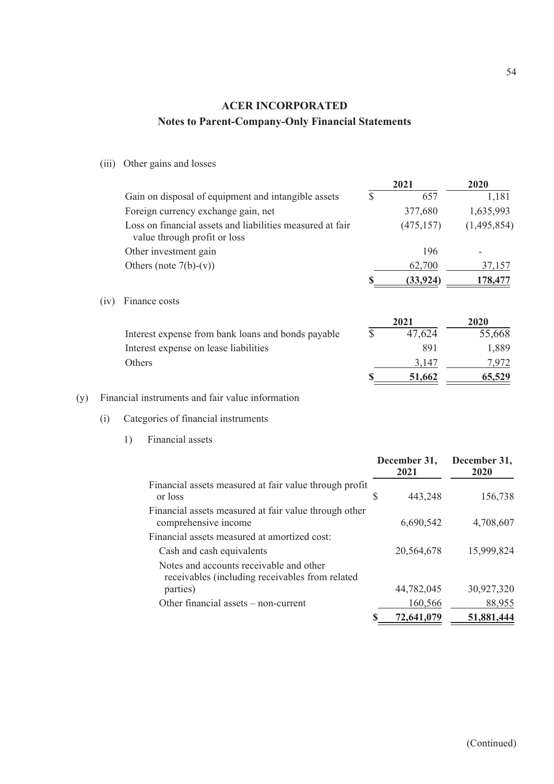(iii) Other gains and losses

|      |                                                                                           |              | 2021            | 2020        |
|------|-------------------------------------------------------------------------------------------|--------------|-----------------|-------------|
|      | Gain on disposal of equipment and intangible assets                                       | $\mathbb{S}$ | 657             | 1,181       |
|      | Foreign currency exchange gain, net                                                       |              | 377,680         | 1,635,993   |
|      | Loss on financial assets and liabilities measured at fair<br>value through profit or loss |              | (475, 157)      | (1,495,854) |
|      | Other investment gain                                                                     |              | 196             |             |
|      | Others (note $7(b)-(v)$ )                                                                 |              | 62,700          | 37,157      |
|      |                                                                                           |              | <u>(33,924)</u> | 178,477     |
| (iv) | Finance costs                                                                             |              |                 |             |
|      |                                                                                           |              | 2021            | 2020        |
|      | Interest expense from bank loans and bonds payable                                        | S            | 47,624          | 55,668      |
|      | Interest expense on lease liabilities                                                     |              | 891             | 1,889       |
|      | Others                                                                                    |              | 3,147           | 7,972       |
|      |                                                                                           |              | 51,662          | 65,529      |
|      |                                                                                           |              |                 |             |

#### (y) Financial instruments and fair value information

- (i) Categories of financial instruments
	- 1) Financial assets

|                                                                                            |   | December 31,<br>2021 | December 31,<br>2020 |
|--------------------------------------------------------------------------------------------|---|----------------------|----------------------|
| Financial assets measured at fair value through profit<br>or loss                          | S | 443,248              | 156,738              |
| Financial assets measured at fair value through other<br>comprehensive income              |   | 6,690,542            | 4,708,607            |
| Financial assets measured at amortized cost:                                               |   |                      |                      |
| Cash and cash equivalents                                                                  |   | 20,564,678           | 15,999,824           |
| Notes and accounts receivable and other<br>receivables (including receivables from related |   |                      |                      |
| parties)                                                                                   |   | 44,782,045           | 30,927,320           |
| Other financial assets – non-current                                                       |   | 160,566              | 88,955               |
|                                                                                            |   | 72,641,079           | 51,881,444           |
|                                                                                            |   |                      |                      |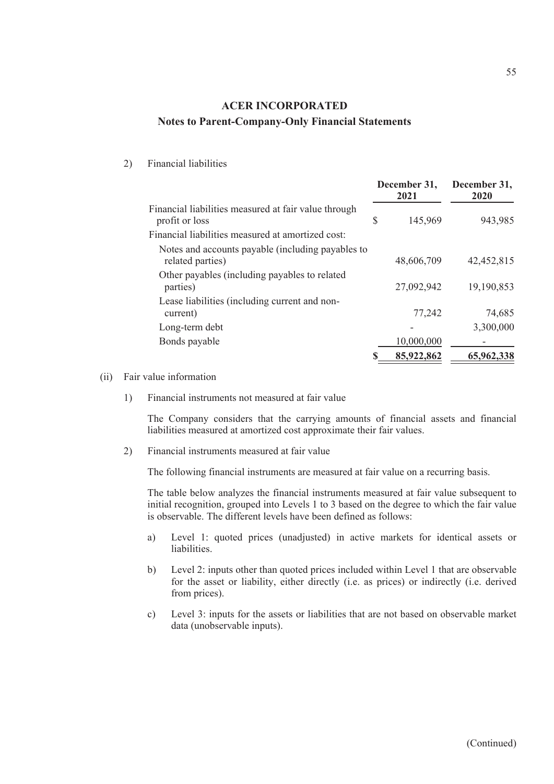#### 2) Financial liabilities

|                                                                                                                             |    | December 31,<br>2021 | December 31,<br>2020 |  |
|-----------------------------------------------------------------------------------------------------------------------------|----|----------------------|----------------------|--|
| Financial liabilities measured at fair value through<br>profit or loss<br>Financial liabilities measured at amortized cost: | \$ | 145,969              | 943,985              |  |
| Notes and accounts payable (including payables to<br>related parties)                                                       |    | 48,606,709           | 42,452,815           |  |
| Other payables (including payables to related<br>parties)                                                                   |    | 27,092,942           | 19,190,853           |  |
| Lease liabilities (including current and non-<br>current)                                                                   |    | 77,242               | 74,685               |  |
| Long-term debt                                                                                                              |    |                      | 3,300,000            |  |
| Bonds payable                                                                                                               |    | 10,000,000           |                      |  |
|                                                                                                                             | S  | 85,922,862           | 65,962,338           |  |

#### (ii) Fair value information

1) Financial instruments not measured at fair value

The Company considers that the carrying amounts of financial assets and financial liabilities measured at amortized cost approximate their fair values.

2) Financial instruments measured at fair value

The following financial instruments are measured at fair value on a recurring basis.

The table below analyzes the financial instruments measured at fair value subsequent to initial recognition, grouped into Levels 1 to 3 based on the degree to which the fair value is observable. The different levels have been defined as follows:

- a) Level 1: quoted prices (unadjusted) in active markets for identical assets or liabilities.
- b) Level 2: inputs other than quoted prices included within Level 1 that are observable for the asset or liability, either directly (i.e. as prices) or indirectly (i.e. derived from prices).
- c) Level 3: inputs for the assets or liabilities that are not based on observable market data (unobservable inputs).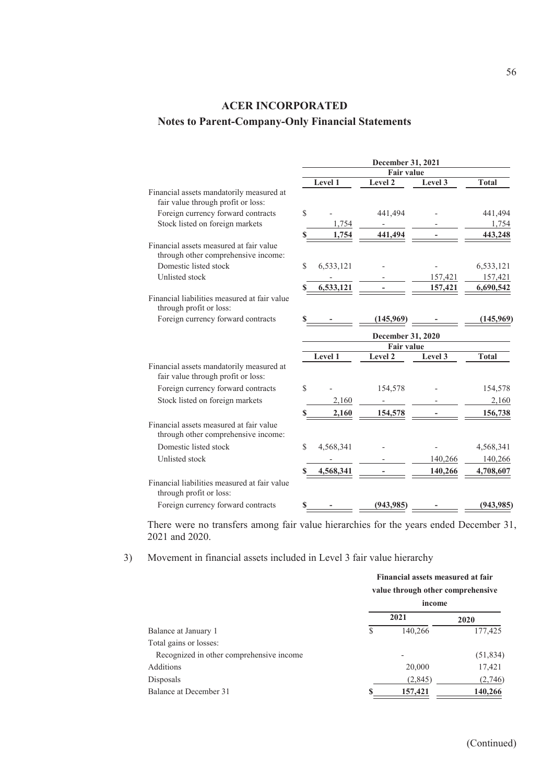|                                                                                | December 31, 2021<br><b>Fair value</b> |           |                   |         |              |
|--------------------------------------------------------------------------------|----------------------------------------|-----------|-------------------|---------|--------------|
|                                                                                |                                        |           |                   |         |              |
|                                                                                |                                        | Level 1   | Level 2           | Level 3 | <b>Total</b> |
| Financial assets mandatorily measured at<br>fair value through profit or loss: |                                        |           |                   |         |              |
| Foreign currency forward contracts                                             | \$                                     |           | 441,494           |         | 441,494      |
| Stock listed on foreign markets                                                |                                        | 1,754     |                   |         | 1,754        |
|                                                                                | S                                      | 1,754     | 441,494           |         | 443,248      |
| Financial assets measured at fair value<br>through other comprehensive income: |                                        |           |                   |         |              |
| Domestic listed stock                                                          | \$                                     | 6,533,121 |                   |         | 6,533,121    |
| Unlisted stock                                                                 |                                        |           |                   | 157,421 | 157,421      |
|                                                                                |                                        | 6,533,121 |                   | 157,421 | 6,690,542    |
| Financial liabilities measured at fair value<br>through profit or loss:        |                                        |           |                   |         |              |
| Foreign currency forward contracts                                             |                                        |           | (145,969)         |         | (145, 969)   |
|                                                                                |                                        |           | December 31, 2020 |         |              |
|                                                                                |                                        |           | <b>Fair value</b> |         |              |
|                                                                                |                                        | Level 1   | Level 2           | Level 3 | <b>Total</b> |
| Financial assets mandatorily measured at<br>fair value through profit or loss: |                                        |           |                   |         |              |
| Foreign currency forward contracts                                             | \$                                     |           | 154,578           |         | 154,578      |
| Stock listed on foreign markets                                                |                                        | 2,160     |                   |         | 2,160        |
|                                                                                |                                        | 2,160     | 154,578           |         | 156,738      |
| Financial assets measured at fair value<br>through other comprehensive income: |                                        |           |                   |         |              |
| Domestic listed stock                                                          | \$                                     | 4,568,341 |                   |         | 4,568,341    |
| Unlisted stock                                                                 |                                        |           |                   | 140,266 | 140,266      |
|                                                                                | S                                      | 4,568,341 |                   | 140,266 | 4,708,607    |
| Financial liabilities measured at fair value<br>through profit or loss:        |                                        |           |                   |         |              |
| Foreign currency forward contracts                                             |                                        |           | (943, 985)        |         | (943, 985)   |

There were no transfers among fair value hierarchies for the years ended December 31, 2021 and 2020.

3) Movement in financial assets included in Level 3 fair value hierarchy

|                                          | Financial assets measured at fair<br>value through other comprehensive |                          |           |  |
|------------------------------------------|------------------------------------------------------------------------|--------------------------|-----------|--|
|                                          | income                                                                 |                          |           |  |
|                                          |                                                                        | 2021                     | 2020      |  |
| Balance at January 1                     | \$                                                                     | 140,266                  | 177,425   |  |
| Total gains or losses:                   |                                                                        |                          |           |  |
| Recognized in other comprehensive income |                                                                        | $\overline{\phantom{0}}$ | (51, 834) |  |
| Additions                                |                                                                        | 20,000                   | 17,421    |  |
| Disposals                                |                                                                        | (2,845)                  | (2,746)   |  |
| Balance at December 31                   |                                                                        | 157,421                  | 140,266   |  |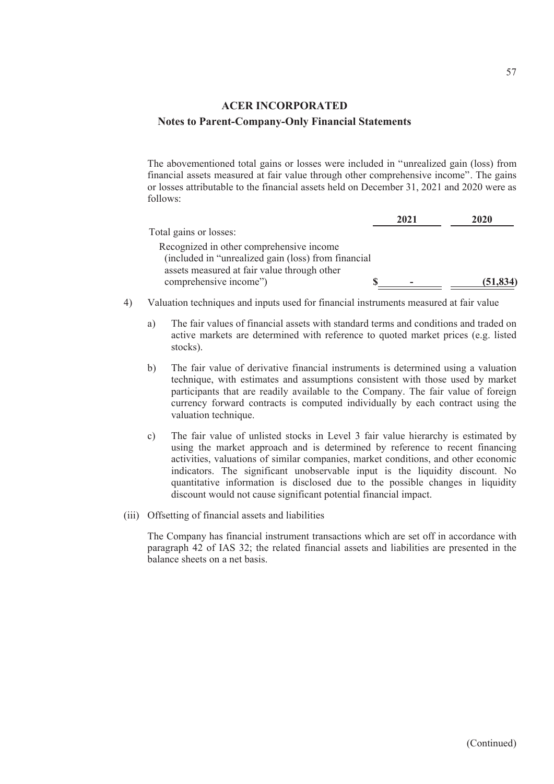The abovementioned total gains or losses were included in "unrealized gain (loss) from financial assets measured at fair value through other comprehensive income". The gains or losses attributable to the financial assets held on December 31, 2021 and 2020 were as follows:

|                                                     | 2021 | 2020      |
|-----------------------------------------------------|------|-----------|
| Total gains or losses:                              |      |           |
| Recognized in other comprehensive income            |      |           |
| (included in "unrealized gain (loss) from financial |      |           |
| assets measured at fair value through other         |      |           |
| comprehensive income")                              | -    | (51, 834) |

- 4) Valuation techniques and inputs used for financial instruments measured at fair value
	- a) The fair values of financial assets with standard terms and conditions and traded on active markets are determined with reference to quoted market prices (e.g. listed stocks).
	- b) The fair value of derivative financial instruments is determined using a valuation technique, with estimates and assumptions consistent with those used by market participants that are readily available to the Company. The fair value of foreign currency forward contracts is computed individually by each contract using the valuation technique.
	- c) The fair value of unlisted stocks in Level 3 fair value hierarchy is estimated by using the market approach and is determined by reference to recent financing activities, valuations of similar companies, market conditions, and other economic indicators. The significant unobservable input is the liquidity discount. No quantitative information is disclosed due to the possible changes in liquidity discount would not cause significant potential financial impact.
- (iii) Offsetting of financial assets and liabilities

The Company has financial instrument transactions which are set off in accordance with paragraph 42 of IAS 32; the related financial assets and liabilities are presented in the balance sheets on a net basis.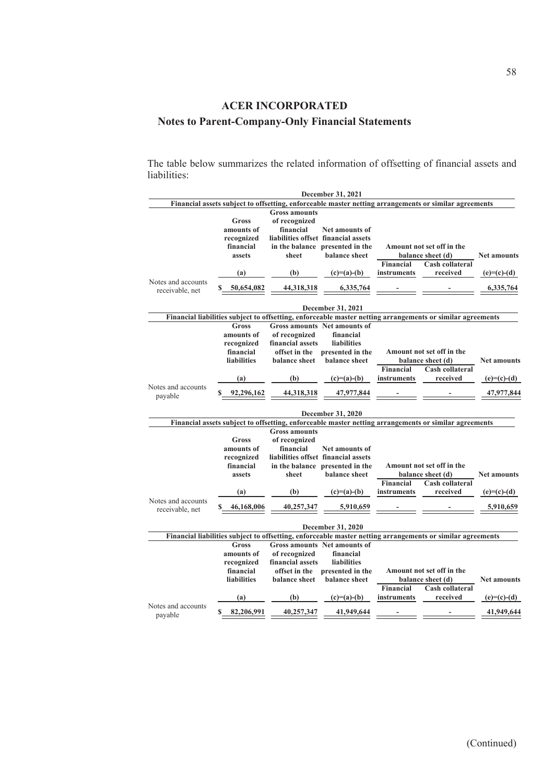The table below summarizes the related information of offsetting of financial assets and liabilities:

|                                       | December 31, 2021  |                      |                                     |             |                                                                                                            |                    |  |
|---------------------------------------|--------------------|----------------------|-------------------------------------|-------------|------------------------------------------------------------------------------------------------------------|--------------------|--|
|                                       |                    |                      |                                     |             | Financial assets subject to offsetting, enforceable master netting arrangements or similar agreements      |                    |  |
|                                       |                    | <b>Gross amounts</b> |                                     |             |                                                                                                            |                    |  |
|                                       | Gross              | of recognized        |                                     |             |                                                                                                            |                    |  |
|                                       | amounts of         | financial            | <b>Net amounts of</b>               |             |                                                                                                            |                    |  |
|                                       | recognized         |                      | liabilities offset financial assets |             |                                                                                                            |                    |  |
|                                       | financial          |                      | in the balance presented in the     |             | Amount not set off in the                                                                                  |                    |  |
|                                       | assets             | sheet                | balance sheet                       |             | balance sheet (d)                                                                                          | <b>Net amounts</b> |  |
|                                       |                    |                      |                                     | Financial   | Cash collateral                                                                                            |                    |  |
|                                       | (a)                | (b)                  | $(c)=(a)-(b)$                       | instruments | received                                                                                                   | $(e)=(c)-(d)$      |  |
| Notes and accounts<br>receivable, net | \$<br>50,654,082   | 44,318,318           | 6,335,764                           |             |                                                                                                            |                    |  |
|                                       |                    |                      | December 31, 2021                   |             |                                                                                                            |                    |  |
|                                       |                    |                      |                                     |             | Financial liabilities subject to offsetting, enforceable master netting arrangements or similar agreements |                    |  |
|                                       | Gross              |                      | <b>Gross amounts</b> Net amounts of |             |                                                                                                            |                    |  |
|                                       | amounts of         | of recognized        | financial                           |             |                                                                                                            |                    |  |
|                                       | recognized         | financial assets     | liabilities                         |             |                                                                                                            |                    |  |
|                                       | financial          | offset in the        | presented in the                    |             | Amount not set off in the                                                                                  |                    |  |
|                                       | <b>liabilities</b> | balance sheet        | balance sheet                       |             | balance sheet (d)                                                                                          | <b>Net amounts</b> |  |
|                                       |                    |                      |                                     | Financial   | Cash collateral                                                                                            |                    |  |
|                                       | (a)                | (b)                  | $(c)=(a)-(b)$                       | instruments | received                                                                                                   | $(e)=(c)-(d)$      |  |
| Notes and accounts<br>payable         | 92,296,162         | 44,318,318           | 47,977,844                          |             |                                                                                                            | 47,977,844         |  |
|                                       |                    |                      | <b>December 31, 2020</b>            |             |                                                                                                            |                    |  |
|                                       |                    |                      |                                     |             | Financial assets subject to offsetting, enforceable master netting arrangements or similar agreements      |                    |  |
|                                       |                    | <b>Gross amounts</b> |                                     |             |                                                                                                            |                    |  |
|                                       | Gross              | of recognized        |                                     |             |                                                                                                            |                    |  |
|                                       | amounts of         | financial            | <b>Net amounts of</b>               |             |                                                                                                            |                    |  |
|                                       | recognized         |                      | liabilities offset financial assets |             |                                                                                                            |                    |  |
|                                       | financial          |                      | in the balance presented in the     |             | Amount not set off in the                                                                                  |                    |  |
|                                       | assets             | sheet                | balance sheet                       |             | balance sheet (d)                                                                                          | <b>Net amounts</b> |  |
|                                       |                    |                      |                                     | Financial   | <b>Cash collateral</b>                                                                                     |                    |  |
|                                       | (a)                | (b)                  | $(c)=(a)-(b)$                       | instruments | received                                                                                                   | $(e)=(c)-(d)$      |  |
| Notes and accounts                    |                    |                      |                                     |             |                                                                                                            |                    |  |
| receivable, net                       | 46,168,006<br>\$   | 40,257,347           | 5,910,659                           |             |                                                                                                            |                    |  |
|                                       |                    |                      | December 31, 2020                   |             |                                                                                                            |                    |  |
|                                       |                    |                      |                                     |             | Financial liabilities subject to offsetting, enforceable master netting arrangements or similar agreements |                    |  |
|                                       | <b>Gross</b>       |                      | <b>Gross amounts</b> Net amounts of |             |                                                                                                            |                    |  |
|                                       | amounts of         | of recognized        | financial                           |             |                                                                                                            |                    |  |
|                                       | recognized         | financial assets     | <b>liabilities</b>                  |             |                                                                                                            |                    |  |
|                                       | financial          | offset in the        | presented in the                    |             | Amount not set off in the                                                                                  |                    |  |
|                                       | <b>liabilities</b> | balance sheet        | balance sheet                       |             | balance sheet (d)                                                                                          | <b>Net amounts</b> |  |
|                                       |                    |                      |                                     | Financial   | <b>Cash collateral</b>                                                                                     |                    |  |
|                                       | (a)                | (b)                  | $(c)=(a)-(b)$                       | instruments | received                                                                                                   | $(e)=(c)-(d)$      |  |
| Notes and accounts<br>payable         | S<br>82,206,991    | 40,257,347           | 41,949,644                          |             |                                                                                                            | 41,949,644         |  |
|                                       |                    |                      |                                     |             |                                                                                                            |                    |  |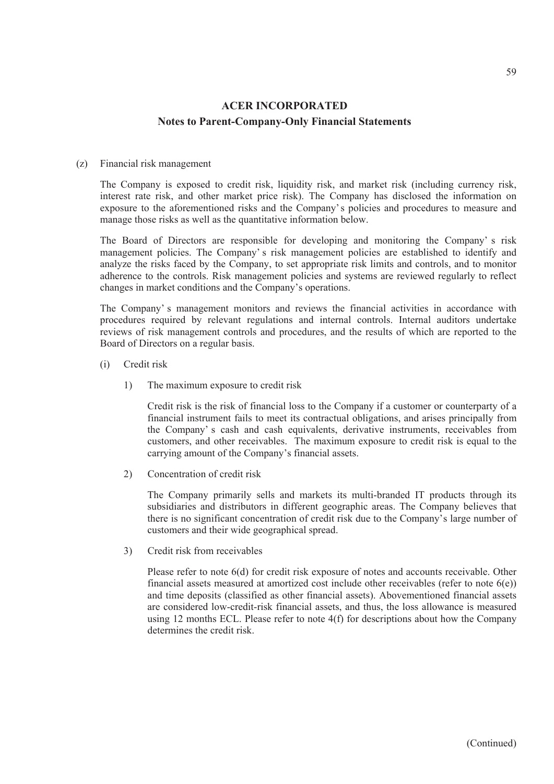#### (z) Financial risk management

The Company is exposed to credit risk, liquidity risk, and market risk (including currency risk, interest rate risk, and other market price risk). The Company has disclosed the information on exposure to the aforementioned risks and the Company's policies and procedures to measure and manage those risks as well as the quantitative information below.

The Board of Directors are responsible for developing and monitoring the Company' s risk management policies. The Company' s risk management policies are established to identify and analyze the risks faced by the Company, to set appropriate risk limits and controls, and to monitor adherence to the controls. Risk management policies and systems are reviewed regularly to reflect changes in market conditions and the Company's operations.

The Company' s management monitors and reviews the financial activities in accordance with procedures required by relevant regulations and internal controls. Internal auditors undertake reviews of risk management controls and procedures, and the results of which are reported to the Board of Directors on a regular basis.

- (i) Credit risk
	- 1) The maximum exposure to credit risk

Credit risk is the risk of financial loss to the Company if a customer or counterparty of a financial instrument fails to meet its contractual obligations, and arises principally from the Company' s cash and cash equivalents, derivative instruments, receivables from customers, and other receivables. The maximum exposure to credit risk is equal to the carrying amount of the Company's financial assets.

2) Concentration of credit risk

The Company primarily sells and markets its multi-branded IT products through its subsidiaries and distributors in different geographic areas. The Company believes that there is no significant concentration of credit risk due to the Company's large number of customers and their wide geographical spread.

3) Credit risk from receivables

Please refer to note 6(d) for credit risk exposure of notes and accounts receivable. Other financial assets measured at amortized cost include other receivables (refer to note  $6(e)$ ) and time deposits (classified as other financial assets). Abovementioned financial assets are considered low-credit-risk financial assets, and thus, the loss allowance is measured using 12 months ECL. Please refer to note 4(f) for descriptions about how the Company determines the credit risk.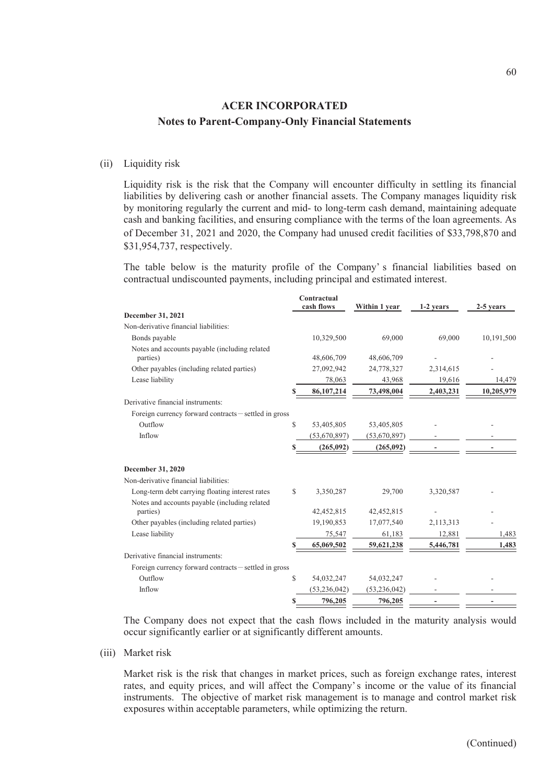#### (ii) Liquidity risk

Liquidity risk is the risk that the Company will encounter difficulty in settling its financial liabilities by delivering cash or another financial assets. The Company manages liquidity risk by monitoring regularly the current and mid- to long-term cash demand, maintaining adequate cash and banking facilities, and ensuring compliance with the terms of the loan agreements. As of December 31, 2021 and 2020, the Company had unused credit facilities of \$33,798,870 and \$31,954,737, respectively.

The table below is the maturity profile of the Company' s financial liabilities based on contractual undiscounted payments, including principal and estimated interest.

| December 31, 2021<br>Non-derivative financial liabilities:<br>10,329,500<br>69,000<br>69,000<br>Bonds payable<br>Notes and accounts payable (including related<br>parties)<br>48,606,709<br>48,606,709<br>2,314,615<br>Other payables (including related parties)<br>27,092,942<br>24,778,327<br>Lease liability<br>78,063<br>43,968<br>19,616<br>86,107,214<br>73,498,004<br>2,403,231<br>Derivative financial instruments:<br>Foreign currency forward contracts – settled in gross<br>Outflow<br>S<br>53,405,805<br>53,405,805<br>Inflow<br>(53,670,897)<br>(53,670,897)<br>(265,092)<br>(265,092)<br>S<br>December 31, 2020<br>Non-derivative financial liabilities:<br>Long-term debt carrying floating interest rates<br>S<br>3,350,287<br>29,700<br>3,320,587<br>Notes and accounts payable (including related<br>42,452,815<br>42,452,815<br>parties)<br>Other payables (including related parties)<br>19,190,853<br>17,077,540<br>2,113,313<br>Lease liability<br>75,547<br>61,183<br>12,881<br>S<br>65,069,502<br>59,621,238<br>5,446,781<br>Derivative financial instruments:<br>Foreign currency forward contracts-settled in gross<br>Outflow<br>$\mathbb{S}$<br>54,032,247<br>54,032,247<br>Inflow<br>(53, 236, 042)<br>(53, 236, 042)<br>796,205<br>796,205<br>S |  | Contractual<br>cash flows | Within 1 year | 1-2 years | 2-5 years  |
|---------------------------------------------------------------------------------------------------------------------------------------------------------------------------------------------------------------------------------------------------------------------------------------------------------------------------------------------------------------------------------------------------------------------------------------------------------------------------------------------------------------------------------------------------------------------------------------------------------------------------------------------------------------------------------------------------------------------------------------------------------------------------------------------------------------------------------------------------------------------------------------------------------------------------------------------------------------------------------------------------------------------------------------------------------------------------------------------------------------------------------------------------------------------------------------------------------------------------------------------------------------------------------|--|---------------------------|---------------|-----------|------------|
|                                                                                                                                                                                                                                                                                                                                                                                                                                                                                                                                                                                                                                                                                                                                                                                                                                                                                                                                                                                                                                                                                                                                                                                                                                                                                 |  |                           |               |           |            |
|                                                                                                                                                                                                                                                                                                                                                                                                                                                                                                                                                                                                                                                                                                                                                                                                                                                                                                                                                                                                                                                                                                                                                                                                                                                                                 |  |                           |               |           |            |
|                                                                                                                                                                                                                                                                                                                                                                                                                                                                                                                                                                                                                                                                                                                                                                                                                                                                                                                                                                                                                                                                                                                                                                                                                                                                                 |  |                           |               |           | 10,191,500 |
|                                                                                                                                                                                                                                                                                                                                                                                                                                                                                                                                                                                                                                                                                                                                                                                                                                                                                                                                                                                                                                                                                                                                                                                                                                                                                 |  |                           |               |           |            |
|                                                                                                                                                                                                                                                                                                                                                                                                                                                                                                                                                                                                                                                                                                                                                                                                                                                                                                                                                                                                                                                                                                                                                                                                                                                                                 |  |                           |               |           |            |
|                                                                                                                                                                                                                                                                                                                                                                                                                                                                                                                                                                                                                                                                                                                                                                                                                                                                                                                                                                                                                                                                                                                                                                                                                                                                                 |  |                           |               |           | 14,479     |
|                                                                                                                                                                                                                                                                                                                                                                                                                                                                                                                                                                                                                                                                                                                                                                                                                                                                                                                                                                                                                                                                                                                                                                                                                                                                                 |  |                           |               |           | 10,205,979 |
|                                                                                                                                                                                                                                                                                                                                                                                                                                                                                                                                                                                                                                                                                                                                                                                                                                                                                                                                                                                                                                                                                                                                                                                                                                                                                 |  |                           |               |           |            |
|                                                                                                                                                                                                                                                                                                                                                                                                                                                                                                                                                                                                                                                                                                                                                                                                                                                                                                                                                                                                                                                                                                                                                                                                                                                                                 |  |                           |               |           |            |
|                                                                                                                                                                                                                                                                                                                                                                                                                                                                                                                                                                                                                                                                                                                                                                                                                                                                                                                                                                                                                                                                                                                                                                                                                                                                                 |  |                           |               |           |            |
|                                                                                                                                                                                                                                                                                                                                                                                                                                                                                                                                                                                                                                                                                                                                                                                                                                                                                                                                                                                                                                                                                                                                                                                                                                                                                 |  |                           |               |           |            |
|                                                                                                                                                                                                                                                                                                                                                                                                                                                                                                                                                                                                                                                                                                                                                                                                                                                                                                                                                                                                                                                                                                                                                                                                                                                                                 |  |                           |               |           |            |
|                                                                                                                                                                                                                                                                                                                                                                                                                                                                                                                                                                                                                                                                                                                                                                                                                                                                                                                                                                                                                                                                                                                                                                                                                                                                                 |  |                           |               |           |            |
|                                                                                                                                                                                                                                                                                                                                                                                                                                                                                                                                                                                                                                                                                                                                                                                                                                                                                                                                                                                                                                                                                                                                                                                                                                                                                 |  |                           |               |           |            |
|                                                                                                                                                                                                                                                                                                                                                                                                                                                                                                                                                                                                                                                                                                                                                                                                                                                                                                                                                                                                                                                                                                                                                                                                                                                                                 |  |                           |               |           |            |
|                                                                                                                                                                                                                                                                                                                                                                                                                                                                                                                                                                                                                                                                                                                                                                                                                                                                                                                                                                                                                                                                                                                                                                                                                                                                                 |  |                           |               |           |            |
|                                                                                                                                                                                                                                                                                                                                                                                                                                                                                                                                                                                                                                                                                                                                                                                                                                                                                                                                                                                                                                                                                                                                                                                                                                                                                 |  |                           |               |           |            |
|                                                                                                                                                                                                                                                                                                                                                                                                                                                                                                                                                                                                                                                                                                                                                                                                                                                                                                                                                                                                                                                                                                                                                                                                                                                                                 |  |                           |               |           |            |
|                                                                                                                                                                                                                                                                                                                                                                                                                                                                                                                                                                                                                                                                                                                                                                                                                                                                                                                                                                                                                                                                                                                                                                                                                                                                                 |  |                           |               |           | 1,483      |
|                                                                                                                                                                                                                                                                                                                                                                                                                                                                                                                                                                                                                                                                                                                                                                                                                                                                                                                                                                                                                                                                                                                                                                                                                                                                                 |  |                           |               |           | 1,483      |
|                                                                                                                                                                                                                                                                                                                                                                                                                                                                                                                                                                                                                                                                                                                                                                                                                                                                                                                                                                                                                                                                                                                                                                                                                                                                                 |  |                           |               |           |            |
|                                                                                                                                                                                                                                                                                                                                                                                                                                                                                                                                                                                                                                                                                                                                                                                                                                                                                                                                                                                                                                                                                                                                                                                                                                                                                 |  |                           |               |           |            |
|                                                                                                                                                                                                                                                                                                                                                                                                                                                                                                                                                                                                                                                                                                                                                                                                                                                                                                                                                                                                                                                                                                                                                                                                                                                                                 |  |                           |               |           |            |
|                                                                                                                                                                                                                                                                                                                                                                                                                                                                                                                                                                                                                                                                                                                                                                                                                                                                                                                                                                                                                                                                                                                                                                                                                                                                                 |  |                           |               |           |            |
|                                                                                                                                                                                                                                                                                                                                                                                                                                                                                                                                                                                                                                                                                                                                                                                                                                                                                                                                                                                                                                                                                                                                                                                                                                                                                 |  |                           |               |           |            |

The Company does not expect that the cash flows included in the maturity analysis would occur significantly earlier or at significantly different amounts.

(iii) Market risk

Market risk is the risk that changes in market prices, such as foreign exchange rates, interest rates, and equity prices, and will affect the Company' s income or the value of its financial instruments. The objective of market risk management is to manage and control market risk exposures within acceptable parameters, while optimizing the return.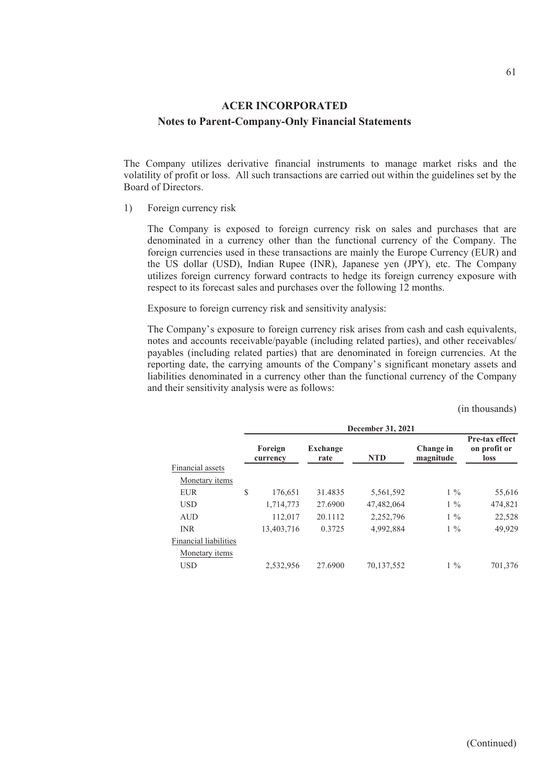The Company utilizes derivative financial instruments to manage market risks and the volatility of profit or loss. All such transactions are carried out within the guidelines set by the Board of Directors.

1) Foreign currency risk

The Company is exposed to foreign currency risk on sales and purchases that are denominated in a currency other than the functional currency of the Company. The foreign currencies used in these transactions are mainly the Europe Currency (EUR) and the US dollar (USD), Indian Rupee (INR), Japanese yen (JPY), etc. The Company utilizes foreign currency forward contracts to hedge its foreign currency exposure with respect to its forecast sales and purchases over the following 12 months.

Exposure to foreign currency risk and sensitivity analysis:

The Company's exposure to foreign currency risk arises from cash and cash equivalents, notes and accounts receivable/payable (including related parties), and other receivables/ payables (including related parties) that are denominated in foreign currencies. At the reporting date, the carrying amounts of the Company's significant monetary assets and liabilities denominated in a currency other than the functional currency of the Company and their sensitivity analysis were as follows:

|                       | December 31, 2021   |                         |            |                        |                                               |  |  |  |
|-----------------------|---------------------|-------------------------|------------|------------------------|-----------------------------------------------|--|--|--|
|                       | Foreign<br>currency | <b>Exchange</b><br>rate | <b>NTD</b> | Change in<br>magnitude | Pre-tax effect<br>on profit or<br><b>loss</b> |  |  |  |
| Financial assets      |                     |                         |            |                        |                                               |  |  |  |
| Monetary <i>items</i> |                     |                         |            |                        |                                               |  |  |  |
| <b>EUR</b>            | \$<br>176,651       | 31.4835                 | 5,561,592  | $1\%$                  | 55,616                                        |  |  |  |
| <b>USD</b>            | 1,714,773           | 27.6900                 | 47,482,064 | $1\%$                  | 474,821                                       |  |  |  |
| <b>AUD</b>            | 112,017             | 20.1112                 | 2,252,796  | $1\%$                  | 22,528                                        |  |  |  |
| <b>INR</b>            | 13,403,716          | 0.3725                  | 4,992,884  | $1\%$                  | 49,929                                        |  |  |  |
| Financial liabilities |                     |                         |            |                        |                                               |  |  |  |
| Monetary <i>items</i> |                     |                         |            |                        |                                               |  |  |  |
| <b>USD</b>            | 2,532,956           | 27.6900                 | 70,137,552 | $1\%$                  | 701,376                                       |  |  |  |

(in thousands)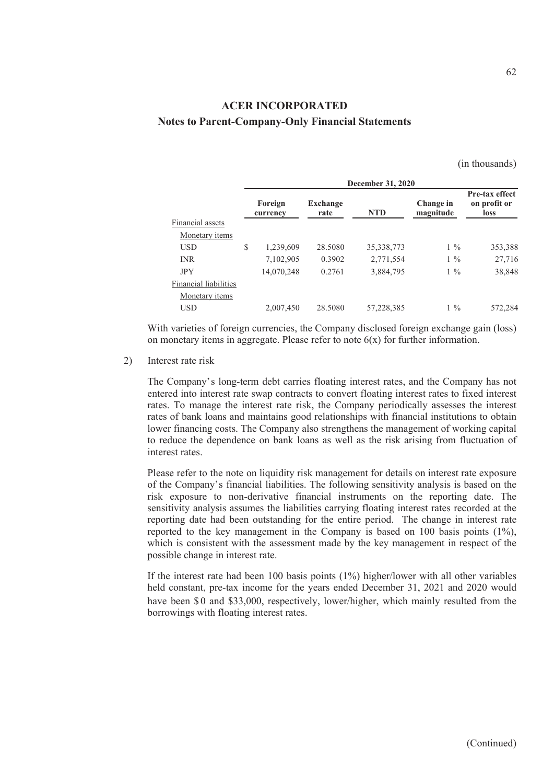(in thousands)

|                       | December 31, 2020   |                         |              |                        |                                        |  |  |  |
|-----------------------|---------------------|-------------------------|--------------|------------------------|----------------------------------------|--|--|--|
|                       | Foreign<br>currency | <b>Exchange</b><br>rate | <b>NTD</b>   | Change in<br>magnitude | Pre-tax effect<br>on profit or<br>loss |  |  |  |
| Financial assets      |                     |                         |              |                        |                                        |  |  |  |
| Monetary items        |                     |                         |              |                        |                                        |  |  |  |
| <b>USD</b>            | \$<br>1,239,609     | 28.5080                 | 35, 338, 773 | $1\%$                  | 353,388                                |  |  |  |
| <b>INR</b>            | 7,102,905           | 0.3902                  | 2,771,554    | $1\%$                  | 27,716                                 |  |  |  |
| <b>JPY</b>            | 14,070,248          | 0.2761                  | 3,884,795    | $1\%$                  | 38,848                                 |  |  |  |
| Financial liabilities |                     |                         |              |                        |                                        |  |  |  |
| Monetary <i>items</i> |                     |                         |              |                        |                                        |  |  |  |
| <b>USD</b>            | 2,007,450           | 28.5080                 | 57,228,385   | $1\%$                  | 572,284                                |  |  |  |

With varieties of foreign currencies, the Company disclosed foreign exchange gain (loss) on monetary items in aggregate. Please refer to note  $6(x)$  for further information.

2) Interest rate risk

The Company's long-term debt carries floating interest rates, and the Company has not entered into interest rate swap contracts to convert floating interest rates to fixed interest rates. To manage the interest rate risk, the Company periodically assesses the interest rates of bank loans and maintains good relationships with financial institutions to obtain lower financing costs. The Company also strengthens the management of working capital to reduce the dependence on bank loans as well as the risk arising from fluctuation of interest rates.

Please refer to the note on liquidity risk management for details on interest rate exposure of the Company's financial liabilities. The following sensitivity analysis is based on the risk exposure to non-derivative financial instruments on the reporting date. The sensitivity analysis assumes the liabilities carrying floating interest rates recorded at the reporting date had been outstanding for the entire period. The change in interest rate reported to the key management in the Company is based on 100 basis points (1%), which is consistent with the assessment made by the key management in respect of the possible change in interest rate.

If the interest rate had been 100 basis points (1%) higher/lower with all other variables held constant, pre-tax income for the years ended December 31, 2021 and 2020 would have been \$0 and \$33,000, respectively, lower/higher, which mainly resulted from the borrowings with floating interest rates.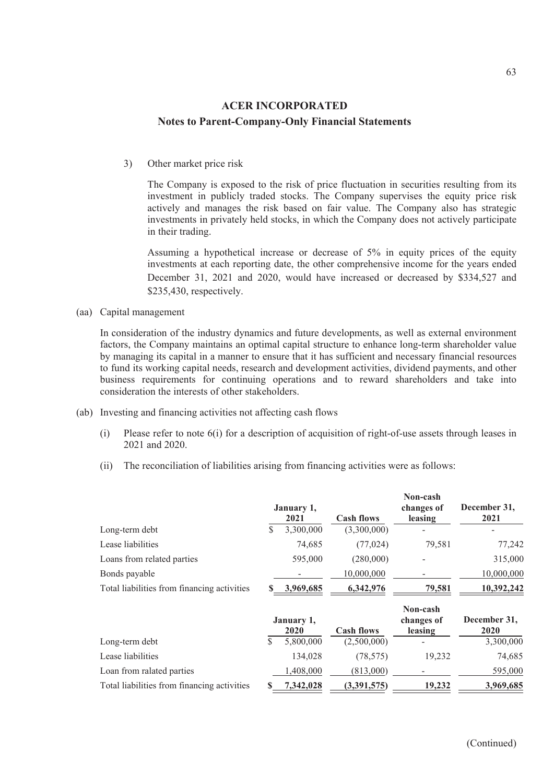3) Other market price risk

The Company is exposed to the risk of price fluctuation in securities resulting from its investment in publicly traded stocks. The Company supervises the equity price risk actively and manages the risk based on fair value. The Company also has strategic investments in privately held stocks, in which the Company does not actively participate in their trading.

Assuming a hypothetical increase or decrease of 5% in equity prices of the equity investments at each reporting date, the other comprehensive income for the years ended December 31, 2021 and 2020, would have increased or decreased by \$334,527 and \$235,430, respectively.

(aa) Capital management

In consideration of the industry dynamics and future developments, as well as external environment factors, the Company maintains an optimal capital structure to enhance long-term shareholder value by managing its capital in a manner to ensure that it has sufficient and necessary financial resources to fund its working capital needs, research and development activities, dividend payments, and other business requirements for continuing operations and to reward shareholders and take into consideration the interests of other stakeholders.

- (ab) Investing and financing activities not affecting cash flows
	- (i) Please refer to note 6(i) for a description of acquisition of right-of-use assets through leases in 2021 and 2020.
	- (ii) The reconciliation of liabilities arising from financing activities were as follows:

|                                             |    | January 1,<br>2021 | <b>Cash flows</b> | Non-cash<br>changes of<br>leasing | December 31,<br>2021 |
|---------------------------------------------|----|--------------------|-------------------|-----------------------------------|----------------------|
| Long-term debt                              | \$ | 3,300,000          | (3,300,000)       |                                   |                      |
| Lease liabilities                           |    | 74,685             | (77, 024)         | 79,581                            | 77,242               |
| Loans from related parties                  |    | 595,000            | (280,000)         |                                   | 315,000              |
| Bonds payable                               |    |                    | 10,000,000        |                                   | 10,000,000           |
| Total liabilities from financing activities |    | 3,969,685          | 6,342,976         | 79,581                            | 10,392,242           |
|                                             |    | January 1,<br>2020 | <b>Cash flows</b> | Non-cash<br>changes of<br>leasing | December 31,<br>2020 |
| Long-term debt                              | \$ | 5,800,000          | (2,500,000)       |                                   | 3,300,000            |
| Lease liabilities                           |    | 134,028            | (78, 575)         | 19,232                            | 74,685               |
| Loan from ralated parties                   |    | 1,408,000          | (813,000)         |                                   | 595,000              |
| Total liabilities from financing activities | S  | 7,342,028          | (3,391,575)       | 19,232                            | 3,969,685            |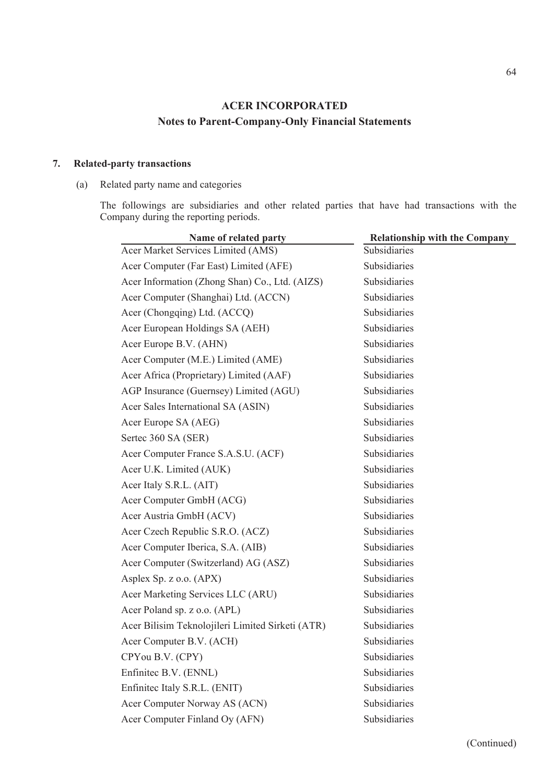#### **7. Related-party transactions**

#### (a) Related party name and categories

The followings are subsidiaries and other related parties that have had transactions with the Company during the reporting periods.

| <b>Relationship with the Company</b> |
|--------------------------------------|
| Subsidiaries                         |
| Subsidiaries                         |
| Subsidiaries                         |
| Subsidiaries                         |
| Subsidiaries                         |
| Subsidiaries                         |
| Subsidiaries                         |
| Subsidiaries                         |
| Subsidiaries                         |
| Subsidiaries                         |
| Subsidiaries                         |
| Subsidiaries                         |
| Subsidiaries                         |
| Subsidiaries                         |
| Subsidiaries                         |
| Subsidiaries                         |
| Subsidiaries                         |
| Subsidiaries                         |
| Subsidiaries                         |
| Subsidiaries                         |
| Subsidiaries                         |
| Subsidiaries                         |
| Subsidiaries                         |
| Subsidiaries                         |
| Subsidiaries                         |
| Subsidiaries                         |
| Subsidiaries                         |
| Subsidiaries                         |
| Subsidiaries                         |
| Subsidiaries                         |
| Subsidiaries                         |
|                                      |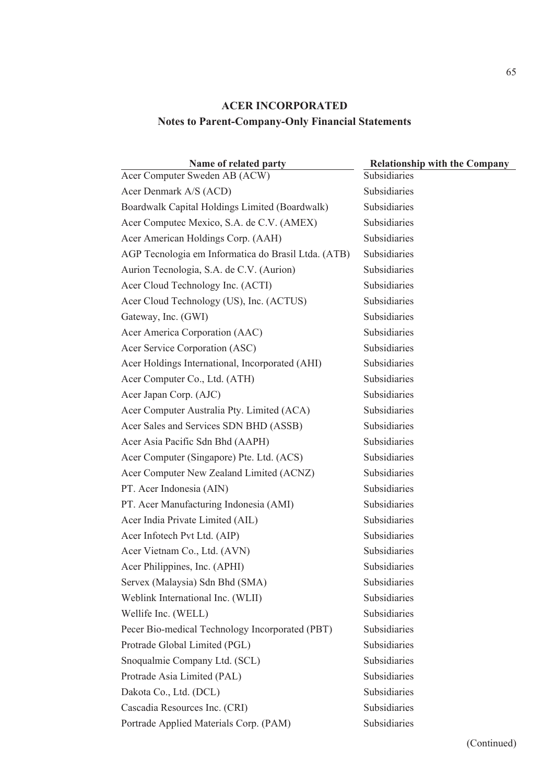| Name of related party                               | <b>Relationship with the Company</b> |
|-----------------------------------------------------|--------------------------------------|
| Acer Computer Sweden AB (ACW)                       | Subsidiaries                         |
| Acer Denmark A/S (ACD)                              | Subsidiaries                         |
| Boardwalk Capital Holdings Limited (Boardwalk)      | Subsidiaries                         |
| Acer Computec Mexico, S.A. de C.V. (AMEX)           | Subsidiaries                         |
| Acer American Holdings Corp. (AAH)                  | Subsidiaries                         |
| AGP Tecnologia em Informatica do Brasil Ltda. (ATB) | Subsidiaries                         |
| Aurion Tecnologia, S.A. de C.V. (Aurion)            | Subsidiaries                         |
| Acer Cloud Technology Inc. (ACTI)                   | <b>Subsidiaries</b>                  |
| Acer Cloud Technology (US), Inc. (ACTUS)            | Subsidiaries                         |
| Gateway, Inc. (GWI)                                 | Subsidiaries                         |
| Acer America Corporation (AAC)                      | Subsidiaries                         |
| Acer Service Corporation (ASC)                      | Subsidiaries                         |
| Acer Holdings International, Incorporated (AHI)     | Subsidiaries                         |
| Acer Computer Co., Ltd. (ATH)                       | Subsidiaries                         |
| Acer Japan Corp. (AJC)                              | Subsidiaries                         |
| Acer Computer Australia Pty. Limited (ACA)          | Subsidiaries                         |
| Acer Sales and Services SDN BHD (ASSB)              | Subsidiaries                         |
| Acer Asia Pacific Sdn Bhd (AAPH)                    | Subsidiaries                         |
| Acer Computer (Singapore) Pte. Ltd. (ACS)           | Subsidiaries                         |
| Acer Computer New Zealand Limited (ACNZ)            | Subsidiaries                         |
| PT. Acer Indonesia (AIN)                            | Subsidiaries                         |
| PT. Acer Manufacturing Indonesia (AMI)              | Subsidiaries                         |
| Acer India Private Limited (AIL)                    | Subsidiaries                         |
| Acer Infotech Pvt Ltd. (AIP)                        | Subsidiaries                         |
| Acer Vietnam Co., Ltd. (AVN)                        | Subsidiaries                         |
| Acer Philippines, Inc. (APHI)                       | Subsidiaries                         |
| Servex (Malaysia) Sdn Bhd (SMA)                     | Subsidiaries                         |
| Weblink International Inc. (WLII)                   | <b>Subsidiaries</b>                  |
| Wellife Inc. (WELL)                                 | <b>Subsidiaries</b>                  |
| Pecer Bio-medical Technology Incorporated (PBT)     | Subsidiaries                         |
| Protrade Global Limited (PGL)                       | Subsidiaries                         |
| Snoqualmie Company Ltd. (SCL)                       | Subsidiaries                         |
| Protrade Asia Limited (PAL)                         | Subsidiaries                         |
| Dakota Co., Ltd. (DCL)                              | Subsidiaries                         |
| Cascadia Resources Inc. (CRI)                       | Subsidiaries                         |
| Portrade Applied Materials Corp. (PAM)              | Subsidiaries                         |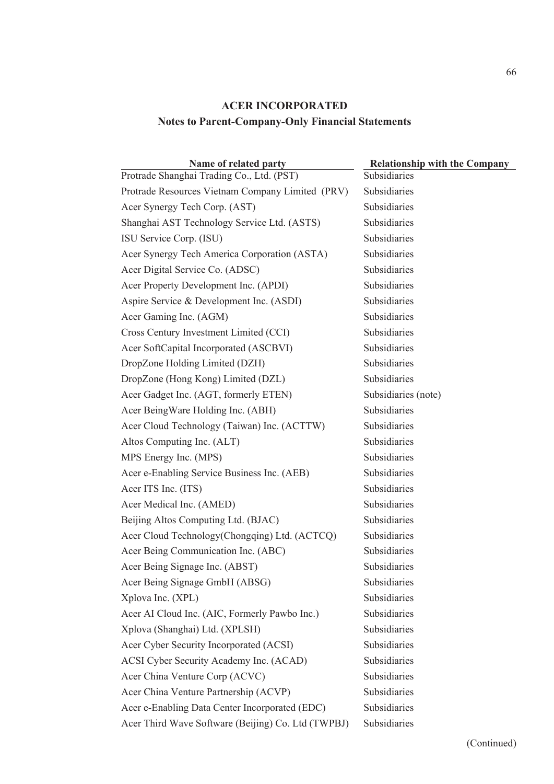| Name of related party                              | <b>Relationship with the Company</b> |  |  |
|----------------------------------------------------|--------------------------------------|--|--|
| Protrade Shanghai Trading Co., Ltd. (PST)          | Subsidiaries                         |  |  |
| Protrade Resources Vietnam Company Limited (PRV)   | Subsidiaries                         |  |  |
| Acer Synergy Tech Corp. (AST)                      | Subsidiaries                         |  |  |
| Shanghai AST Technology Service Ltd. (ASTS)        | Subsidiaries                         |  |  |
| ISU Service Corp. (ISU)                            | Subsidiaries                         |  |  |
| Acer Synergy Tech America Corporation (ASTA)       | Subsidiaries                         |  |  |
| Acer Digital Service Co. (ADSC)                    | Subsidiaries                         |  |  |
| Acer Property Development Inc. (APDI)              | Subsidiaries                         |  |  |
| Aspire Service & Development Inc. (ASDI)           | Subsidiaries                         |  |  |
| Acer Gaming Inc. (AGM)                             | Subsidiaries                         |  |  |
| Cross Century Investment Limited (CCI)             | Subsidiaries                         |  |  |
| Acer SoftCapital Incorporated (ASCBVI)             | Subsidiaries                         |  |  |
| DropZone Holding Limited (DZH)                     | Subsidiaries                         |  |  |
| DropZone (Hong Kong) Limited (DZL)                 | Subsidiaries                         |  |  |
| Acer Gadget Inc. (AGT, formerly ETEN)              | Subsidiaries (note)                  |  |  |
| Acer BeingWare Holding Inc. (ABH)                  | Subsidiaries                         |  |  |
| Acer Cloud Technology (Taiwan) Inc. (ACTTW)        | Subsidiaries                         |  |  |
| Altos Computing Inc. (ALT)                         | Subsidiaries                         |  |  |
| MPS Energy Inc. (MPS)                              | Subsidiaries                         |  |  |
| Acer e-Enabling Service Business Inc. (AEB)        | Subsidiaries                         |  |  |
| Acer ITS Inc. (ITS)                                | Subsidiaries                         |  |  |
| Acer Medical Inc. (AMED)                           | Subsidiaries                         |  |  |
| Beijing Altos Computing Ltd. (BJAC)                | Subsidiaries                         |  |  |
| Acer Cloud Technology (Chongqing) Ltd. (ACTCQ)     | Subsidiaries                         |  |  |
| Acer Being Communication Inc. (ABC)                | Subsidiaries                         |  |  |
| Acer Being Signage Inc. (ABST)                     | Subsidiaries                         |  |  |
| Acer Being Signage GmbH (ABSG)                     | Subsidiaries                         |  |  |
| Xplova Inc. (XPL)                                  | Subsidiaries                         |  |  |
| Acer AI Cloud Inc. (AIC, Formerly Pawbo Inc.)      | Subsidiaries                         |  |  |
| Xplova (Shanghai) Ltd. (XPLSH)                     | Subsidiaries                         |  |  |
| Acer Cyber Security Incorporated (ACSI)            | Subsidiaries                         |  |  |
| ACSI Cyber Security Academy Inc. (ACAD)            | Subsidiaries                         |  |  |
| Acer China Venture Corp (ACVC)                     | Subsidiaries                         |  |  |
| Acer China Venture Partnership (ACVP)              | Subsidiaries                         |  |  |
| Acer e-Enabling Data Center Incorporated (EDC)     | Subsidiaries                         |  |  |
| Acer Third Wave Software (Beijing) Co. Ltd (TWPBJ) | Subsidiaries                         |  |  |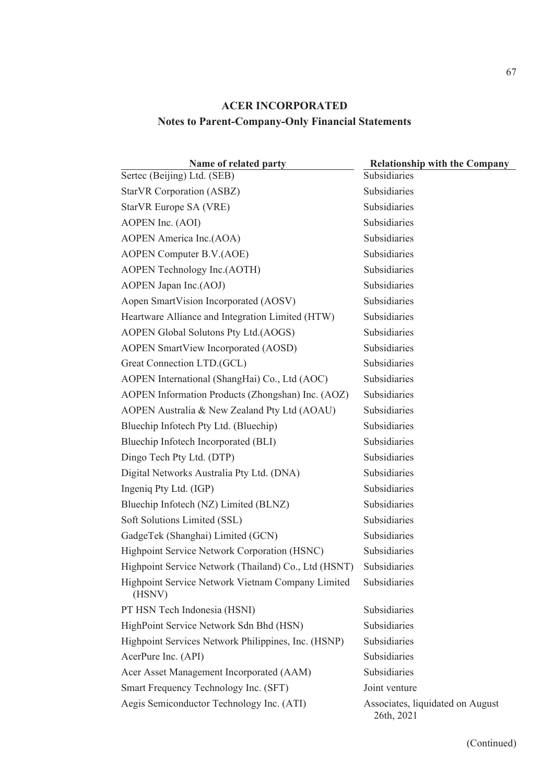| Name of related party                                       | <b>Relationship with the Company</b>           |
|-------------------------------------------------------------|------------------------------------------------|
| Sertec (Beijing) Ltd. (SEB)                                 | Subsidiaries                                   |
| StarVR Corporation (ASBZ)                                   | Subsidiaries                                   |
| StarVR Europe SA (VRE)                                      | Subsidiaries                                   |
| AOPEN Inc. (AOI)                                            | Subsidiaries                                   |
| AOPEN America Inc.(AOA)                                     | Subsidiaries                                   |
| AOPEN Computer B.V.(AOE)                                    | Subsidiaries                                   |
| AOPEN Technology Inc.(AOTH)                                 | Subsidiaries                                   |
| AOPEN Japan Inc.(AOJ)                                       | Subsidiaries                                   |
| Aopen SmartVision Incorporated (AOSV)                       | Subsidiaries                                   |
| Heartware Alliance and Integration Limited (HTW)            | Subsidiaries                                   |
| AOPEN Global Solutons Pty Ltd.(AOGS)                        | Subsidiaries                                   |
| <b>AOPEN SmartView Incorporated (AOSD)</b>                  | Subsidiaries                                   |
| Great Connection LTD.(GCL)                                  | Subsidiaries                                   |
| AOPEN International (ShangHai) Co., Ltd (AOC)               | Subsidiaries                                   |
| AOPEN Information Products (Zhongshan) Inc. (AOZ)           | Subsidiaries                                   |
| AOPEN Australia & New Zealand Pty Ltd (AOAU)                | Subsidiaries                                   |
| Bluechip Infotech Pty Ltd. (Bluechip)                       | Subsidiaries                                   |
| Bluechip Infotech Incorporated (BLI)                        | Subsidiaries                                   |
| Dingo Tech Pty Ltd. (DTP)                                   | Subsidiaries                                   |
| Digital Networks Australia Pty Ltd. (DNA)                   | Subsidiaries                                   |
| Ingeniq Pty Ltd. (IGP)                                      | Subsidiaries                                   |
| Bluechip Infotech (NZ) Limited (BLNZ)                       | Subsidiaries                                   |
| Soft Solutions Limited (SSL)                                | Subsidiaries                                   |
| GadgeTek (Shanghai) Limited (GCN)                           | Subsidiaries                                   |
| Highpoint Service Network Corporation (HSNC)                | Subsidiaries                                   |
| Highpoint Service Network (Thailand) Co., Ltd (HSNT)        | Subsidiaries                                   |
| Highpoint Service Network Vietnam Company Limited<br>(HSNV) | Subsidiaries                                   |
| PT HSN Tech Indonesia (HSNI)                                | Subsidiaries                                   |
| HighPoint Service Network Sdn Bhd (HSN)                     | Subsidiaries                                   |
| Highpoint Services Network Philippines, Inc. (HSNP)         | Subsidiaries                                   |
| AcerPure Inc. (API)                                         | Subsidiaries                                   |
| Acer Asset Management Incorporated (AAM)                    | Subsidiaries                                   |
| Smart Frequency Technology Inc. (SFT)                       | Joint venture                                  |
| Aegis Semiconductor Technology Inc. (ATI)                   | Associates, liquidated on August<br>26th, 2021 |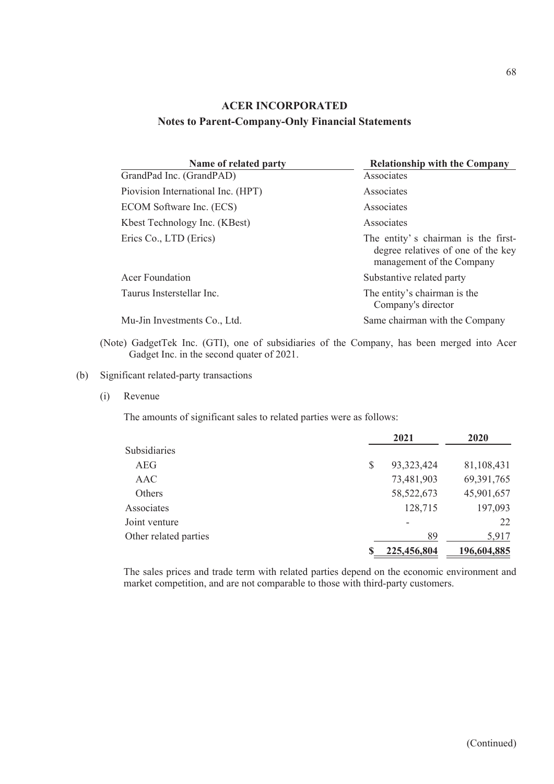| Name of related party              | <b>Relationship with the Company</b>                                                                   |
|------------------------------------|--------------------------------------------------------------------------------------------------------|
| GrandPad Inc. (GrandPAD)           | Associates                                                                                             |
| Piovision International Inc. (HPT) | Associates                                                                                             |
| ECOM Software Inc. (ECS)           | Associates                                                                                             |
| Kbest Technology Inc. (KBest)      | Associates                                                                                             |
| Erics Co., LTD (Erics)             | The entity's chairman is the first-<br>degree relatives of one of the key<br>management of the Company |
| Acer Foundation                    | Substantive related party                                                                              |
| Taurus Insterstellar Inc.          | The entity's chairman is the<br>Company's director                                                     |
| Mu-Jin Investments Co., Ltd.       | Same chairman with the Company                                                                         |

(Note) GadgetTek Inc. (GTI), one of subsidiaries of the Company, has been merged into Acer Gadget Inc. in the second quater of 2021.

### (b) Significant related-party transactions

(i) Revenue

The amounts of significant sales to related parties were as follows:

|                       |    | 2021         | 2020         |
|-----------------------|----|--------------|--------------|
| Subsidiaries          |    |              |              |
| <b>AEG</b>            | \$ | 93, 323, 424 | 81,108,431   |
| AAC                   |    | 73,481,903   | 69, 391, 765 |
| <b>Others</b>         |    | 58, 522, 673 | 45,901,657   |
| Associates            |    | 128,715      | 197,093      |
| Joint venture         |    |              | 22           |
| Other related parties |    | 89           | 5,917        |
|                       | S  | 225,456,804  | 196,604,885  |

The sales prices and trade term with related parties depend on the economic environment and market competition, and are not comparable to those with third-party customers.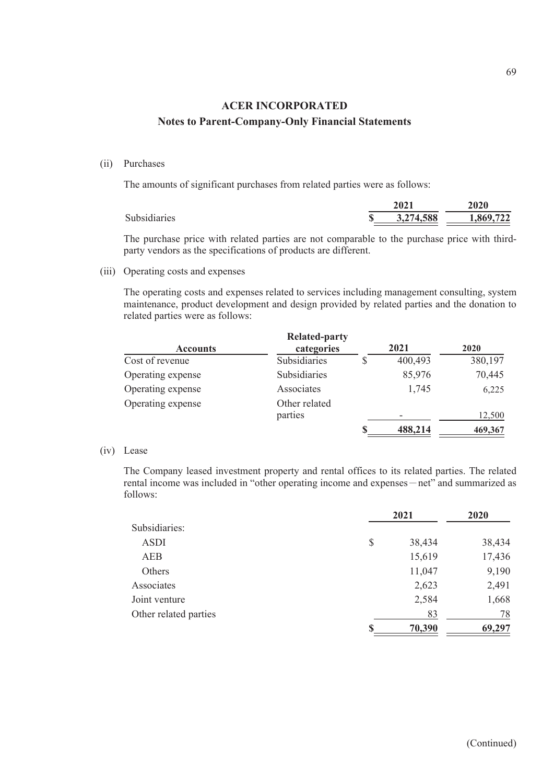#### (ii) Purchases

The amounts of significant purchases from related parties were as follows:

|              | 2021      | <b>2020</b> |
|--------------|-----------|-------------|
| Subsidiaries | 3,274,588 | 1,869,722   |

The purchase price with related parties are not comparable to the purchase price with thirdparty vendors as the specifications of products are different.

(iii) Operating costs and expenses

The operating costs and expenses related to services including management consulting, system maintenance, product development and design provided by related parties and the donation to related parties were as follows:

|                   | <b>Related-party</b> |         |         |
|-------------------|----------------------|---------|---------|
| <b>Accounts</b>   | categories           | 2021    | 2020    |
| Cost of revenue   | Subsidiaries         | 400,493 | 380,197 |
| Operating expense | Subsidiaries         | 85,976  | 70,445  |
| Operating expense | Associates           | 1,745   | 6,225   |
| Operating expense | Other related        |         |         |
|                   | parties              |         | 12,500  |
|                   |                      | 488,214 | 469,367 |

#### (iv) Lease

The Company leased investment property and rental offices to its related parties. The related rental income was included in "other operating income and expenses – net" and summarized as follows:

|                       | 2021         | 2020   |
|-----------------------|--------------|--------|
| Subsidiaries:         |              |        |
| <b>ASDI</b>           | \$<br>38,434 | 38,434 |
| <b>AEB</b>            | 15,619       | 17,436 |
| Others                | 11,047       | 9,190  |
| Associates            | 2,623        | 2,491  |
| Joint venture         | 2,584        | 1,668  |
| Other related parties | 83           | 78     |
|                       | 70,390       | 69,297 |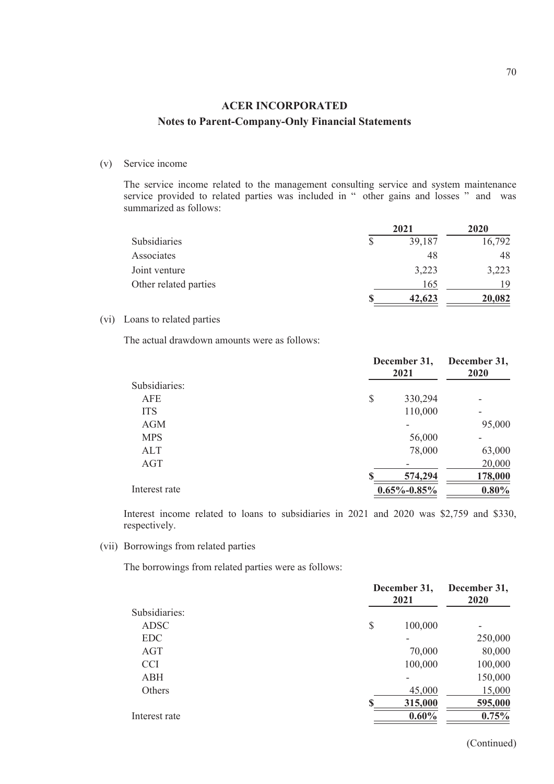#### (v) Service income

The service income related to the management consulting service and system maintenance service provided to related parties was included in " other gains and losses " and was summarized as follows:

|                       | 2021   | 2020   |
|-----------------------|--------|--------|
| <b>Subsidiaries</b>   | 39,187 | 16,792 |
| Associates            | 48     | 48     |
| Joint venture         | 3,223  | 3,223  |
| Other related parties | 165    | 19     |
|                       | 42,623 | 20,082 |

### (vi) Loans to related parties

The actual drawdown amounts were as follows:

|               | December 31,<br>2021 |          |
|---------------|----------------------|----------|
| Subsidiaries: |                      |          |
| AFE           | \$<br>330,294        |          |
| <b>ITS</b>    | 110,000              | ۰        |
| <b>AGM</b>    |                      | 95,000   |
| <b>MPS</b>    | 56,000               |          |
| ALT           | 78,000               | 63,000   |
| AGT           |                      | 20,000   |
|               | 574,294              | 178,000  |
| Interest rate | $0.65\% - 0.85\%$    | $0.80\%$ |

Interest income related to loans to subsidiaries in 2021 and 2020 was \$2,759 and \$330, respectively.

(vii) Borrowings from related parties

The borrowings from related parties were as follows:

|               | December 31,<br>2021 |         |
|---------------|----------------------|---------|
| Subsidiaries: |                      |         |
| <b>ADSC</b>   | \$<br>100,000        | -       |
| <b>EDC</b>    |                      | 250,000 |
| AGT           | 70,000               | 80,000  |
| <b>CCI</b>    | 100,000              | 100,000 |
| ABH           |                      | 150,000 |
| Others        | 45,000               | 15,000  |
|               | 315,000              | 595,000 |
| Interest rate | $0.60\%$             | 0.75%   |

(Continued)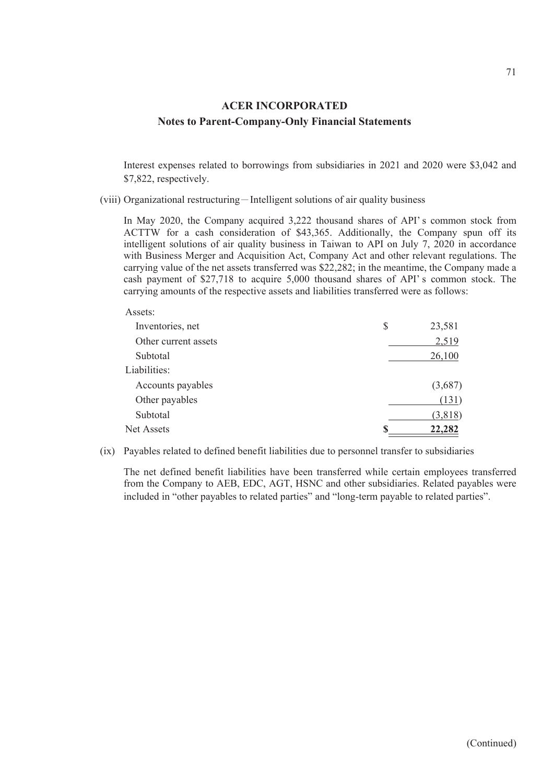Interest expenses related to borrowings from subsidiaries in 2021 and 2020 were \$3,042 and \$7,822, respectively.

(viii) Organizational restructuring-Intelligent solutions of air quality business

 $A$ ssets:

In May 2020, the Company acquired 3,222 thousand shares of API' s common stock from ACTTW for a cash consideration of \$43,365. Additionally, the Company spun off its intelligent solutions of air quality business in Taiwan to API on July 7, 2020 in accordance with Business Merger and Acquisition Act, Company Act and other relevant regulations. The carrying value of the net assets transferred was \$22,282; in the meantime, the Company made a cash payment of \$27,718 to acquire 5,000 thousand shares of API' s common stock. The carrying amounts of the respective assets and liabilities transferred were as follows:

| S | 23,581  |
|---|---------|
|   | 2,519   |
|   | 26,100  |
|   |         |
|   | (3,687) |
|   | (131)   |
|   | (3,818) |
| S | 22,282  |
|   |         |

(ix) Payables related to defined benefit liabilities due to personnel transfer to subsidiaries

The net defined benefit liabilities have been transferred while certain employees transferred from the Company to AEB, EDC, AGT, HSNC and other subsidiaries. Related payables were included in "other payables to related parties" and "long-term payable to related parties".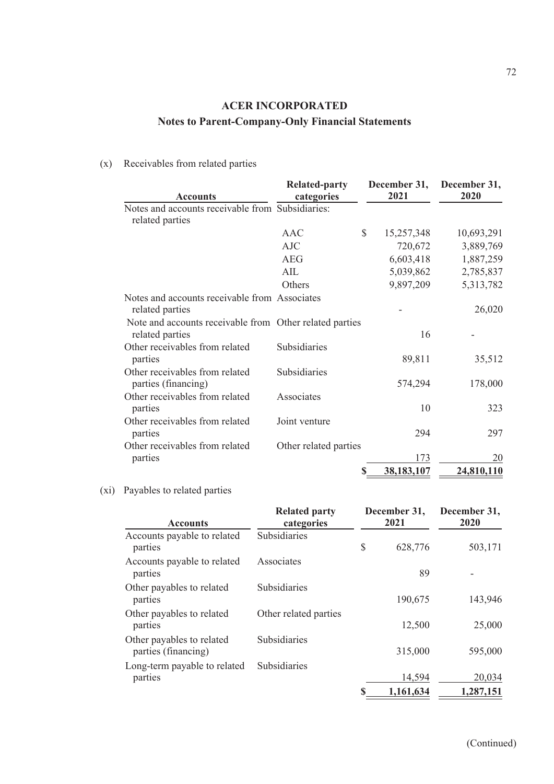### (x) Receivables from related parties

| <b>Accounts</b>                                                            | <b>Related-party</b><br>categories |    | December 31,<br>2021 | December 31,<br>2020 |
|----------------------------------------------------------------------------|------------------------------------|----|----------------------|----------------------|
| Notes and accounts receivable from Subsidiaries:<br>related parties        |                                    |    |                      |                      |
|                                                                            | <b>AAC</b>                         | \$ | 15,257,348           | 10,693,291           |
|                                                                            | <b>AJC</b>                         |    | 720,672              | 3,889,769            |
|                                                                            | <b>AEG</b>                         |    | 6,603,418            | 1,887,259            |
|                                                                            | AIL                                |    | 5,039,862            | 2,785,837            |
|                                                                            | Others                             |    | 9,897,209            | 5,313,782            |
| Notes and accounts receivable from Associates<br>related parties           |                                    |    |                      | 26,020               |
| Note and accounts receivable from Other related parties<br>related parties |                                    |    | 16                   |                      |
| Other receivables from related<br>parties                                  | Subsidiaries                       |    | 89,811               | 35,512               |
| Other receivables from related<br>parties (financing)                      | Subsidiaries                       |    | 574,294              | 178,000              |
| Other receivables from related<br>parties                                  | Associates                         |    | 10                   | 323                  |
| Other receivables from related<br>parties                                  | Joint venture                      |    | 294                  | 297                  |
| Other receivables from related<br>parties                                  | Other related parties              |    | 173                  | 20                   |
|                                                                            |                                    | S  | 38,183,107           | 24,810,110           |

### (xi) Payables to related parties

| <b>Accounts</b>                                  | <b>Related party</b><br>categories | December 31,<br>2021 | December 31,<br>2020 |
|--------------------------------------------------|------------------------------------|----------------------|----------------------|
| Accounts payable to related<br>parties           | Subsidiaries                       | \$<br>628,776        | 503,171              |
| Accounts payable to related<br>parties           | Associates                         | 89                   |                      |
| Other payables to related<br>parties             | Subsidiaries                       | 190,675              | 143,946              |
| Other payables to related<br>parties             | Other related parties              | 12,500               | 25,000               |
| Other payables to related<br>parties (financing) | Subsidiaries                       | 315,000              | 595,000              |
| Long-term payable to related<br>parties          | Subsidiaries                       | 14,594               | 20,034               |
|                                                  |                                    | 1,161,634            | 1,287,151            |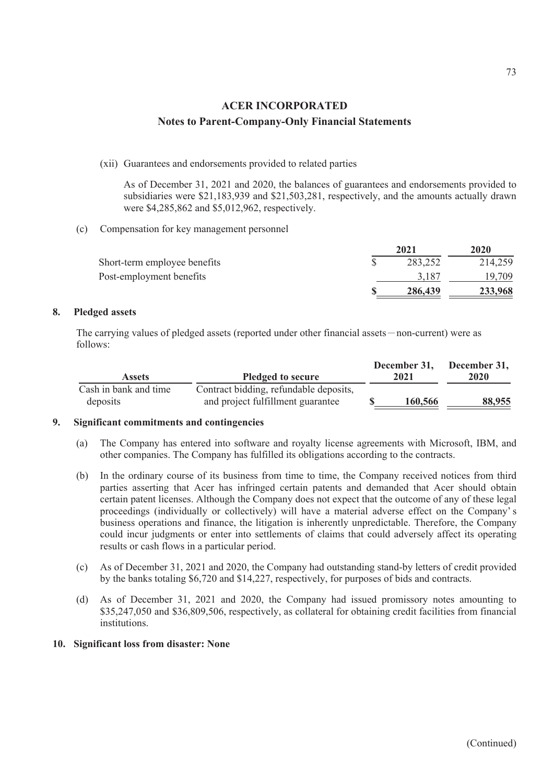(xii) Guarantees and endorsements provided to related parties

As of December 31, 2021 and 2020, the balances of guarantees and endorsements provided to subsidiaries were \$21,183,939 and \$21,503,281, respectively, and the amounts actually drawn were \$4,285,862 and \$5,012,962, respectively.

(c) Compensation for key management personnel

|                              |  | 2020    |         |
|------------------------------|--|---------|---------|
| Short-term employee benefits |  | 283,252 | 214,259 |
| Post-employment benefits     |  | 3.187   | 19.709  |
|                              |  | 286,439 | 233,968 |

#### **8. Pledged assets**

The carrying values of pledged assets (reported under other financial assets-non-current) were as follows:

| <b>Assets</b>                     | <b>Pledged to secure</b>                                                    | December 31,<br>2021 | December 31,<br>2020 |
|-----------------------------------|-----------------------------------------------------------------------------|----------------------|----------------------|
| Cash in bank and time<br>deposits | Contract bidding, refundable deposits,<br>and project fulfillment guarantee | 160,566              | 88,955               |

### **9. Significant commitments and contingencies**

- (a) The Company has entered into software and royalty license agreements with Microsoft, IBM, and other companies. The Company has fulfilled its obligations according to the contracts.
- (b) In the ordinary course of its business from time to time, the Company received notices from third parties asserting that Acer has infringed certain patents and demanded that Acer should obtain certain patent licenses. Although the Company does not expect that the outcome of any of these legal proceedings (individually or collectively) will have a material adverse effect on the Company' s business operations and finance, the litigation is inherently unpredictable. Therefore, the Company could incur judgments or enter into settlements of claims that could adversely affect its operating results or cash flows in a particular period.
- (c) As of December 31, 2021 and 2020, the Company had outstanding stand-by letters of credit provided by the banks totaling \$6,720 and \$14,227, respectively, for purposes of bids and contracts.
- (d) As of December 31, 2021 and 2020, the Company had issued promissory notes amounting to \$35,247,050 and \$36,809,506, respectively, as collateral for obtaining credit facilities from financial institutions.

### **10. Significant loss from disaster: None**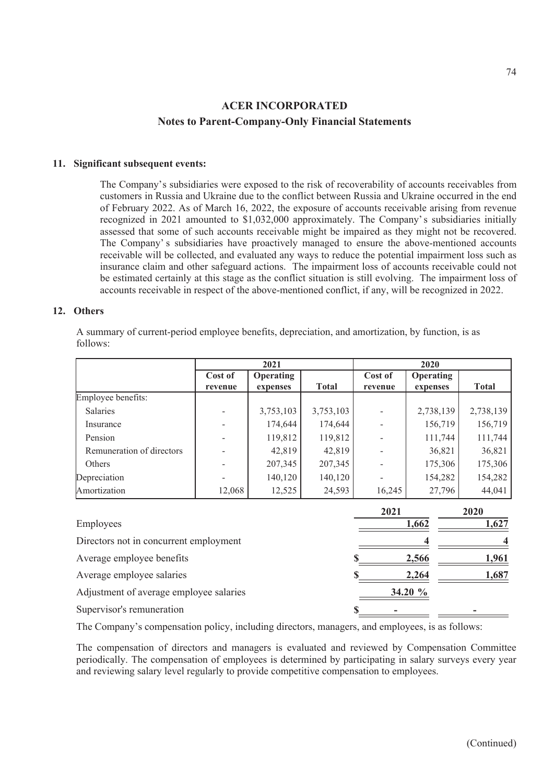### **11. Significant subsequent events:**

The Company's subsidiaries were exposed to the risk of recoverability of accounts receivables from customers in Russia and Ukraine due to the conflict between Russia and Ukraine occurred in the end of February 2022. As of March 16, 2022, the exposure of accounts receivable arising from revenue recognized in 2021 amounted to \$1,032,000 approximately. The Company' s subsidiaries initially assessed that some of such accounts receivable might be impaired as they might not be recovered. The Company' s subsidiaries have proactively managed to ensure the above-mentioned accounts receivable will be collected, and evaluated any ways to reduce the potential impairment loss such as insurance claim and other safeguard actions. The impairment loss of accounts receivable could not be estimated certainly at this stage as the conflict situation is still evolving. The impairment loss of accounts receivable in respect of the above-mentioned conflict, if any, will be recognized in 2022.

#### **12. Others**

A summary of current-period employee benefits, depreciation, and amortization, by function, is as follows:

|                                         | 2021               |                       |              | 2020               |                              |              |
|-----------------------------------------|--------------------|-----------------------|--------------|--------------------|------------------------------|--------------|
|                                         | Cost of<br>revenue | Operating<br>expenses | <b>Total</b> | Cost of<br>revenue | <b>Operating</b><br>expenses | <b>Total</b> |
| Employee benefits:                      |                    |                       |              |                    |                              |              |
| Salaries                                |                    | 3,753,103             | 3,753,103    |                    | 2,738,139                    | 2,738,139    |
| Insurance                               |                    | 174,644               | 174,644      |                    | 156,719                      | 156,719      |
| Pension                                 |                    | 119,812               | 119,812      |                    | 111,744                      | 111,744      |
| Remuneration of directors               |                    | 42,819                | 42,819       |                    | 36,821                       | 36,821       |
| Others                                  |                    | 207,345               | 207,345      |                    | 175,306                      | 175,306      |
| Depreciation                            |                    | 140,120               | 140,120      |                    | 154,282                      | 154,282      |
| Amortization                            | 12,068             | 12,525                | 24,593       | 16,245             | 27,796                       | 44,041       |
|                                         |                    |                       |              | 2021               |                              | 2020         |
| Employees                               |                    |                       |              | 1,662              | 1,627                        |              |
| Directors not in concurrent employment  |                    |                       |              |                    |                              |              |
| Average employee benefits               |                    |                       |              | 2,566              | 1,961                        |              |
| Average employee salaries               |                    |                       |              | 2,264              | 1,687                        |              |
| Adjustment of average employee salaries |                    |                       |              | 34.20 %            |                              |              |

Adjustment of average employee salaries **34.20 %** Supervisor's remuneration **\$** 

The Company's compensation policy, including directors, managers, and employees, is as follows:

The compensation of directors and managers is evaluated and reviewed by Compensation Committee periodically. The compensation of employees is determined by participating in salary surveys every year and reviewing salary level regularly to provide competitive compensation to employees.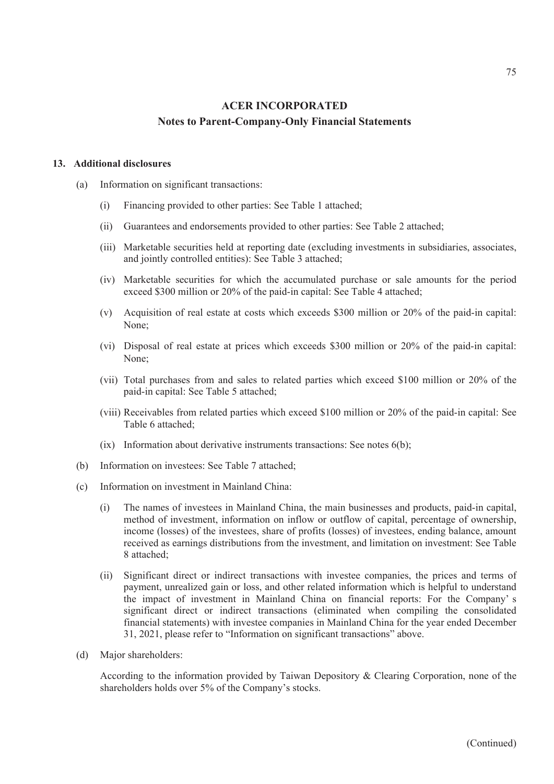#### **13. Additional disclosures**

- (a) Information on significant transactions:
	- (i) Financing provided to other parties: See Table 1 attached;
	- (ii) Guarantees and endorsements provided to other parties: See Table 2 attached;
	- (iii) Marketable securities held at reporting date (excluding investments in subsidiaries, associates, and jointly controlled entities): See Table 3 attached;
	- (iv) Marketable securities for which the accumulated purchase or sale amounts for the period exceed \$300 million or 20% of the paid-in capital: See Table 4 attached;
	- (v) Acquisition of real estate at costs which exceeds \$300 million or 20% of the paid-in capital: None;
	- (vi) Disposal of real estate at prices which exceeds \$300 million or 20% of the paid-in capital: None;
	- (vii) Total purchases from and sales to related parties which exceed \$100 million or 20% of the paid-in capital: See Table 5 attached;
	- (viii) Receivables from related parties which exceed \$100 million or 20% of the paid-in capital: See Table 6 attached;
	- $(ix)$  Information about derivative instruments transactions: See notes  $6(b)$ ;
- (b) Information on investees: See Table 7 attached;
- (c) Information on investment in Mainland China:
	- (i) The names of investees in Mainland China, the main businesses and products, paid-in capital, method of investment, information on inflow or outflow of capital, percentage of ownership, income (losses) of the investees, share of profits (losses) of investees, ending balance, amount received as earnings distributions from the investment, and limitation on investment: See Table 8 attached;
	- (ii) Significant direct or indirect transactions with investee companies, the prices and terms of payment, unrealized gain or loss, and other related information which is helpful to understand the impact of investment in Mainland China on financial reports: For the Company' s significant direct or indirect transactions (eliminated when compiling the consolidated financial statements) with investee companies in Mainland China for the year ended December 31, 2021, please refer to "Information on significant transactions" above.
- (d) Major shareholders:

According to the information provided by Taiwan Depository & Clearing Corporation, none of the shareholders holds over 5% of the Company's stocks.